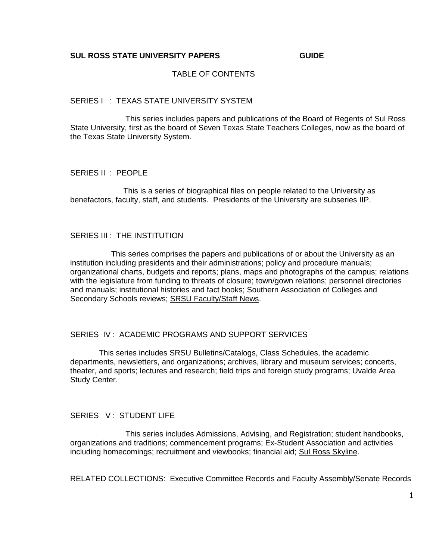#### TABLE OF CONTENTS

#### SERIES I : TEXAS STATE UNIVERSITY SYSTEM

 This series includes papers and publications of the Board of Regents of Sul Ross State University, first as the board of Seven Texas State Teachers Colleges, now as the board of the Texas State University System.

SERIES II : PEOPLE

This is a series of biographical files on people related to the University as benefactors, faculty, staff, and students. Presidents of the University are subseries IIP.

#### SERIES III : THE INSTITUTION

 This series comprises the papers and publications of or about the University as an institution including presidents and their administrations; policy and procedure manuals; organizational charts, budgets and reports; plans, maps and photographs of the campus; relations with the legislature from funding to threats of closure; town/gown relations; personnel directories and manuals; institutional histories and fact books; Southern Association of Colleges and Secondary Schools reviews; SRSU Faculty/Staff News.

#### SERIES IV : ACADEMIC PROGRAMS AND SUPPORT SERVICES

 This series includes SRSU Bulletins/Catalogs, Class Schedules, the academic departments, newsletters, and organizations; archives, library and museum services; concerts, theater, and sports; lectures and research; field trips and foreign study programs; Uvalde Area Study Center.

#### SERIES V: STUDENT LIFE

 This series includes Admissions, Advising, and Registration; student handbooks, organizations and traditions; commencement programs; Ex-Student Association and activities including homecomings; recruitment and viewbooks; financial aid; Sul Ross Skyline.

RELATED COLLECTIONS: Executive Committee Records and Faculty Assembly/Senate Records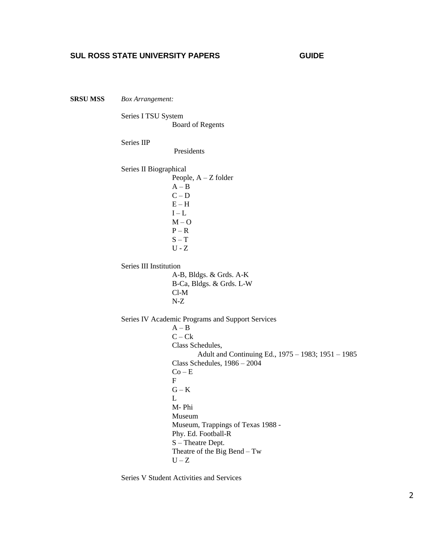**SRSU MSS** *Box Arrangement:*

Series I TSU System Board of Regents

Series IIP

Presidents

Series II Biographical People, A – Z folder  $A - B$  $C - D$  $E - H$  $I - L$  $M - O$  $P - R$  $S - T$  $U - Z$ 

Series III Institution

 A-B, Bldgs. & Grds. A-K B-Ca, Bldgs. & Grds. L-W Cl-M N-Z

Series IV Academic Programs and Support Services  $A - B$  $C - Ck$  Class Schedules, Adult and Continuing Ed., 1975 – 1983; 1951 – 1985 Class Schedules, 1986 – 2004  $Co - E$ **F**  $G - K$  L M- Phi Museum Museum, Trappings of Texas 1988 - Phy. Ed. Football-R S – Theatre Dept. Theatre of the Big Bend – Tw  $U - Z$ 

Series V Student Activities and Services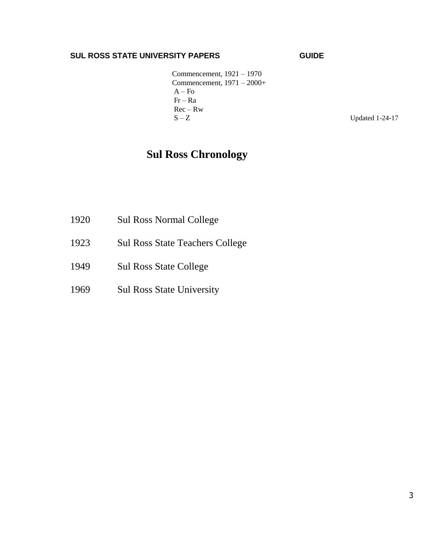Commencement, 1921 – 1970 Commencement, 1971 – 2000+  $A - F<sub>O</sub>$  Fr – Ra Rec – Rw  $S - Z$  Updated 1-24-17

# **Sul Ross Chronology**

- 1920 Sul Ross Normal College
- 1923 Sul Ross State Teachers College
- 1949 Sul Ross State College
- 1969 Sul Ross State University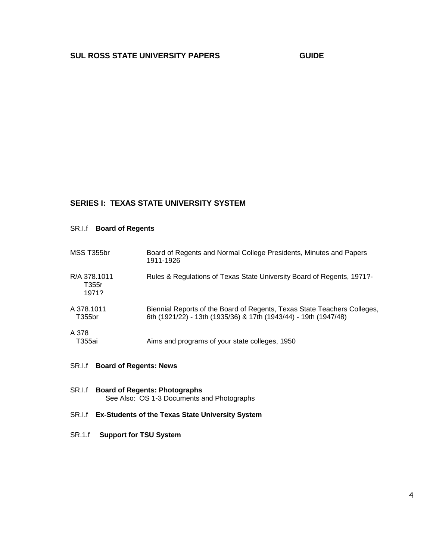## **SERIES I: TEXAS STATE UNIVERSITY SYSTEM**

SR.I.f **Board of Regents**

| MSS T355br                     | Board of Regents and Normal College Presidents, Minutes and Papers<br>1911-1926                                                              |
|--------------------------------|----------------------------------------------------------------------------------------------------------------------------------------------|
| R/A 378.1011<br>T355r<br>1971? | Rules & Regulations of Texas State University Board of Regents, 1971?-                                                                       |
| A 378.1011<br>T355br           | Biennial Reports of the Board of Regents, Texas State Teachers Colleges,<br>6th (1921/22) - 13th (1935/36) & 17th (1943/44) - 19th (1947/48) |
| A 378<br>T355ai                | Aims and programs of your state colleges, 1950                                                                                               |

- SR.I.f **Board of Regents: News**
- SR.I.f **Board of Regents: Photographs** See Also: OS 1-3 Documents and Photographs
- SR.I.f **Ex-Students of the Texas State University System**
- SR.1.f **Support for TSU System**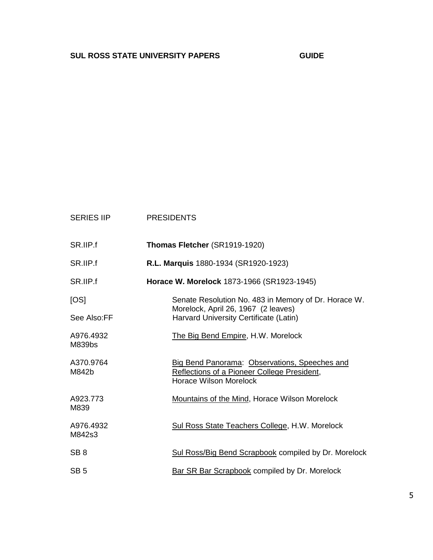| <b>SERIES IIP</b>   | <b>PRESIDENTS</b>                                                                                                             |
|---------------------|-------------------------------------------------------------------------------------------------------------------------------|
| SR.IIP.f            | Thomas Fletcher (SR1919-1920)                                                                                                 |
| SR.IIP.f            | R.L. Marquis 1880-1934 (SR1920-1923)                                                                                          |
| SR.IIP.f            | Horace W. Morelock 1873-1966 (SR1923-1945)                                                                                    |
| [OS]                | Senate Resolution No. 483 in Memory of Dr. Horace W.<br>Morelock, April 26, 1967 (2 leaves)                                   |
| See Also:FF         | Harvard University Certificate (Latin)                                                                                        |
| A976.4932<br>M839bs | The Big Bend Empire, H.W. Morelock                                                                                            |
| A370.9764<br>M842b  | Big Bend Panorama: Observations, Speeches and<br>Reflections of a Pioneer College President,<br><b>Horace Wilson Morelock</b> |
| A923.773<br>M839    | <b>Mountains of the Mind, Horace Wilson Morelock</b>                                                                          |
| A976.4932<br>M842s3 | Sul Ross State Teachers College, H.W. Morelock                                                                                |
| SB <sub>8</sub>     | Sul Ross/Big Bend Scrapbook compiled by Dr. Morelock                                                                          |
| SB <sub>5</sub>     | <b>Bar SR Bar Scrapbook compiled by Dr. Morelock</b>                                                                          |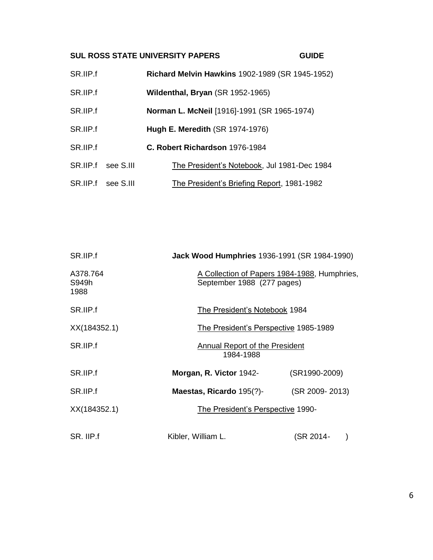| SR.IIP.f |                    | <b>Richard Melvin Hawkins 1902-1989 (SR 1945-1952)</b> |
|----------|--------------------|--------------------------------------------------------|
| SR.IIP.f |                    | Wildenthal, Bryan (SR 1952-1965)                       |
| SR.IIP.f |                    | <b>Norman L. McNeil</b> [1916]-1991 (SR 1965-1974)     |
| SR.IIP.f |                    | <b>Hugh E. Meredith (SR 1974-1976)</b>                 |
| SR.IIP.f |                    | C. Robert Richardson 1976-1984                         |
| SR.IIP.f | see S.III          | The President's Notebook, Jul 1981-Dec 1984            |
|          | SR.IIP.f see S.III | The President's Briefing Report, 1981-1982             |

| SR.IIP.f                  | <b>Jack Wood Humphries 1936-1991 (SR 1984-1990)</b>                        |                |
|---------------------------|----------------------------------------------------------------------------|----------------|
| A378.764<br>S949h<br>1988 | A Collection of Papers 1984-1988, Humphries,<br>September 1988 (277 pages) |                |
| SR.IIP.f                  | The President's Notebook 1984                                              |                |
| XX(184352.1)              | The President's Perspective 1985-1989                                      |                |
| SR.IIP.f                  | Annual Report of the President<br>1984-1988                                |                |
| SR.IIP.f                  | Morgan, R. Victor 1942-                                                    | (SR1990-2009)  |
| SR.IIP.f                  | Maestas, Ricardo 195(?)-                                                   | (SR 2009-2013) |
| XX(184352.1)              | The President's Perspective 1990-                                          |                |
| SR. IIP.f                 | Kibler, William L.                                                         | (SR 2014-      |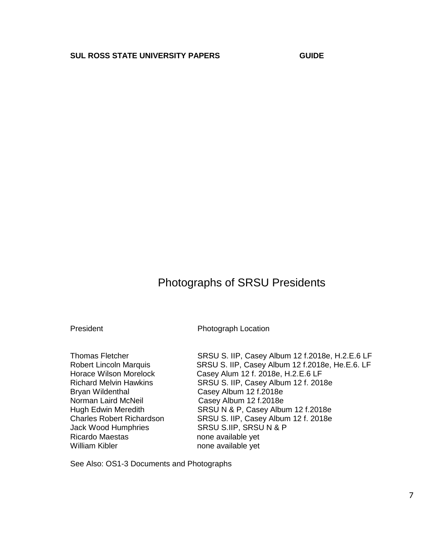# Photographs of SRSU Presidents

President Photograph Location

Bryan Wildenthal Casey Album 12 f.2018e Norman Laird McNeil Casey Album 12 f.2018e Jack Wood Humphries SRSU S.IIP, SRSU N & P Ricardo Maestas none available yet William Kibler **none** available yet

Thomas Fletcher SRSU S. IIP, Casey Album 12 f.2018e, H.2.E.6 LF Robert Lincoln Marquis SRSU S. IIP, Casey Album 12 f.2018e, He.E.6. LF Horace Wilson Morelock Casey Alum 12 f. 2018e, H.2.E.6 LF Richard Melvin Hawkins SRSU S. IIP, Casey Album 12 f. 2018e Hugh Edwin Meredith SRSU N & P, Casey Album 12 f.2018e Charles Robert Richardson SRSU S. IIP, Casey Album 12 f. 2018e

See Also: OS1-3 Documents and Photographs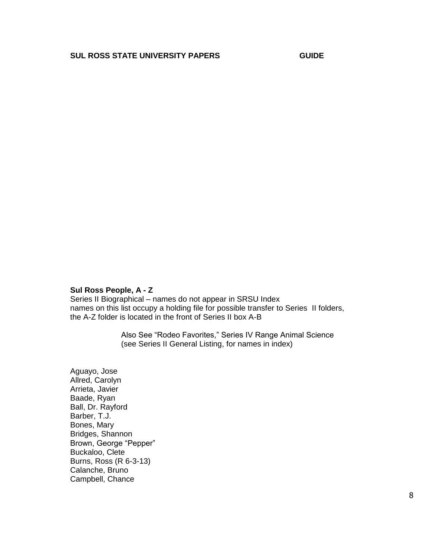#### **Sul Ross People, A - Z**

Series II Biographical – names do not appear in SRSU Index names on this list occupy a holding file for possible transfer to Series II folders, the A-Z folder is located in the front of Series II box A-B

> Also See "Rodeo Favorites," Series IV Range Animal Science (see Series II General Listing, for names in index)

Aguayo, Jose Allred, Carolyn Arrieta, Javier Baade, Ryan Ball, Dr. Rayford Barber, T.J. Bones, Mary Bridges, Shannon Brown, George "Pepper" Buckaloo, Clete Burns, Ross (R 6-3-13) Calanche, Bruno Campbell, Chance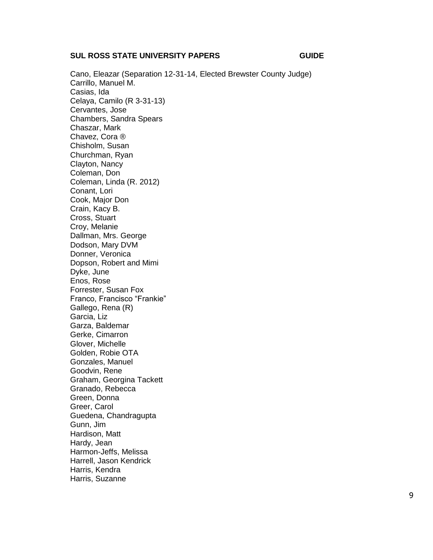Cano, Eleazar (Separation 12 -31 -14, Elected Brewster County Judge) Carrillo, Manuel M. Casias, Ida Celaya, Camilo (R 3 -31 -13) Cervantes, Jose Chambers, Sandra Spears Chaszar, Mark Chavez, Cora ® Chisholm, Susan Churchman, Ryan Clayton, Nancy Coleman, Don Coleman, Linda (R. 2012) Conant, Lori Cook, Major Don Crain, Kacy B. Cross, Stuart Croy, Melanie Dallman, Mrs. George Dodson, Mary DVM Donner, Veronica Dopson, Robert and Mimi Dyke, June Enos, Rose Forrester, Susan Fox Franco, Francisco "Frankie" Gallego, Rena (R) Garcia, Liz Garza, Baldemar Gerke, Cimarron Glover, Michelle Golden, Robie OTA Gonzales, Manuel Goodvin, Rene Graham, Georgina Tackett Granado, Rebecca Green, Donna Greer, Carol Guedena, Chandragupta Gunn, Jim Hardison, Matt Hardy, Jean Harmon -Jeffs, Melissa Harrell, Jason Kendrick Harris, Kendra Harris, Suzanne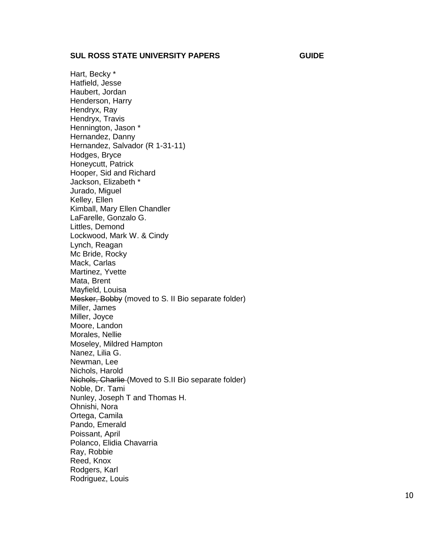Hart, Becky \* Hatfield, Jesse Haubert, Jorda n Henderson, Harry Hendryx, Ray Hendryx, Travis Hennington, Jason \* Hernandez, Danny Hernandez, Salvador (R 1 -31 -11) Hodges, Bryce Honeycutt, Patrick Hooper, Sid and Richard Jackson, Elizabeth \* Jurado, Miguel Kelley, Ellen Kimball, Mary Ellen Chandler LaFarelle, Gonzalo G. Littles, Demond Lockwood, Mark W. & Cindy Lynch, Reagan Mc Bride, Rocky Mack, Carlas Martinez, Yvette Mata, Brent Mayfield, Louisa Mesker, Bobby (moved to S. II Bio separate folder) Miller, James Miller, Joyce Moore, Landon Morales, Nellie Moseley, Mildred Hampton Nanez, Lilia G. Newman, Lee Nichols, Harold Nichols, Charlie (Moved to S.II Bio separate folder) Noble, Dr. Tami Nunley, Joseph T and Thomas H. Ohnishi, Nora Ortega, Camila Pando, Emerald Poissant, April Polanco, Elidia Chavarri a Ray, Robbie Reed, Knox Rodgers, Karl Rodriguez, Louis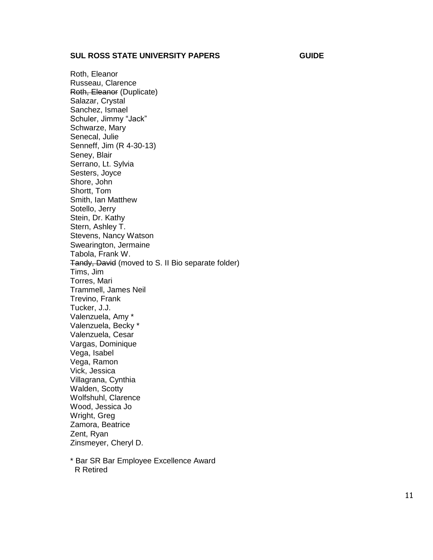Roth, Eleanor Russeau, Clarence Roth, Eleanor (Duplicate) Salazar, Crystal Sanchez, Ismael Schuler, Jimmy "Jack" Schwarze, Mary Senecal, Julie Senneff, Jim (R 4-30-13) Seney, Blair Serrano, Lt. Sylvia Sesters, Joyce Shore, John Shortt, Tom Smith, Ian Matthew Sotello, Jerry Stein, Dr. Kathy Stern, Ashley T. Stevens, Nancy Watson Swearington, Jermaine Tabola, Frank W. Tandy, David (moved to S. II Bio separate folder) Tims, Jim Torres, Mari Trammell, James Neil Trevino, Frank Tucker, J.J. Valenzuela, Amy \* Valenzuela, Becky \* Valenzuela, Cesar Vargas, Dominique Vega, Isabel Vega, Ramon Vick, Jessica Villagrana, Cynthia Walden, Scotty Wolfshuhl, Clarence Wood, Jessica Jo Wright, Greg Zamora, Beatrice Zent, Ryan Zinsmeyer, Cheryl D.

\* Bar SR Bar Employee Excellence Award R Retired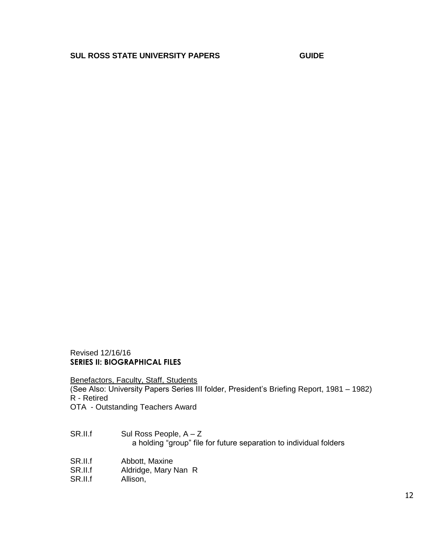Revised 12/16/16 **SERIES II: BIOGRAPHICAL FILES**

Benefactors, Faculty, Staff, Students

(See Also: University Papers Series III folder, President's Briefing Report, 1981 – 1982) R - Retired

OTA - Outstanding Teachers Award

- $SR.II.f$  Sul Ross People,  $A Z$ a holding "group" file for future separation to individual folders
- SR.II.f Abbott, Maxine<br>SR.II.f Aldridge, Mary N
- SR.II.f Aldridge, Mary Nan R<br>SR.II.f Allison,
- Allison,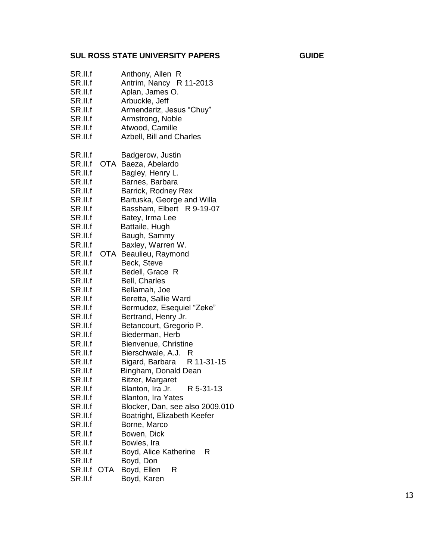| SR.II.f<br>SR.II.f<br>SR.II.f<br>SR.II.f<br>SR.II.f<br>SR.II.f<br>SR.II.f<br>SR.II.f |     | Anthony, Allen R<br>Antrim, Nancy R 11-2013<br>Aplan, James O.<br>Arbuckle, Jeff<br>Armendariz, Jesus "Chuy"<br>Armstrong, Noble<br>Atwood, Camille<br>Azbell, Bill and Charles |
|--------------------------------------------------------------------------------------|-----|---------------------------------------------------------------------------------------------------------------------------------------------------------------------------------|
| SR.II.f                                                                              |     | Badgerow, Justin                                                                                                                                                                |
| SR.II.f                                                                              |     | OTA Baeza, Abelardo                                                                                                                                                             |
| SR.II.f                                                                              |     | Bagley, Henry L.                                                                                                                                                                |
| SR.II.f                                                                              |     | Barnes, Barbara                                                                                                                                                                 |
| SR.II.f                                                                              |     | Barrick, Rodney Rex                                                                                                                                                             |
| SR.II.f                                                                              |     | Bartuska, George and Willa                                                                                                                                                      |
| SR.II.f                                                                              |     | Bassham, Elbert R 9-19-07                                                                                                                                                       |
| SR.II.f                                                                              |     | Batey, Irma Lee                                                                                                                                                                 |
| SR.II.f                                                                              |     | Battaile, Hugh                                                                                                                                                                  |
| SR.II.f<br>SR.II.f                                                                   |     | Baugh, Sammy<br>Baxley, Warren W.                                                                                                                                               |
| SR.II.f                                                                              |     | OTA Beaulieu, Raymond                                                                                                                                                           |
| SR.II.f                                                                              |     | Beck, Steve                                                                                                                                                                     |
| SR.II.f                                                                              |     | Bedell, Grace R                                                                                                                                                                 |
| SR.II.f                                                                              |     | Bell, Charles                                                                                                                                                                   |
| SR.II.f                                                                              |     | Bellamah, Joe                                                                                                                                                                   |
| SR.II.f                                                                              |     | Beretta, Sallie Ward                                                                                                                                                            |
| SR.II.f                                                                              |     | Bermudez, Esequiel "Zeke"                                                                                                                                                       |
| SR.II.f                                                                              |     | Bertrand, Henry Jr.                                                                                                                                                             |
| SR.II.f                                                                              |     | Betancourt, Gregorio P.                                                                                                                                                         |
| SR.II.f                                                                              |     | Biederman, Herb                                                                                                                                                                 |
| SR.II.f                                                                              |     | Bienvenue, Christine                                                                                                                                                            |
| SR.II.f                                                                              |     | Bierschwale, A.J. R                                                                                                                                                             |
| SR.II.f                                                                              |     | Bigard, Barbara R 11-31-15                                                                                                                                                      |
| SR.II.f<br>SR.II.f                                                                   |     | Bingham, Donald Dean<br>Bitzer, Margaret                                                                                                                                        |
| SR.II.f                                                                              |     | Blanton, Ira Jr. R 5-31-13                                                                                                                                                      |
| SR.II.f                                                                              |     | <b>Blanton, Ira Yates</b>                                                                                                                                                       |
| SR.II.f                                                                              |     | Blocker, Dan, see also 2009.010                                                                                                                                                 |
| SR.II.f                                                                              |     | Boatright, Elizabeth Keefer                                                                                                                                                     |
| SR.II.f                                                                              |     | Borne, Marco                                                                                                                                                                    |
| SR.II.f                                                                              |     | Bowen, Dick                                                                                                                                                                     |
| SR.II.f                                                                              |     | Bowles, Ira                                                                                                                                                                     |
| SR.II.f                                                                              |     | Boyd, Alice Katherine<br>R                                                                                                                                                      |
| SR.II.f                                                                              |     | Boyd, Don                                                                                                                                                                       |
| SR.II.f                                                                              | OTA | Boyd, Ellen<br>R                                                                                                                                                                |

SR.II.f Boyd, Karen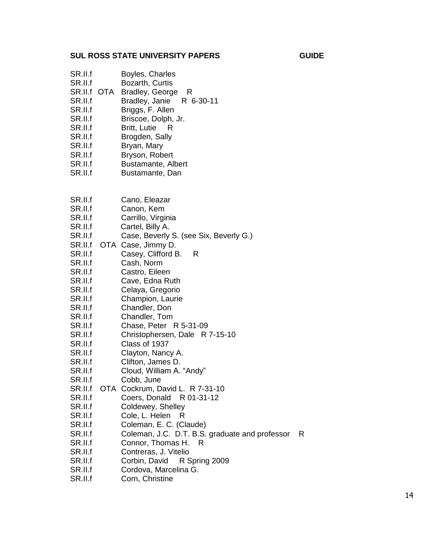- SR.II.f Boyles, Charles SR.II.f Bozarth, Curtis
- SR.II.f OTA Bradley, George R
- SR.II.f Bradley, Janie R 6-30-11
- SR.II.f Briggs, F. Allen
- SR.II.f Briscoe, Dolph, Jr.
- SR.II.f Britt, Lutie R
- SR.II.f Brogden, Sally
- SR.II.f Bryan, Mary
- SR.II.f Bryson, Robert
- SR.II.f Bustamante, Albert
- SR.II.f Bustamante, Dan
- SR.II.f Cano, Eleazar
- SR.II.f Canon, Kem
- SR.II.f Carrillo, Virginia
- SR.II.f Cartel, Billy A.
- SR.II.f Case, Beverly S. (see Six, Beverly G.)
- SR.II.f OTA Case, Jimmy D.
- SR.II.f Casey, Clifford B. R
- SR.II.f Cash, Norm
- SR.II.f Castro, Eileen
- SR.II.f Cave, Edna Ruth
- SR.II.f Celaya, Gregorio
- SR.II.f Champion, Laurie
- SR.II.f Chandler, Don
- SR.II.f Chandler, Tom
- SR.II.f Chase, Peter R 5-31-09
- SR.II.f Christophersen, Dale R 7-15-10
- SR.II.f Class of 1937
- SR.II.f Clayton, Nancy A.
- SR.II.f Clifton, James D.
- SR.II.f Cloud, William A. "Andy"
- SR.II.f Cobb, June
- SR.II.f OTA Cockrum, David L. R 7-31-10
- SR.II.f Coers, Donald R 01-31-12
- SR.II.f Coldewey, Shelley
- SR.II.f Cole, L. Helen R
- SR.II.f Coleman, E. C. (Claude)
- SR.II.f Coleman, J.C. D.T. B.S. graduate and professor R
- SR.II.f Connor, Thomas H. R
- SR.II.f Contreras, J. Vitelio
- SR.II.f Corbin, David R Spring 2009
- SR.II.f Cordova, Marcelina G.
- SR.II.f Corn, Christine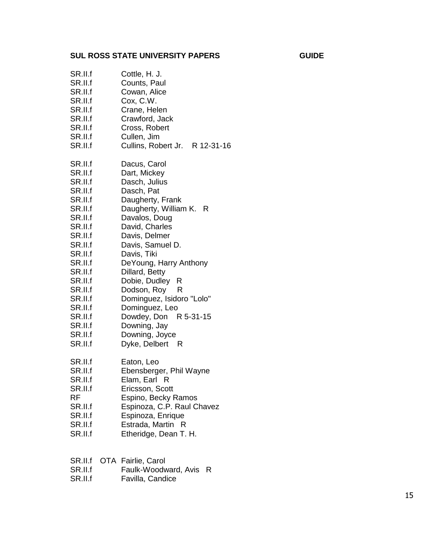| SR.II.f | Cottle, H. J.                  |
|---------|--------------------------------|
| SR.II.f | Counts, Paul                   |
| SR.II.f | Cowan, Alice                   |
| SR.II.f | Cox, C.W.                      |
| SR.II.f | Crane, Helen                   |
| SR.II.f | Crawford, Jack                 |
| SR.II.f | Cross, Robert                  |
| SR.II.f | Cullen, Jim                    |
| SR.II.f | Cullins, Robert Jr. R 12-31-16 |
| SR.II.f | Dacus, Carol                   |
| SR.II.f | Dart, Mickey                   |
| SR.II.f | Dasch, Julius                  |
| SR.II.f | Dasch, Pat                     |
| SR.II.f | Daugherty, Frank               |
| SR.II.f | Daugherty, William K. R        |
| SR.II.f | Davalos, Doug                  |
| SR.II.f | David, Charles                 |
| SR.II.f | Davis, Delmer                  |
| SR.II.f | Davis, Samuel D.               |
| SR.II.f | Davis, Tiki                    |
| SR.II.f | DeYoung, Harry Anthony         |
| SR.II.f | Dillard, Betty                 |
| SR.II.f | Dobie, Dudley R                |
| SR.II.f | Dodson, Roy R                  |
| SR.II.f | Dominguez, Isidoro "Lolo"      |
| SR.II.f | Dominguez, Leo                 |
| SR.II.f | Dowdey, Don R 5-31-15          |
| SR.II.f | Downing, Jay                   |
| SR.II.f | Downing, Joyce                 |
| SR.II.f | Dyke, Delbert R                |
| SR.II.f | Eaton, Leo                     |
| SR.II.f | Ebensberger, Phil Wayne        |
| SR.II.f | Elam, Earl R                   |
| SR.II.f | Ericsson, Scott                |
| RF      | Espino, Becky Ramos            |
| SR.II.f | Espinoza, C.P. Raul Chavez     |
| SR.II.f | Espinoza, Enrique              |
| SR.II.f | Estrada, Martin R              |
| SR.II.f | Etheridge, Dean T. H.          |
|         |                                |

| SR.II.f OTA Fairlie, Carol |  |  |  |
|----------------------------|--|--|--|
|----------------------------|--|--|--|

SR.II.f Faulk -Woodward, Avis R

SR.II.f Favilla, Candice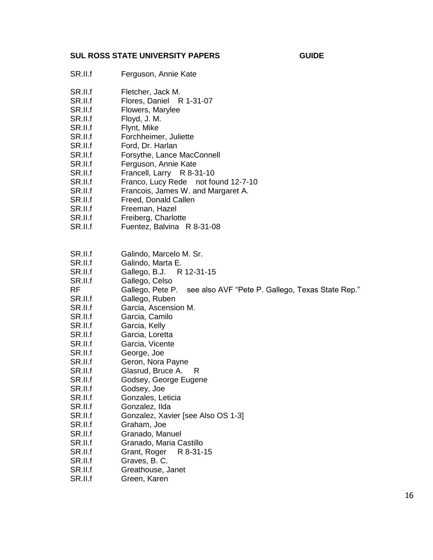| v.<br>×<br>٧<br>٠ |  |
|-------------------|--|
|-------------------|--|

- SR.II.f Ferguson, Annie Kate
- SR.II.f Fletcher, Jack M.
- SR.II.f Flores, Daniel R 1-31-07
- SR.II.f Flowers, Marylee
- SR.II.f Floyd, J. M.
- SR.II.f Flynt, Mike
- SR.II.f Forchheimer, Juliette
- SR.II.f Ford, Dr. Harlan
- SR.II.f Forsythe, Lance MacConnell
- SR.II.f Ferguson, Annie Kate
- SR.II.f Francell, Larry R 8-31-10
- SR.II.f Franco, Lucy Rede not found 12-7-10
- SR.II.f Francois, James W. and Margaret A.
- SR.II.f Freed, Donald Callen
- SR.II.f Freeman, Hazel
- SR.II.f Freiberg, Charlotte
- SR.II.f Fuentez, Balvina R 8-31-08
- SR.II.f Galindo, Marcelo M. Sr.
- SR.II.f Galindo, Marta E.
- SR.II.f Gallego, B.J. R 12-31-15
- SR.II.f Gallego, Celso
- RF Gallego, Pete P. see also AVF "Pete P. Gallego, Texas State Rep."
- SR.II.f Gallego, Ruben
- SR.II.f Garcia, Ascension M.
- SR.II.f Garcia, Camilo
- SR.II.f Garcia, Kelly
- SR.II.f Garcia, Loretta
- SR.II.f Garcia, Vicente
- SR.II.f George, Joe
- SR.II.f Geron, Nora Payne
- SR.II.f Glasrud, Bruce A. R
- SR.II.f Godsey, George Eugene
- SR.II.f Godsey, Joe
- SR.II.f Gonzales, Leticia
- SR.II.f Gonzalez, Ilda
- SR.II.f Gonzalez, Xavier [see Also OS 1-3]
- SR.II.f Graham, Joe
- SR.II.f Granado, Manuel
- SR.II.f Granado, Maria Castillo
- SR.II.f Grant, Roger R 8-31-15
- SR.II.f Graves, B. C.
- SR.II.f Greathouse, Janet
- SR.II.f Green, Karen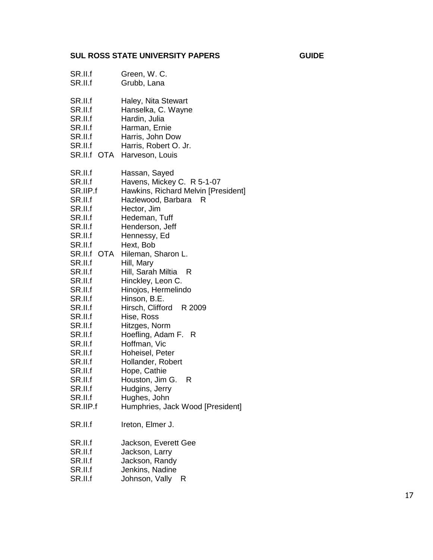| SR.II.f                                                                                                                                                                                                                                                                                                        | Green, W. C.                                                                                                                                                                                                                                                                                                                                                                                                                                                                                                                                                                        |
|----------------------------------------------------------------------------------------------------------------------------------------------------------------------------------------------------------------------------------------------------------------------------------------------------------------|-------------------------------------------------------------------------------------------------------------------------------------------------------------------------------------------------------------------------------------------------------------------------------------------------------------------------------------------------------------------------------------------------------------------------------------------------------------------------------------------------------------------------------------------------------------------------------------|
| SR.II.f                                                                                                                                                                                                                                                                                                        | Grubb, Lana                                                                                                                                                                                                                                                                                                                                                                                                                                                                                                                                                                         |
| SR.II.f                                                                                                                                                                                                                                                                                                        | Haley, Nita Stewart                                                                                                                                                                                                                                                                                                                                                                                                                                                                                                                                                                 |
| SR.II.f                                                                                                                                                                                                                                                                                                        | Hanselka, C. Wayne                                                                                                                                                                                                                                                                                                                                                                                                                                                                                                                                                                  |
| SR.II.f                                                                                                                                                                                                                                                                                                        | Hardin, Julia                                                                                                                                                                                                                                                                                                                                                                                                                                                                                                                                                                       |
| SR.II.f                                                                                                                                                                                                                                                                                                        | Harman, Ernie                                                                                                                                                                                                                                                                                                                                                                                                                                                                                                                                                                       |
| SR.II.f                                                                                                                                                                                                                                                                                                        | Harris, John Dow                                                                                                                                                                                                                                                                                                                                                                                                                                                                                                                                                                    |
| SR.II.f                                                                                                                                                                                                                                                                                                        | Harris, Robert O. Jr.                                                                                                                                                                                                                                                                                                                                                                                                                                                                                                                                                               |
| SR.II.f OTA                                                                                                                                                                                                                                                                                                    | Harveson, Louis                                                                                                                                                                                                                                                                                                                                                                                                                                                                                                                                                                     |
| SR.II.f<br>SR.II.f<br>SR.IIP.f<br>SR.II.f<br>SR.II.f<br>SR.II.f<br>SR.II.f<br>SR.II.f<br>SR.II.f<br>SR.II.f<br>OTA<br>SR.II.f<br>SR.II.f<br>SR.II.f<br>SR.II.f<br>SR.II.f<br>SR.II.f<br>SR.II.f<br>SR.II.f<br>SR.II.f<br>SR.II.f<br>SR.II.f<br>SR.II.f<br>SR.II.f<br>SR.II.f<br>SR.II.f<br>SR.II.f<br>SR.IIP.f | Hassan, Sayed<br>Havens, Mickey C. R 5-1-07<br>Hawkins, Richard Melvin [President]<br>Hazlewood, Barbara<br>- R<br>Hector, Jim<br>Hedeman, Tuff<br>Henderson, Jeff<br>Hennessy, Ed<br>Hext, Bob<br>Hileman, Sharon L.<br>Hill, Mary<br>Hill, Sarah Miltia<br>- R<br>Hinckley, Leon C.<br>Hinojos, Hermelindo<br>Hinson, B.E.<br>Hirsch, Clifford R 2009<br>Hise, Ross<br>Hitzges, Norm<br>Hoefling, Adam F. R<br>Hoffman, Vic<br>Hoheisel, Peter<br>Hollander, Robert<br>Hope, Cathie<br>Houston, Jim G.<br>R<br>Hudgins, Jerry<br>Hughes, John<br>Humphries, Jack Wood [President] |
| SR.II.f                                                                                                                                                                                                                                                                                                        | Ireton, Elmer J.                                                                                                                                                                                                                                                                                                                                                                                                                                                                                                                                                                    |
| SR.II.f                                                                                                                                                                                                                                                                                                        | Jackson, Everett Gee                                                                                                                                                                                                                                                                                                                                                                                                                                                                                                                                                                |
| SR.II.f                                                                                                                                                                                                                                                                                                        | Jackson, Larry                                                                                                                                                                                                                                                                                                                                                                                                                                                                                                                                                                      |
| SR.II.f                                                                                                                                                                                                                                                                                                        | Jackson, Randy                                                                                                                                                                                                                                                                                                                                                                                                                                                                                                                                                                      |
| SR.II.f                                                                                                                                                                                                                                                                                                        | Jenkins, Nadine                                                                                                                                                                                                                                                                                                                                                                                                                                                                                                                                                                     |

SR.II.f Johnson, Vally R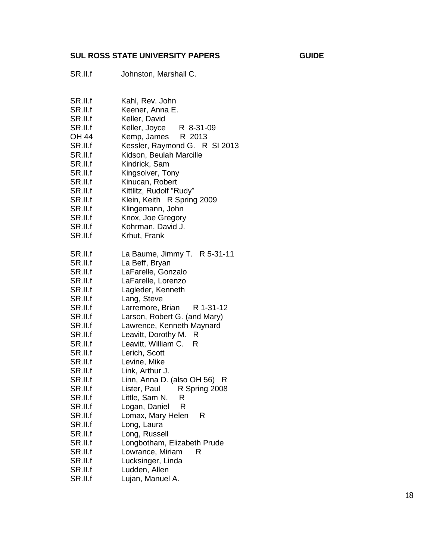SR.II.f Johnston, Marshall C.

| SR.II.f | Kahl, Rev. John               |
|---------|-------------------------------|
| SR.II.f | Keener, Anna E.               |
| SR.II.f | Keller, David                 |
| SR.II.f | Keller, Joyce R 8-31-09       |
| OH 44   | Kemp, James R 2013            |
| SR.II.f | Kessler, Raymond G. R SI 2013 |
| SR.II.f | Kidson, Beulah Marcille       |
| SR.II.f | Kindrick, Sam                 |
| SR.II.f | Kingsolver, Tony              |
| SR.II.f | Kinucan, Robert               |
| SR.II.f | Kittlitz, Rudolf "Rudy"       |
| SR.II.f | Klein, Keith R Spring 2009    |
| SR.II.f | Klingemann, John              |
| SR.II.f | Knox, Joe Gregory             |
| SR.II.f |                               |
|         | Kohrman, David J.             |
| SR.II.f | Krhut, Frank                  |
| SR.II.f | La Baume, Jimmy T. R 5-31-11  |
| SR.II.f | La Beff, Bryan                |
| SR.II.f | LaFarelle, Gonzalo            |
| SR.II.f | LaFarelle, Lorenzo            |
| SR.II.f | Lagleder, Kenneth             |
| SR.II.f | Lang, Steve                   |
| SR.II.f | Larremore, Brian<br>R 1-31-12 |
| SR.II.f | Larson, Robert G. (and Mary)  |
| SR.II.f | Lawrence, Kenneth Maynard     |
| SR.II.f | Leavitt, Dorothy M.<br>R      |
| SR.II.f | Leavitt, William C.<br>R      |
| SR.II.f | Lerich, Scott                 |
| SR.II.f | Levine, Mike                  |
| SR.II.f | Link, Arthur J.               |
| SR.II.f | Linn, Anna D. (also OH 56) R  |
| SR.II.f | Lister, Paul<br>R Spring 2008 |
| SR.II.f | Little, Sam N. R              |
| SR.II.f | Logan, Daniel R               |
| SR.II.f | Lomax, Mary Helen<br>R        |
| SR.II.f | Long, Laura                   |
| SR.II.f | Long, Russell                 |
| SR.II.f | Longbotham, Elizabeth Prude   |
|         |                               |
| SR.II.f | Lowrance, Miriam<br>R         |
| SR.II.f | Lucksinger, Linda             |
| SR.II.f | Ludden, Allen                 |

SR.II.f Lujan, Manuel A.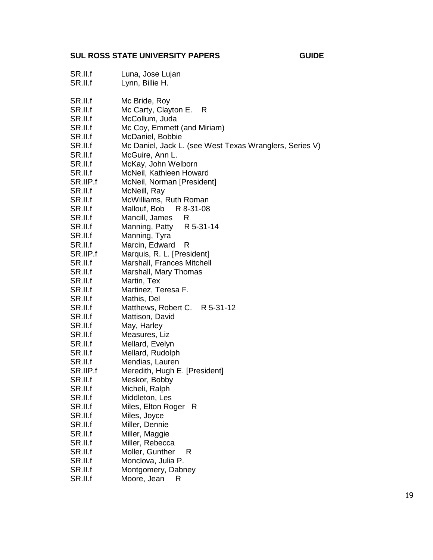- SR.II.f Luna, Jose Lujan
- SR.II.f Lynn, Billie H.
- SR.II.f Mc Bride, Roy
- SR.II.f Mc Carty, Clayton E. R
- SR.II.f McCollum, Juda
- SR.II.f Mc Coy, Emmett (and Miriam)
- SR.II.f McDaniel, Bobbie
- SR.II.f Mc Daniel, Jack L. (see West Texas Wranglers, Series V)
- SR.II.f McGuire, Ann L.
- SR.II.f McKay, John Welborn
- SR.II.f McNeil, Kathleen Howard
- SR.IIP.f McNeil, Norman [President]
- SR.II.f McNeill, Ray
- SR.II.f McWilliams, Ruth Roman
- SR.II.f Mallouf, Bob R 8-31-08
- SR.II.f Mancill, James R
- SR.II.f Manning, Patty R 5-31-14
- SR.II.f Manning, Tyra
- SR.II.f Marcin, Edward R
- SR.IIP.f Marquis, R. L. [President]
- SR.II.f Marshall, Frances Mitchell
- SR.II.f Marshall, Mary Thomas
- SR.II.f Martin, Tex
- SR.II.f Martinez, Teresa F.
- SR.II.f Mathis, Del
- SR.II.f Matthews, Robert C. R 5-31-12
- SR.II.f Mattison, David
- SR.II.f May, Harley
- SR.II.f Measures, Liz
- SR.II.f Mellard, Evelyn
- SR.II.f Mellard, Rudolph
- SR.II.f Mendias, Lauren
- SR.IIP.f Meredith, Hugh E. [President]
- SR.II.f Meskor, Bobby
- SR.II.f Micheli, Ralph
- SR.II.f Middleton, Les
- SR.II.f Miles, Elton Roger R
- SR.II.f Miles, Joyce
- SR.II.f Miller, Dennie
- SR.II.f Miller, Maggie
- SR.II.f Miller, Rebecca
- SR.II.f Moller, Gunther R
- SR.II.f Monclova, Julia P.
- SR.II.f Montgomery, Dabney
- SR.II.f Moore, Jean R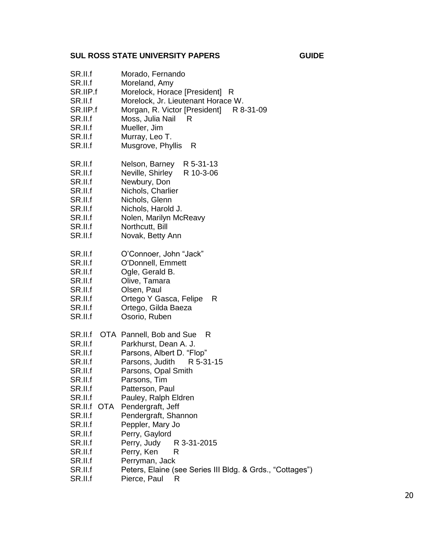| v.<br>×<br>٧<br>٠ |  |
|-------------------|--|
|-------------------|--|

| SR.II.f<br>SR.II.f<br>SR.IIP.f<br>SR.II.f<br>SR.IIP.f<br>SR.II.f<br>SR.II.f<br>SR.II.f<br>SR.II.f                                              | Morado, Fernando<br>Moreland, Amy<br>Morelock, Horace [President]<br>- R<br>Morelock, Jr. Lieutenant Horace W.<br>Morgan, R. Victor [President] R 8-31-09<br>Moss, Julia Nail<br>- R<br>Mueller, Jim<br>Murray, Leo T.<br>Musgrove, Phyllis<br>R                                         |
|------------------------------------------------------------------------------------------------------------------------------------------------|------------------------------------------------------------------------------------------------------------------------------------------------------------------------------------------------------------------------------------------------------------------------------------------|
| SR.II.f<br>SR.II.f<br>SR.II.f<br>SR.II.f<br>SR.II.f<br>SR.II.f<br>SR.II.f<br>SR.II.f<br>SR.II.f                                                | Nelson, Barney R 5-31-13<br>Neville, Shirley<br>R 10-3-06<br>Newbury, Don<br>Nichols, Charlier<br>Nichols, Glenn<br>Nichols, Harold J.<br>Nolen, Marilyn McReavy<br>Northcutt, Bill<br>Novak, Betty Ann                                                                                  |
| SR.II.f<br>SR.II.f<br>SR.II.f<br>SR.II.f<br>SR.II.f<br>SR.II.f<br>SR.II.f<br>SR.II.f                                                           | O'Connoer, John "Jack"<br>O'Donnell, Emmett<br>Ogle, Gerald B.<br>Olive, Tamara<br>Olsen, Paul<br>Ortego Y Gasca, Felipe<br>R<br>Ortego, Gilda Baeza<br>Osorio, Ruben                                                                                                                    |
| SR.II.f<br>SR.II.f<br>SR.II.f<br>SR.II.f<br>SR.II.f<br>SR.II.f<br>SR.II.f<br>SR.II.f<br>SR.II.f<br><b>OTA</b><br>SR.II.f<br>SR.II.f<br>SR.II.f | OTA Pannell, Bob and Sue<br>R<br>Parkhurst, Dean A. J.<br>Parsons, Albert D. "Flop"<br>Parsons, Judith<br>R 5-31-15<br>Parsons, Opal Smith<br>Parsons, Tim<br>Patterson, Paul<br>Pauley, Ralph Eldren<br>Pendergraft, Jeff<br>Pendergraft, Shannon<br>Peppler, Mary Jo<br>Perry, Gaylord |
| SR.II.f<br>SR.II.f<br>SR.II.f<br>SR.II.f<br>SR.II.f                                                                                            | Perry, Judy<br>R 3-31-2015<br>Perry, Ken<br>R<br>Perryman, Jack<br>Peters, Elaine (see Series III Bldg. & Grds., "Cottages")<br>Pierce, Paul<br>R                                                                                                                                        |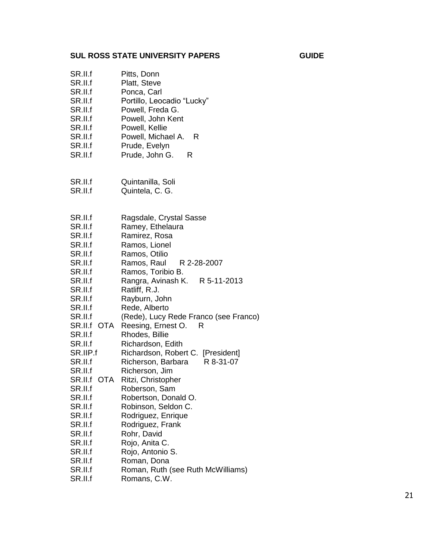| SR.II.f<br>SR.II.f<br>SR.II.f<br>SR.II.f<br>SR.II.f<br>SR.II.f<br>SR.II.f<br>SR.II.f<br>SR.II.f<br>SR.II.f                                                                                                                                                                                                                                 | Pitts, Donn<br>Platt, Steve<br>Ponca, Carl<br>Portillo, Leocadio "Lucky"<br>Powell, Freda G.<br>Powell, John Kent<br>Powell, Kellie<br>Powell, Michael A.<br>R<br>Prude, Evelyn<br>Prude, John G.<br>R                                                                                                                                                                                                                                                                                                                                                                                                                                                                               |
|--------------------------------------------------------------------------------------------------------------------------------------------------------------------------------------------------------------------------------------------------------------------------------------------------------------------------------------------|--------------------------------------------------------------------------------------------------------------------------------------------------------------------------------------------------------------------------------------------------------------------------------------------------------------------------------------------------------------------------------------------------------------------------------------------------------------------------------------------------------------------------------------------------------------------------------------------------------------------------------------------------------------------------------------|
| SR.II.f<br>SR.II.f                                                                                                                                                                                                                                                                                                                         | Quintanilla, Soli<br>Quintela, C. G.                                                                                                                                                                                                                                                                                                                                                                                                                                                                                                                                                                                                                                                 |
| SR.II.f<br>SR.II.f<br>SR.II.f<br>SR.II.f<br>SR.II.f<br>SR.II.f<br>SR.II.f<br>SR.II.f<br>SR.II.f<br>SR.II.f<br>SR.II.f<br>SR.II.f<br>SR.II.f<br>OTA<br>SR.II.f<br>SR.II.f<br>SR.IIP.f<br>SR.II.f<br>SR.II.f<br>SR.II.f<br>OTA<br>SR.II.f<br>SR.II.f<br>SR.II.f<br>SR.II.f<br>SR.II.f<br>SR.II.f<br>SR.II.f<br>SR.II.f<br>SR.II.f<br>SR.II.f | Ragsdale, Crystal Sasse<br>Ramey, Ethelaura<br>Ramirez, Rosa<br>Ramos, Lionel<br>Ramos, Otilio<br>Ramos, Raul<br>R 2-28-2007<br>Ramos, Toribio B.<br>Rangra, Avinash K. R 5-11-2013<br>Ratliff, R.J.<br>Rayburn, John<br>Rede, Alberto<br>(Rede), Lucy Rede Franco (see Franco)<br>Reesing, Ernest O.<br>R<br>Rhodes, Billie<br>Richardson, Edith<br>Richardson, Robert C. [President]<br>Richerson, Barbara<br>R 8-31-07<br>Richerson, Jim<br>Ritzi, Christopher<br>Roberson, Sam<br>Robertson, Donald O.<br>Robinson, Seldon C.<br>Rodriguez, Enrique<br>Rodriguez, Frank<br>Rohr, David<br>Rojo, Anita C.<br>Rojo, Antonio S.<br>Roman, Dona<br>Roman, Ruth (see Ruth McWilliams) |

SR.II.f Romans, C.W.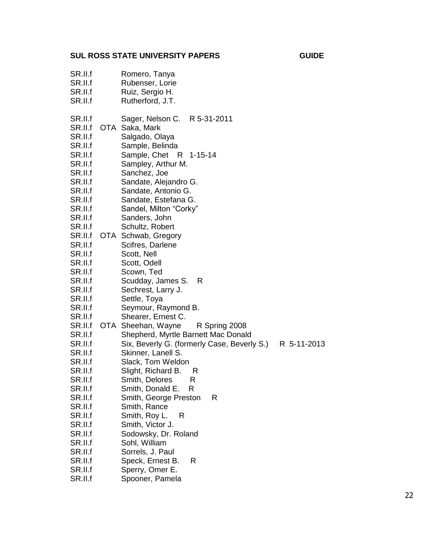| SR.II.f<br>SR.II.f<br>SR.II.f<br>SR.II.f | Romero, Tanya<br>Rubenser, Lorie<br>Ruiz, Sergio H.<br>Rutherford, J.T.             |             |
|------------------------------------------|-------------------------------------------------------------------------------------|-------------|
| SR.II.f<br>SR.II.f<br>SR.II.f<br>SR.II.f | Sager, Nelson C. R 5-31-2011<br>OTA Saka, Mark<br>Salgado, Olaya<br>Sample, Belinda |             |
| SR.II.f<br>SR.II.f<br>SR.II.f            | Sample, Chet<br>R 1-15-14<br>Sampley, Arthur M.<br>Sanchez, Joe                     |             |
| SR.II.f<br>SR.II.f<br>SR.II.f            | Sandate, Alejandro G.<br>Sandate, Antonio G.<br>Sandate, Estefana G.                |             |
| SR.II.f<br>SR.II.f                       | Sandel, Milton "Corky"<br>Sanders, John                                             |             |
| SR.II.f<br>SR.II.f                       | Schultz, Robert<br>OTA Schwab, Gregory                                              |             |
| SR.II.f<br>SR.II.f                       | Scifres, Darlene                                                                    |             |
| SR.II.f                                  | Scott, Nell<br>Scott, Odell                                                         |             |
| SR.II.f<br>SR.II.f                       | Scown, Ted<br>Scudday, James S.<br>R                                                |             |
| SR.II.f                                  | Sechrest, Larry J.                                                                  |             |
| SR.II.f<br>SR.II.f                       | Settle, Toya<br>Seymour, Raymond B.                                                 |             |
| SR.II.f                                  | Shearer, Ernest C.                                                                  |             |
| SR.II.f<br>SR.II.f                       | OTA Sheehan, Wayne<br>R Spring 2008<br>Shepherd, Myrtle Barnett Mac Donald          |             |
| SR.II.f                                  | Six, Beverly G. (formerly Case, Beverly S.)                                         | R 5-11-2013 |
| SR.II.f                                  | Skinner, Lanell S.                                                                  |             |
| SR.II.f<br>SR.II.f                       | Slack, Tom Weldon<br>Slight, Richard B.<br>R                                        |             |
| SR.II.f                                  | Smith, Delores<br>R                                                                 |             |
| SR.II.f<br>SR.II.f                       | Smith, Donald E. R<br>Smith, George Preston<br>R                                    |             |
| SR.II.f                                  | Smith, Rance                                                                        |             |
| SR.II.f                                  | Smith, Roy L.<br>R                                                                  |             |
| SR.II.f<br>SR.II.f                       | Smith, Victor J.<br>Sodowsky, Dr. Roland                                            |             |
| SR.II.f                                  | Sohl, William                                                                       |             |
| SR.II.f                                  | Sorrels, J. Paul                                                                    |             |
| SR.II.f<br>SR.II.f                       | Speck, Ernest B.<br>R<br>Sperry, Omer E.                                            |             |
|                                          |                                                                                     |             |

SR.II.f Spooner, Pamela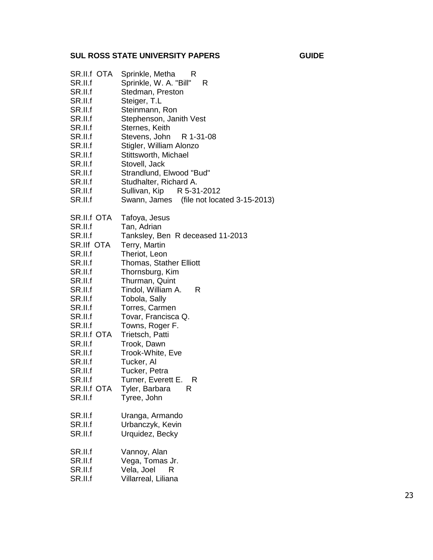| SR.II.f OTA<br>SR.II.f<br>SR.II.f<br>SR.II.f<br>SR.II.f<br>SR.II.f<br>SR.II.f<br>SR.II.f<br>SR.II.f<br>SR.II.f<br>SR.II.f<br>SR.II.f<br>SR.II.f<br>SR.II.f<br>SR.II.f                                                                              | Sprinkle, Metha<br>R<br>Sprinkle, W. A. "Bill" R<br>Stedman, Preston<br>Steiger, T.L<br>Steinmann, Ron<br>Stephenson, Janith Vest<br>Sternes, Keith<br>Stevens, John<br>R 1-31-08<br>Stigler, William Alonzo<br>Stittsworth, Michael<br>Stovell, Jack<br>Strandlund, Elwood "Bud"<br>Studhalter, Richard A.<br>Sullivan, Kip<br>R 5-31-2012<br>Swann, James (file not located 3-15-2013)                                             |
|----------------------------------------------------------------------------------------------------------------------------------------------------------------------------------------------------------------------------------------------------|--------------------------------------------------------------------------------------------------------------------------------------------------------------------------------------------------------------------------------------------------------------------------------------------------------------------------------------------------------------------------------------------------------------------------------------|
| SR.II.f OTA<br>SR.II.f<br>SR.II.f<br>SR.IIf OTA<br>SR.II.f<br>SR.II.f<br>SR.II.f<br>SR.II.f<br>SR.II.f<br>SR.II.f<br>SR.II.f<br>SR.II.f<br>SR.II.f<br>SR.II.f OTA<br>SR.II.f<br>SR.II.f<br>SR.II.f<br>SR.II.f<br>SR.II.f<br>SR.II.f OTA<br>SR.II.f | Tafoya, Jesus<br>Tan, Adrian<br>Tanksley, Ben R deceased 11-2013<br>Terry, Martin<br>Theriot, Leon<br><b>Thomas, Stather Elliott</b><br>Thornsburg, Kim<br>Thurman, Quint<br>Tindol, William A.<br>R<br>Tobola, Sally<br>Torres, Carmen<br>Tovar, Francisca Q.<br>Towns, Roger F.<br>Trietsch, Patti<br>Trook, Dawn<br>Trook-White, Eve<br>Tucker, Al<br>Tucker, Petra<br>Turner, Everett E. R<br>Tyler, Barbara<br>R<br>Tyree, John |
| SR.II.f<br>SR.II.f<br>SR.II.f                                                                                                                                                                                                                      | Uranga, Armando<br>Urbanczyk, Kevin<br>Urquidez, Becky                                                                                                                                                                                                                                                                                                                                                                               |
| SR.II.f<br>SR.II.f<br>SR.II.f<br>SR.II.f                                                                                                                                                                                                           | Vannoy, Alan<br>Vega, Tomas Jr.<br>Vela, Joel<br>R<br>Villarreal, Liliana                                                                                                                                                                                                                                                                                                                                                            |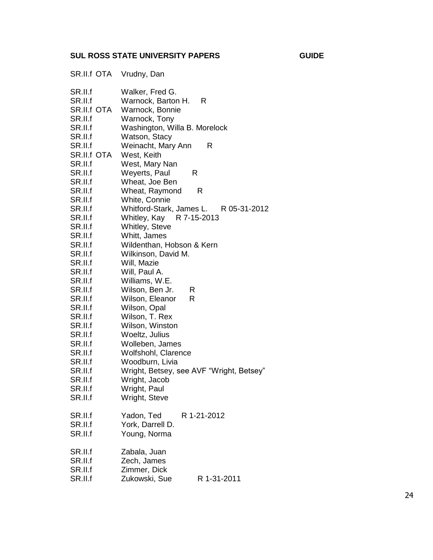|                                                                                                                                                                                                                                                                                                                                                                                            | SR.II.f OTA Vrudny, Dan                                                                                                                                                                                                                                                                                                                                                                                                                                                                                                                                                                                                                                                                                                                                    |
|--------------------------------------------------------------------------------------------------------------------------------------------------------------------------------------------------------------------------------------------------------------------------------------------------------------------------------------------------------------------------------------------|------------------------------------------------------------------------------------------------------------------------------------------------------------------------------------------------------------------------------------------------------------------------------------------------------------------------------------------------------------------------------------------------------------------------------------------------------------------------------------------------------------------------------------------------------------------------------------------------------------------------------------------------------------------------------------------------------------------------------------------------------------|
| SR.II.f<br>SR.II.f<br>SR.II.f OTA<br>SR.II.f<br>SR.II.f<br>SR.II.f<br>SR.II.f<br>SR.II.f OTA<br>SR.II.f<br>SR.II.f<br>SR.II.f<br>SR.II.f<br>SR.II.f<br>SR.II.f<br>SR.II.f<br>SR.II.f<br>SR.II.f<br>SR.II.f<br>SR.II.f<br>SR.II.f<br>SR.II.f<br>SR.II.f<br>SR.II.f<br>SR.II.f<br>SR.II.f<br>SR.II.f<br>SR.II.f<br>SR.II.f<br>SR.II.f<br>SR.II.f<br>SR.II.f<br>SR.II.f<br>SR.II.f<br>SR.II.f | Walker, Fred G.<br>Warnock, Barton H.<br>R<br>Warnock, Bonnie<br>Warnock, Tony<br>Washington, Willa B. Morelock<br>Watson, Stacy<br>Weinacht, Mary Ann<br>R<br>West, Keith<br>West, Mary Nan<br>Weyerts, Paul<br>R<br>Wheat, Joe Ben<br>Wheat, Raymond<br>R<br>White, Connie<br>Whitford-Stark, James L. R 05-31-2012<br>Whitley, Kay R 7-15-2013<br>Whitley, Steve<br>Whitt, James<br>Wildenthan, Hobson & Kern<br>Wilkinson, David M.<br>Will, Mazie<br>Will, Paul A.<br>Williams, W.E.<br>Wilson, Ben Jr.<br>R<br>Wilson, Eleanor<br>R<br>Wilson, Opal<br>Wilson, T. Rex<br>Wilson, Winston<br>Woeltz, Julius<br>Wolleben, James<br>Wolfshohl, Clarence<br>Woodburn, Livia<br>Wright, Betsey, see AVF "Wright, Betsey"<br>Wright, Jacob<br>Wright, Paul |
| SR.II.f                                                                                                                                                                                                                                                                                                                                                                                    | Wright, Steve                                                                                                                                                                                                                                                                                                                                                                                                                                                                                                                                                                                                                                                                                                                                              |
| SR.II.f<br>SR.II.f<br>SR.II.f                                                                                                                                                                                                                                                                                                                                                              | Yadon, Ted<br>R 1-21-2012<br>York, Darrell D.<br>Young, Norma                                                                                                                                                                                                                                                                                                                                                                                                                                                                                                                                                                                                                                                                                              |
| SR.II.f<br>SR.II.f<br>SR.II.f                                                                                                                                                                                                                                                                                                                                                              | Zabala, Juan<br>Zech, James<br>Zimmer, Dick                                                                                                                                                                                                                                                                                                                                                                                                                                                                                                                                                                                                                                                                                                                |

SR.II.f Zukowski, Sue R 1-31-2011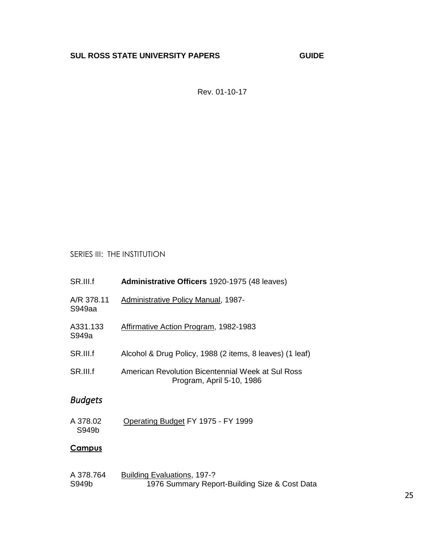Rev. 01-10-17

## SERIES III: THE INSTITUTION

| SR.III.f             | Administrative Officers 1920-1975 (48 leaves)                                  |
|----------------------|--------------------------------------------------------------------------------|
| A/R 378.11<br>S949aa | Administrative Policy Manual, 1987-                                            |
| A331.133<br>S949a    | <b>Affirmative Action Program, 1982-1983</b>                                   |
| SR.III.f             | Alcohol & Drug Policy, 1988 (2 items, 8 leaves) (1 leaf)                       |
| SR.III.f             | American Revolution Bicentennial Week at Sul Ross<br>Program, April 5-10, 1986 |
| <b>Budgets</b>       |                                                                                |
| A 378.02<br>S949b    | Operating Budget FY 1975 - FY 1999                                             |
| <b>Campus</b>        |                                                                                |
| A 378.764<br>S949b   | Building Evaluations, 197-?<br>1976 Summary Report-Building Size & Cost Data   |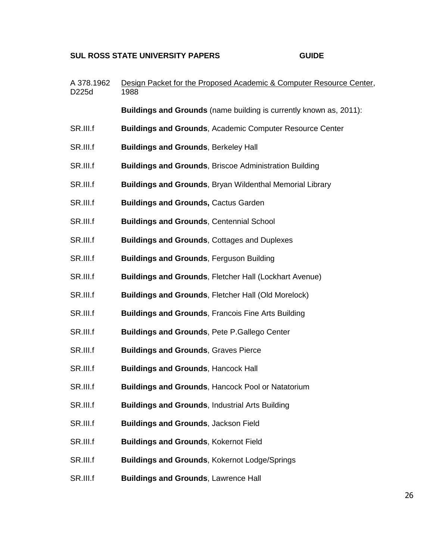| A 378.1962<br>D225d | Design Packet for the Proposed Academic & Computer Resource Center,<br>1988 |
|---------------------|-----------------------------------------------------------------------------|
|                     | Buildings and Grounds (name building is currently known as, 2011):          |
| SR.III.f            | <b>Buildings and Grounds, Academic Computer Resource Center</b>             |
| SR.III.f            | <b>Buildings and Grounds, Berkeley Hall</b>                                 |
| SR.III.f            | <b>Buildings and Grounds, Briscoe Administration Building</b>               |
| SR.III.f            | <b>Buildings and Grounds, Bryan Wildenthal Memorial Library</b>             |
| SR.III.f            | <b>Buildings and Grounds, Cactus Garden</b>                                 |
| SR.III.f            | <b>Buildings and Grounds, Centennial School</b>                             |
| SR.III.f            | <b>Buildings and Grounds, Cottages and Duplexes</b>                         |
| SR.III.f            | <b>Buildings and Grounds, Ferguson Building</b>                             |
| SR.III.f            | <b>Buildings and Grounds, Fletcher Hall (Lockhart Avenue)</b>               |
| SR.III.f            | <b>Buildings and Grounds, Fletcher Hall (Old Morelock)</b>                  |
| SR.III.f            | <b>Buildings and Grounds, Francois Fine Arts Building</b>                   |
| SR.III.f            | <b>Buildings and Grounds, Pete P. Gallego Center</b>                        |
| SR.III.f            | <b>Buildings and Grounds, Graves Pierce</b>                                 |
| SR.III.f            | <b>Buildings and Grounds, Hancock Hall</b>                                  |
| SR.III.f            | <b>Buildings and Grounds, Hancock Pool or Natatorium</b>                    |
| SR.III.f            | <b>Buildings and Grounds, Industrial Arts Building</b>                      |
| SR.III.f            | <b>Buildings and Grounds, Jackson Field</b>                                 |
| SR.III.f            | <b>Buildings and Grounds, Kokernot Field</b>                                |
| SR.III.f            | <b>Buildings and Grounds, Kokernot Lodge/Springs</b>                        |
| SR.III.f            | <b>Buildings and Grounds, Lawrence Hall</b>                                 |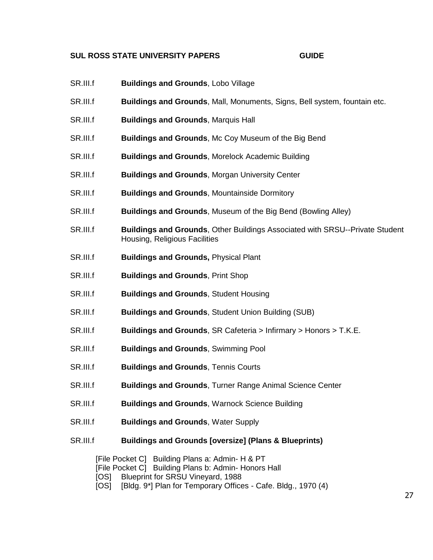- SR.III.f **Buildings and Grounds**, Lobo Village
- SR.III.f **Buildings and Grounds**, Mall, Monuments, Signs, Bell system, fountain etc.
- SR.III.f **Buildings and Grounds**, Marquis Hall
- SR.III.f **Buildings and Grounds**, Mc Coy Museum of the Big Bend
- SR.III.f **Buildings and Grounds**, Morelock Academic Building
- SR.III.f **Buildings and Grounds**, Morgan University Center
- SR.III.f **Buildings and Grounds**, Mountainside Dormitory
- SR.III.f **Buildings and Grounds**, Museum of the Big Bend (Bowling Alley)
- SR.III.f **Buildings and Grounds**, Other Buildings Associated with SRSU--Private Student Housing, Religious Facilities
- SR.III.f **Buildings and Grounds,** Physical Plant
- SR.III.f **Buildings and Grounds**, Print Shop
- SR.III.f **Buildings and Grounds**, Student Housing
- SR.III.f **Buildings and Grounds**, Student Union Building (SUB)
- SR.III.f **Buildings and Grounds**, SR Cafeteria > Infirmary > Honors > T.K.E.
- SR.III.f **Buildings and Grounds**, Swimming Pool
- SR.III.f **Buildings and Grounds**, Tennis Courts
- SR.III.f **Buildings and Grounds**, Turner Range Animal Science Center
- SR.III.f **Buildings and Grounds**, Warnock Science Building
- SR.III.f **Buildings and Grounds**, Water Supply
- SR.III.f **Buildings and Grounds [oversize] (Plans & Blueprints)**

[File Pocket C] Building Plans a: Admin- H & PT [File Pocket C] Building Plans b: Admin- Honors Hall [OS] Blueprint for SRSU Vineyard, 1988 [OS] [Bldg. 9\*] Plan for Temporary Offices - Cafe. Bldg., 1970 (4)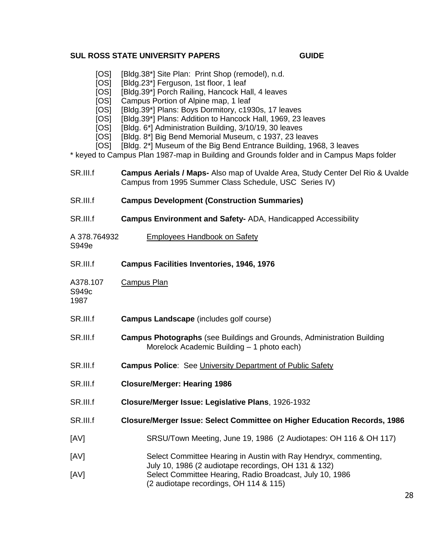- [OS] [Bldg.38\*] Site Plan: Print Shop (remodel), n.d.
- [OS] [Bldg.23\*] Ferguson, 1st floor, 1 leaf
- [OS] [Bldg.39\*] Porch Railing, Hancock Hall, 4 leaves
- [OS] Campus Portion of Alpine map, 1 leaf
- [OS] [Bldg.39\*] Plans: Boys Dormitory, c1930s, 17 leaves
- [OS] [Bldg.39\*] Plans: Addition to Hancock Hall, 1969, 23 leaves
- [OS] [Bldg. 6\*] Administration Building, 3/10/19, 30 leaves
- [OS] [Bldg. 8\*] Big Bend Memorial Museum, c 1937, 23 leaves
- [OS] [Bldg. 2\*] Museum of the Big Bend Entrance Building, 1968, 3 leaves

\* keyed to Campus Plan 1987-map in Building and Grounds folder and in Campus Maps folder

| SR.III.f                              | Campus Aerials / Maps- Also map of Uvalde Area, Study Center Del Rio & Uvalde<br>Campus from 1995 Summer Class Schedule, USC Series IV) |  |
|---------------------------------------|-----------------------------------------------------------------------------------------------------------------------------------------|--|
| SR.III.f                              | <b>Campus Development (Construction Summaries)</b>                                                                                      |  |
| SR.III.f                              | <b>Campus Environment and Safety-ADA, Handicapped Accessibility</b>                                                                     |  |
| A 378.764932<br>S949e                 | <b>Employees Handbook on Safety</b>                                                                                                     |  |
| SR.III.f                              | <b>Campus Facilities Inventories, 1946, 1976</b>                                                                                        |  |
| A378.107<br>S949 <sub>c</sub><br>1987 | <b>Campus Plan</b>                                                                                                                      |  |
| SR.III.f                              | <b>Campus Landscape</b> (includes golf course)                                                                                          |  |
| SR.III.f                              | <b>Campus Photographs</b> (see Buildings and Grounds, Administration Building<br>Morelock Academic Building - 1 photo each)             |  |
| SR.III.f                              | <b>Campus Police:</b> See University Department of Public Safety                                                                        |  |
| SR.III.f                              | <b>Closure/Merger: Hearing 1986</b>                                                                                                     |  |
| SR.III.f                              | Closure/Merger Issue: Legislative Plans, 1926-1932                                                                                      |  |
| SR.III.f                              | <b>Closure/Merger Issue: Select Committee on Higher Education Records, 1986</b>                                                         |  |
| [AV]                                  | SRSU/Town Meeting, June 19, 1986 (2 Audiotapes: OH 116 & OH 117)                                                                        |  |
| [AV]                                  | Select Committee Hearing in Austin with Ray Hendryx, commenting,<br>July 10, 1986 (2 audiotape recordings, OH 131 & 132)                |  |
| [AV]                                  | Select Committee Hearing, Radio Broadcast, July 10, 1986<br>(2 audiotape recordings, OH 114 & 115)<br>28                                |  |
|                                       |                                                                                                                                         |  |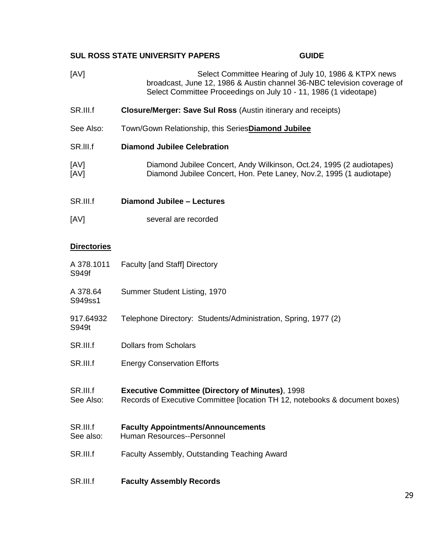- [AV] Select Committee Hearing of July 10, 1986 & KTPX news broadcast, June 12, 1986 & Austin channel 36-NBC television coverage of Select Committee Proceedings on July 10 - 11, 1986 (1 videotape)
- SR.III.f **Closure/Merger: Save Sul Ross** (Austin itinerary and receipts)
- See Also: Town/Gown Relationship, this Series**Diamond Jubilee**
- SR.lII.f **Diamond Jubilee Celebration**
- [AV] Diamond Jubilee Concert, Andy Wilkinson, Oct.24, 1995 (2 audiotapes) [AV] Diamond Jubilee Concert, Hon. Pete Laney, Nov.2, 1995 (1 audiotape)
- SR.III.f **Diamond Jubilee – Lectures**
- [AV] several are recorded

### **Directories**

| A 378.1011<br>S949f   | <b>Faculty [and Staff] Directory</b>                                                                                                   |
|-----------------------|----------------------------------------------------------------------------------------------------------------------------------------|
| A 378.64<br>S949ss1   | Summer Student Listing, 1970                                                                                                           |
| 917.64932<br>S949t    | Telephone Directory: Students/Administration, Spring, 1977 (2)                                                                         |
| SR.III.f              | <b>Dollars from Scholars</b>                                                                                                           |
| SR.III.f              | <b>Energy Conservation Efforts</b>                                                                                                     |
| SR.III.f<br>See Also: | <b>Executive Committee (Directory of Minutes), 1998</b><br>Records of Executive Committee [location TH 12, notebooks & document boxes) |
| SR.III.f<br>See also: | <b>Faculty Appointments/Announcements</b><br>Human Resources--Personnel                                                                |
| SR.III.f              | Faculty Assembly, Outstanding Teaching Award                                                                                           |
| SR.III.f              | <b>Faculty Assembly Records</b>                                                                                                        |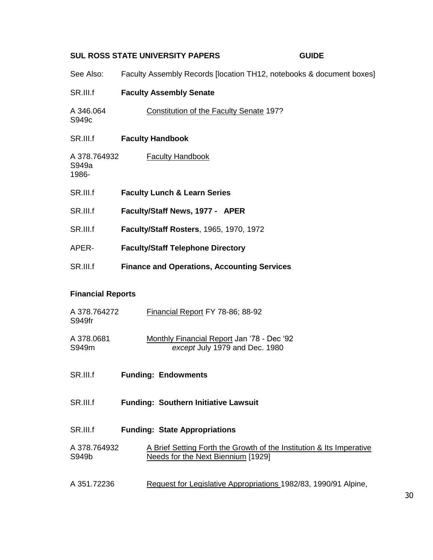| See Also:                      | Faculty Assembly Records [location TH12, notebooks & document boxes] |
|--------------------------------|----------------------------------------------------------------------|
| SR.III.f                       | <b>Faculty Assembly Senate</b>                                       |
| A 346.064<br>S949 <sub>c</sub> | <b>Constitution of the Faculty Senate 197?</b>                       |
| SR.III.f                       | <b>Faculty Handbook</b>                                              |
| A 378.764932<br>S949a<br>1986- | <b>Faculty Handbook</b>                                              |
| SR.III.f                       | <b>Faculty Lunch &amp; Learn Series</b>                              |
| SR.III.f                       | Faculty/Staff News, 1977 - APER                                      |
| SR.III.f                       | <b>Faculty/Staff Rosters, 1965, 1970, 1972</b>                       |
| APER-                          | <b>Faculty/Staff Telephone Directory</b>                             |
| SR.III.f                       | <b>Finance and Operations, Accounting Services</b>                   |

## **Financial Reports**

| A 378.764272<br>S949fr | Financial Report FY 78-86; 88-92                                                                           |
|------------------------|------------------------------------------------------------------------------------------------------------|
| A 378,0681<br>S949m    | Monthly Financial Report Jan '78 - Dec '92<br>except July 1979 and Dec. 1980                               |
| SR.III.f               | <b>Funding: Endowments</b>                                                                                 |
| SR.III.f               | <b>Funding: Southern Initiative Lawsuit</b>                                                                |
| SR.III.f               | <b>Funding: State Appropriations</b>                                                                       |
| A 378.764932<br>S949b  | A Brief Setting Forth the Growth of the Institution & Its Imperative<br>Needs for the Next Biennium [1929] |
| A 351.72236            | Request for Legislative Appropriations 1982/83, 1990/91 Alpine,                                            |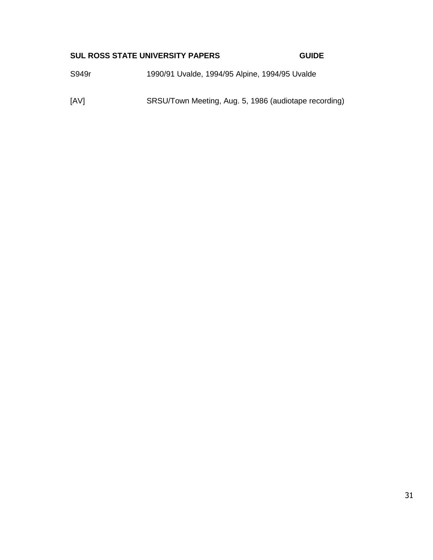S949r 1990/91 Uvalde, 1994/95 Alpine, 1994/95 Uvalde

[AV] SRSU/Town Meeting, Aug. 5, 1986 (audiotape recording)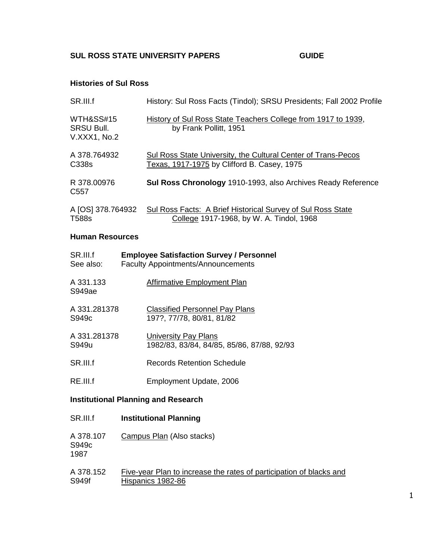#### **Histories of Sul Ross**

| SR.III.f                                       | History: Sul Ross Facts (Tindol); SRSU Presidents; Fall 2002 Profile                                         |
|------------------------------------------------|--------------------------------------------------------------------------------------------------------------|
| WTH&SS#15<br><b>SRSU Bull.</b><br>V.XXX1, No.2 | History of Sul Ross State Teachers College from 1917 to 1939,<br>by Frank Pollitt, 1951                      |
| A 378.764932<br>C338s                          | Sul Ross State University, the Cultural Center of Trans-Pecos<br>Texas, 1917-1975 by Clifford B. Casey, 1975 |
| R 378,00976<br>C <sub>55</sub> 7               | Sul Ross Chronology 1910-1993, also Archives Ready Reference                                                 |
| A [OS] 378.764932<br><b>T588s</b>              | Sul Ross Facts: A Brief Historical Survey of Sul Ross State<br>College 1917-1968, by W. A. Tindol, 1968      |

#### **Human Resources**

| SR.III.f            | <b>Employee Satisfaction Survey / Personnel</b> |
|---------------------|-------------------------------------------------|
| See also:           | <b>Faculty Appointments/Announcements</b>       |
| A 331.133<br>S949ae | Affirmative Employment Plan                     |
| A 331.281378        | <b>Classified Personnel Pay Plans</b>           |
| S949 <sub>c</sub>   | 197?, 77/78, 80/81, 81/82                       |
| A 331.281378        | <b>University Pay Plans</b>                     |
| S949u               | 1982/83, 83/84, 84/85, 85/86, 87/88, 92/93      |
| SR.III.f            | Records Retention Schedule                      |
| RE.III.f            | Employment Update, 2006                         |

## **Institutional Planning and Research**

| SR.III.f                               | <b>Institutional Planning</b>                                                            |
|----------------------------------------|------------------------------------------------------------------------------------------|
| A 378.107<br>S949 <sub>c</sub><br>1987 | Campus Plan (Also stacks)                                                                |
| A 378.152<br>S949f                     | Five-year Plan to increase the rates of participation of blacks and<br>Hispanics 1982-86 |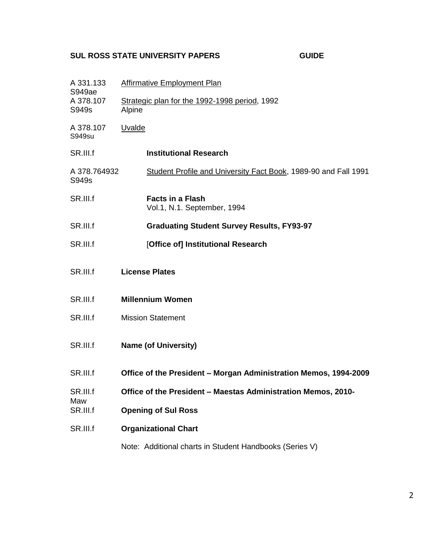| н |  |
|---|--|
|---|--|

| A 331.133<br>S949ae         | Affirmative Employment Plan                                      |  |  |
|-----------------------------|------------------------------------------------------------------|--|--|
| A 378.107<br>S949s          | Strategic plan for the 1992-1998 period, 1992<br>Alpine          |  |  |
| A 378.107<br>S949su         | Uvalde                                                           |  |  |
| SR.III.f                    | <b>Institutional Research</b>                                    |  |  |
| A 378.764932<br>S949s       | Student Profile and University Fact Book, 1989-90 and Fall 1991  |  |  |
| SR.III.f                    | <b>Facts in a Flash</b><br>Vol.1, N.1. September, 1994           |  |  |
| SR.III.f                    | <b>Graduating Student Survey Results, FY93-97</b>                |  |  |
| SR.III.f                    | [Office of] Institutional Research                               |  |  |
| SR.III.f                    | <b>License Plates</b>                                            |  |  |
| SR.III.f                    | <b>Millennium Women</b>                                          |  |  |
| SR.III.f                    | <b>Mission Statement</b>                                         |  |  |
| SR.III.f                    | <b>Name (of University)</b>                                      |  |  |
| SR.III.f                    | Office of the President - Morgan Administration Memos, 1994-2009 |  |  |
| SR III f<br>Maw<br>SR.III.f | Office of the President - Maestas Administration Memos, 2010-    |  |  |
|                             | <b>Opening of Sul Ross</b>                                       |  |  |
| SR.III.f                    | <b>Organizational Chart</b>                                      |  |  |
|                             | Note: Additional charts in Student Handbooks (Series V)          |  |  |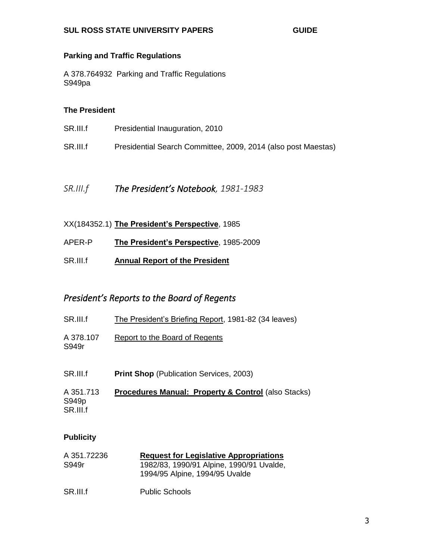### **Parking and Traffic Regulations**

A 378.764932 Parking and Traffic Regulations S949pa

#### **The President**

| SR.III.f | Presidential Inauguration, 2010                               |
|----------|---------------------------------------------------------------|
| SR.III.f | Presidential Search Committee, 2009, 2014 (also post Maestas) |

*SR.III.f The President's Notebook, 1981-1983*

- XX(184352.1) **The President's Perspective**, 1985
- APER-P **The President's Perspective**, 1985-2009
- SR.III.f **Annual Report of the President**

## *President's Reports to the Board of Regents*

| SR.III.f           | The President's Briefing Report, 1981-82 (34 leaves) |
|--------------------|------------------------------------------------------|
| A 378.107<br>S949r | Report to the Board of Regents                       |
| SR.III.f           | <b>Print Shop (Publication Services, 2003)</b>       |

A 351.713 **Procedures Manual: Property & Control** (also Stacks) S949p SR.III.f

### **Publicity**

| A 351.72236 | <b>Request for Legislative Appropriations</b> |
|-------------|-----------------------------------------------|
| S949r       | 1982/83, 1990/91 Alpine, 1990/91 Uvalde,      |
|             | 1994/95 Alpine, 1994/95 Uvalde                |
|             |                                               |

SR.III.f Public Schools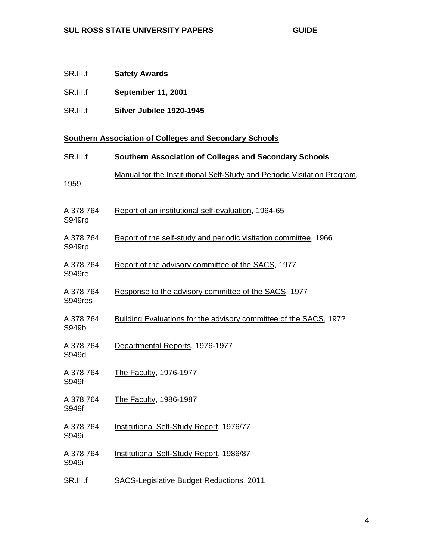- SR.III.f **September 11, 2001**
- SR.III.f **Silver Jubilee 1920-1945**

## **Southern Association of Colleges and Secondary Schools**

| SR.III.f             | Southern Association of Colleges and Secondary Schools                   |
|----------------------|--------------------------------------------------------------------------|
| 1959                 | Manual for the Institutional Self-Study and Periodic Visitation Program, |
| A 378.764<br>S949rp  | Report of an institutional self-evaluation, 1964-65                      |
| A 378.764<br>S949rp  | Report of the self-study and periodic visitation committee, 1966         |
| A 378.764<br>S949re  | Report of the advisory committee of the SACS, 1977                       |
| A 378.764<br>S949res | Response to the advisory committee of the SACS, 1977                     |
| A 378.764<br>S949b   | Building Evaluations for the advisory committee of the SACS, 197?        |
| A 378.764<br>S949d   | Departmental Reports, 1976-1977                                          |
| A 378.764<br>S949f   | The Faculty, 1976-1977                                                   |
| A 378.764<br>S949f   | The Faculty, 1986-1987                                                   |
| A 378.764<br>S949i   | <b>Institutional Self-Study Report, 1976/77</b>                          |
| A 378.764<br>S949i   | Institutional Self-Study Report, 1986/87                                 |
| SR.III.f             | SACS-Legislative Budget Reductions, 2011                                 |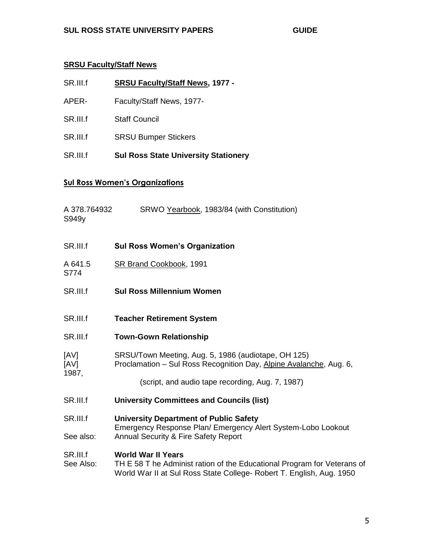## **SRSU Faculty/Staff News**

- SR.III.f **SRSU Faculty/Staff News, 1977 -**
- APER- Faculty/Staff News, 1977-
- SR.III.f Staff Council
- SR.III.f SRSU Bumper Stickers
- SR.III.f **Sul Ross State University Stationery**

## **Sul Ross Women's Organizations**

| A 378.764932<br>S949y | SRWO Yearbook, 1983/84 (with Constitution)                                                                                                                                   |
|-----------------------|------------------------------------------------------------------------------------------------------------------------------------------------------------------------------|
| SR.III.f              | <b>Sul Ross Women's Organization</b>                                                                                                                                         |
| A 641.5<br>S774       | SR Brand Cookbook, 1991                                                                                                                                                      |
| SR.III.f              | <b>Sul Ross Millennium Women</b>                                                                                                                                             |
| SR.III.f              | <b>Teacher Retirement System</b>                                                                                                                                             |
| SR.III.f              | <b>Town-Gown Relationship</b>                                                                                                                                                |
| [AV]<br>[AV]<br>1987, | SRSU/Town Meeting, Aug. 5, 1986 (audiotape, OH 125)<br>Proclamation - Sul Ross Recognition Day, Alpine Avalanche, Aug. 6,                                                    |
|                       | (script, and audio tape recording, Aug. 7, 1987)                                                                                                                             |
| SR.III.f              | <b>University Committees and Councils (list)</b>                                                                                                                             |
| SR.III.f              | <b>University Department of Public Safety</b>                                                                                                                                |
| See also:             | Emergency Response Plan/ Emergency Alert System-Lobo Lookout<br>Annual Security & Fire Safety Report                                                                         |
| SR.III.f<br>See Also: | <b>World War II Years</b><br>TH E 58 T he Administ ration of the Educational Program for Veterans of<br>World War II at Sul Ross State College- Robert T. English, Aug. 1950 |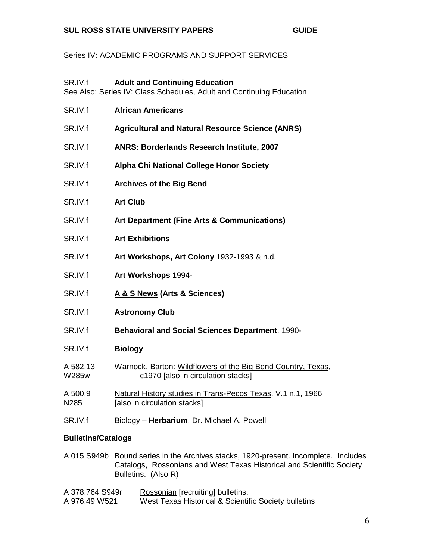Series IV: ACADEMIC PROGRAMS AND SUPPORT SERVICES

| SR.IV.f                   | <b>Adult and Continuing Education</b><br>See Also: Series IV: Class Schedules, Adult and Continuing Education |
|---------------------------|---------------------------------------------------------------------------------------------------------------|
| SR.IV.f                   | <b>African Americans</b>                                                                                      |
| SR.IV.f                   | <b>Agricultural and Natural Resource Science (ANRS)</b>                                                       |
| SR.IV.f                   | ANRS: Borderlands Research Institute, 2007                                                                    |
| SR.IV.f                   | Alpha Chi National College Honor Society                                                                      |
| SR.IV.f                   | <b>Archives of the Big Bend</b>                                                                               |
| SR.IV.f                   | <b>Art Club</b>                                                                                               |
| SR.IV.f                   | Art Department (Fine Arts & Communications)                                                                   |
| SR.IV.f                   | <b>Art Exhibitions</b>                                                                                        |
| SR.IV.f                   | Art Workshops, Art Colony 1932-1993 & n.d.                                                                    |
| SR.IV.f                   | Art Workshops 1994-                                                                                           |
| SR.IV.f                   | A & S News (Arts & Sciences)                                                                                  |
| SR.IV.f                   | <b>Astronomy Club</b>                                                                                         |
| SR.IV.f                   | <b>Behavioral and Social Sciences Department, 1990-</b>                                                       |
| SR.IV.f                   | <b>Biology</b>                                                                                                |
| A 582.13<br>W285w         | Warnock, Barton: Wildflowers of the Big Bend Country, Texas,<br>c1970 [also in circulation stacks]            |
| A 500.9<br>N285           | Natural History studies in Trans-Pecos Texas, V.1 n.1, 1966<br>[also in circulation stacks]                   |
| SR.IV.f                   | Biology - Herbarium, Dr. Michael A. Powell                                                                    |
| <b>Bulletins/Catalogs</b> |                                                                                                               |

A 015 S949b Bound series in the Archives stacks, 1920-present. Incomplete. Includes Catalogs, Rossonians and West Texas Historical and Scientific Society Bulletins. (Also R)

| A 378.764 S949r | Rossonian [recruiting] bulletins.                    |
|-----------------|------------------------------------------------------|
| A 976.49 W521   | West Texas Historical & Scientific Society bulletins |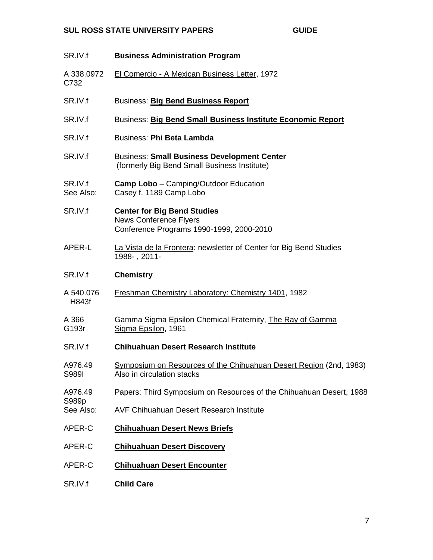| SR.IV.f              | <b>Business Administration Program</b>                                                                          |
|----------------------|-----------------------------------------------------------------------------------------------------------------|
| A 338.0972<br>C732   | El Comercio - A Mexican Business Letter, 1972                                                                   |
| SR.IV.f              | <b>Business: Big Bend Business Report</b>                                                                       |
| SR.IV.f              | Business: Big Bend Small Business Institute Economic Report                                                     |
| SR.IV.f              | <b>Business: Phi Beta Lambda</b>                                                                                |
| SR.IV.f              | <b>Business: Small Business Development Center</b><br>(formerly Big Bend Small Business Institute)              |
| SR.IV.f<br>See Also: | <b>Camp Lobo</b> – Camping/Outdoor Education<br>Casey f. 1189 Camp Lobo                                         |
| SR.IV.f              | <b>Center for Big Bend Studies</b><br><b>News Conference Flyers</b><br>Conference Programs 1990-1999, 2000-2010 |
| APER-L               | La Vista de la Frontera: newsletter of Center for Big Bend Studies<br>1988-, 2011-                              |
| SR.IV.f              | <b>Chemistry</b>                                                                                                |
| A 540.076<br>H843f   | Freshman Chemistry Laboratory: Chemistry 1401, 1982                                                             |
| A 366<br>G193r       | Gamma Sigma Epsilon Chemical Fraternity, The Ray of Gamma<br>Sigma Epsilon, 1961                                |
| SR.IV.f              | <b>Chihuahuan Desert Research Institute</b>                                                                     |
| A976.49<br>S989I     | Symposium on Resources of the Chihuahuan Desert Region (2nd, 1983)<br>Also in circulation stacks                |
| A976.49<br>S989p     | Papers: Third Symposium on Resources of the Chihuahuan Desert, 1988                                             |
| See Also:            | <b>AVF Chihuahuan Desert Research Institute</b>                                                                 |
| APER-C               | <b>Chihuahuan Desert News Briefs</b>                                                                            |
| APER-C               | <b>Chihuahuan Desert Discovery</b>                                                                              |
| APER-C               | <b>Chihuahuan Desert Encounter</b>                                                                              |
| SR.IV.f              | <b>Child Care</b>                                                                                               |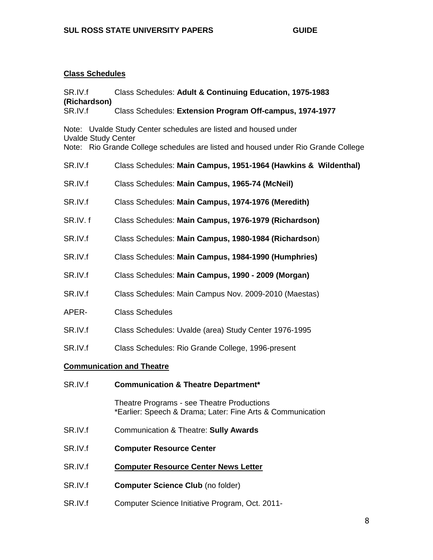## **Class Schedules**

| SR.IV.f<br>(Richardson)<br>SR.IV.f | Class Schedules: Adult & Continuing Education, 1975-1983                                                 |  |
|------------------------------------|----------------------------------------------------------------------------------------------------------|--|
|                                    | Class Schedules: Extension Program Off-campus, 1974-1977                                                 |  |
|                                    | Note: Uvalde Study Center schedules are listed and housed under                                          |  |
| <b>Uvalde Study Center</b>         | Note: Rio Grande College schedules are listed and housed under Rio Grande College                        |  |
| SR.IV.f                            | Class Schedules: Main Campus, 1951-1964 (Hawkins & Wildenthal)                                           |  |
| SR.IV.f                            | Class Schedules: Main Campus, 1965-74 (McNeil)                                                           |  |
| SR.IV.f                            | Class Schedules: Main Campus, 1974-1976 (Meredith)                                                       |  |
| SR.IV.f                            | Class Schedules: Main Campus, 1976-1979 (Richardson)                                                     |  |
| SR.IV.f                            | Class Schedules: Main Campus, 1980-1984 (Richardson)                                                     |  |
| SR.IV.f                            | Class Schedules: Main Campus, 1984-1990 (Humphries)                                                      |  |
| SR.IV.f                            | Class Schedules: Main Campus, 1990 - 2009 (Morgan)                                                       |  |
| SR.IV.f                            | Class Schedules: Main Campus Nov. 2009-2010 (Maestas)                                                    |  |
| APER-                              | <b>Class Schedules</b>                                                                                   |  |
| SR.IV.f                            | Class Schedules: Uvalde (area) Study Center 1976-1995                                                    |  |
| SR.IV.f                            | Class Schedules: Rio Grande College, 1996-present                                                        |  |
| <b>Communication and Theatre</b>   |                                                                                                          |  |
| SR.IV.f                            | <b>Communication &amp; Theatre Department*</b>                                                           |  |
|                                    | Theatre Programs - see Theatre Productions<br>*Earlier: Speech & Drama; Later: Fine Arts & Communication |  |
| SR.IV.f                            | <b>Communication &amp; Theatre: Sully Awards</b>                                                         |  |
| SR.IV.f                            | <b>Computer Resource Center</b>                                                                          |  |
| SR.IV.f                            | <b>Computer Resource Center News Letter</b>                                                              |  |
| SR.IV.f                            | <b>Computer Science Club (no folder)</b>                                                                 |  |

SR.IV.f Computer Science Initiative Program, Oct. 2011-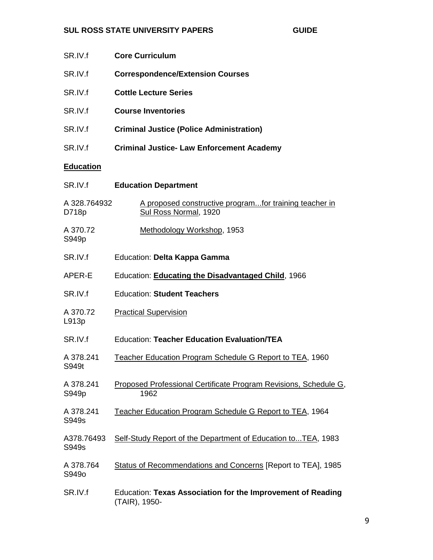| SR.IV.f               | <b>Core Curriculum</b>                                                          |
|-----------------------|---------------------------------------------------------------------------------|
| SR.IV.f               | <b>Correspondence/Extension Courses</b>                                         |
| SR.IV.f               | <b>Cottle Lecture Series</b>                                                    |
| SR.IV.f               | <b>Course Inventories</b>                                                       |
| SR.IV.f               | <b>Criminal Justice (Police Administration)</b>                                 |
| SR.IV.f               | <b>Criminal Justice- Law Enforcement Academy</b>                                |
| <b>Education</b>      |                                                                                 |
| SR.IV.f               | <b>Education Department</b>                                                     |
| A 328.764932<br>D718p | A proposed constructive programfor training teacher in<br>Sul Ross Normal, 1920 |
| A 370.72<br>S949p     | Methodology Workshop, 1953                                                      |
| SR.IV.f               | Education: Delta Kappa Gamma                                                    |
| APER-E                | Education: <b>Educating the Disadvantaged Child</b> , 1966                      |
| SR.IV.f               | <b>Education: Student Teachers</b>                                              |
| A 370.72<br>L913p     | <b>Practical Supervision</b>                                                    |
| SR.IV.f               | <b>Education: Teacher Education Evaluation/TEA</b>                              |
| A 378.241<br>S949t    | Teacher Education Program Schedule G Report to TEA, 1960                        |
| A 378.241<br>S949p    | Proposed Professional Certificate Program Revisions, Schedule G,<br>1962        |
| A 378.241<br>S949s    | Teacher Education Program Schedule G Report to TEA, 1964                        |
| A378.76493<br>S949s   | Self-Study Report of the Department of Education toTEA, 1983                    |
| A 378.764<br>S949o    | Status of Recommendations and Concerns [Report to TEA], 1985                    |
| SR.IV.f               | Education: Texas Association for the Improvement of Reading<br>(TAIR), 1950-    |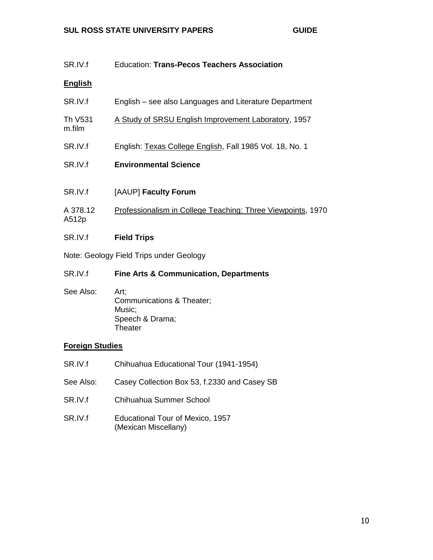| SR.IV.f                                 | <b>Education: Trans-Pecos Teachers Association</b>          |
|-----------------------------------------|-------------------------------------------------------------|
| <b>English</b>                          |                                                             |
| SR.IV.f                                 | English – see also Languages and Literature Department      |
| Th V531<br>m.film                       | A Study of SRSU English Improvement Laboratory, 1957        |
| SR.IV.f                                 | English: Texas College English, Fall 1985 Vol. 18, No. 1    |
| SR.IV.f                                 | <b>Environmental Science</b>                                |
|                                         |                                                             |
| SR.IV.f                                 | [AAUP] Faculty Forum                                        |
| A 378.12<br>A512p                       | Professionalism in College Teaching: Three Viewpoints, 1970 |
| SR.IV.f                                 | <b>Field Trips</b>                                          |
| Note: Geology Field Trips under Geology |                                                             |
| SR.IV.f                                 | <b>Fine Arts &amp; Communication, Departments</b>           |
|                                         |                                                             |

See Also: Art; Communications & Theater; Music; Speech & Drama; **Theater** 

# **Foreign Studies**

- SR.IV.f Chihuahua Educational Tour (1941-1954) See Also: Casey Collection Box 53, f.2330 and Casey SB SR.IV.f Chihuahua Summer School
- SR.IV.f Educational Tour of Mexico, 1957 (Mexican Miscellany)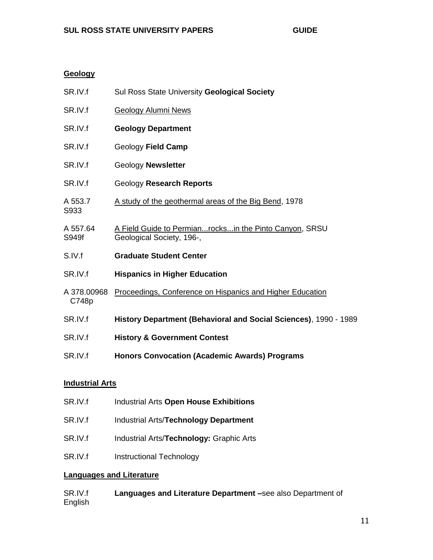## **Geology**

| SR.IV.f              | Sul Ross State University Geological Society                                        |
|----------------------|-------------------------------------------------------------------------------------|
| SR.IV.f              | <b>Geology Alumni News</b>                                                          |
| SR.IV.f              | <b>Geology Department</b>                                                           |
| SR.IV.f              | Geology Field Camp                                                                  |
| SR.IV.f              | <b>Geology Newsletter</b>                                                           |
| SR.IV.f              | Geology Research Reports                                                            |
| A 553.7<br>S933      | A study of the geothermal areas of the Big Bend, 1978                               |
| A 557.64<br>S949f    | A Field Guide to Permianrocksin the Pinto Canyon, SRSU<br>Geological Society, 196-, |
| S.IV.f               | <b>Graduate Student Center</b>                                                      |
| SR.IV.f              | <b>Hispanics in Higher Education</b>                                                |
| A 378,00968<br>C748p | Proceedings, Conference on Hispanics and Higher Education                           |
| SR.IV.f              | History Department (Behavioral and Social Sciences), 1990 - 1989                    |
| SR.IV.f              | <b>History &amp; Government Contest</b>                                             |
| SR.IV.f              | <b>Honors Convocation (Academic Awards) Programs</b>                                |
|                      |                                                                                     |

# **Industrial Arts**

| SR.IV.f | Industrial Arts Open House Exhibitions       |
|---------|----------------------------------------------|
| SR.IV.f | <b>Industrial Arts/Technology Department</b> |
| SR.IV.f | Industrial Arts/Technology: Graphic Arts     |
| SR.IV.f | Instructional Technology                     |

## **Languages and Literature**

| SR.IV.f | Languages and Literature Department -see also Department of |
|---------|-------------------------------------------------------------|
| English |                                                             |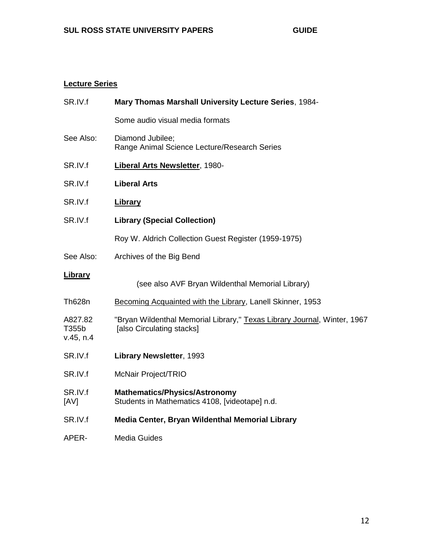# **Lecture Series**

| SR.IV.f                       | Mary Thomas Marshall University Lecture Series, 1984-                                                 |
|-------------------------------|-------------------------------------------------------------------------------------------------------|
|                               | Some audio visual media formats                                                                       |
| See Also:                     | Diamond Jubilee;<br>Range Animal Science Lecture/Research Series                                      |
| SR.IV.f                       | <b>Liberal Arts Newsletter, 1980-</b>                                                                 |
| SR.IV.f                       | <b>Liberal Arts</b>                                                                                   |
| SR.IV.f                       | <b>Library</b>                                                                                        |
| SR.IV.f                       | <b>Library (Special Collection)</b>                                                                   |
|                               | Roy W. Aldrich Collection Guest Register (1959-1975)                                                  |
| See Also:                     | Archives of the Big Bend                                                                              |
| <b>Library</b>                | (see also AVF Bryan Wildenthal Memorial Library)                                                      |
| <b>Th628n</b>                 | Becoming Acquainted with the Library, Lanell Skinner, 1953                                            |
| A827.82<br>T355b<br>v.45, n.4 | "Bryan Wildenthal Memorial Library," Texas Library Journal, Winter, 1967<br>[also Circulating stacks] |
| SR.IV.f                       | Library Newsletter, 1993                                                                              |
| SR.IV.f                       | McNair Project/TRIO                                                                                   |
| SR.IV.f<br>[AV]               | <b>Mathematics/Physics/Astronomy</b><br>Students in Mathematics 4108, [videotape] n.d.                |
| SR.IV.f                       | Media Center, Bryan Wildenthal Memorial Library                                                       |
| APER-                         | <b>Media Guides</b>                                                                                   |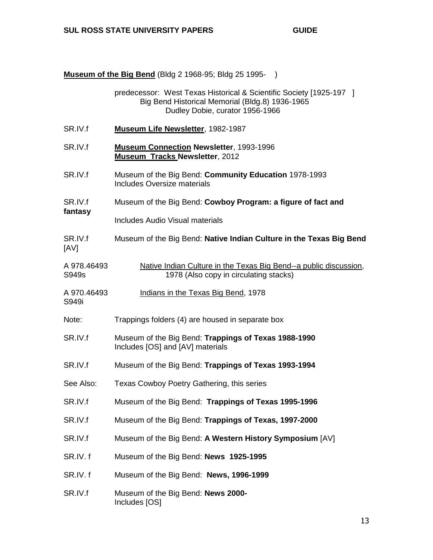**Museum of the Big Bend** (Bldg 2 1968-95; Bldg 25 1995- )

|                      | predecessor: West Texas Historical & Scientific Society [1925-197 ]<br>Big Bend Historical Memorial (Bldg.8) 1936-1965<br>Dudley Dobie, curator 1956-1966 |
|----------------------|-----------------------------------------------------------------------------------------------------------------------------------------------------------|
| SR.IV.f              | <b>Museum Life Newsletter, 1982-1987</b>                                                                                                                  |
| SR.IV.f              | <b>Museum Connection Newsletter, 1993-1996</b><br><b>Museum Tracks Newsletter, 2012</b>                                                                   |
| SR.IV.f              | Museum of the Big Bend: Community Education 1978-1993<br>Includes Oversize materials                                                                      |
| SR.IV.f              | Museum of the Big Bend: Cowboy Program: a figure of fact and                                                                                              |
| fantasy              | Includes Audio Visual materials                                                                                                                           |
| SR.IV.f<br>[AV]      | Museum of the Big Bend: Native Indian Culture in the Texas Big Bend                                                                                       |
| A 978.46493<br>S949s | Native Indian Culture in the Texas Big Bend--a public discussion,<br>1978 (Also copy in circulating stacks)                                               |
| A 970.46493<br>S949i | Indians in the Texas Big Bend, 1978                                                                                                                       |
| Note:                | Trappings folders (4) are housed in separate box                                                                                                          |
| SR.IV.f              | Museum of the Big Bend: Trappings of Texas 1988-1990<br>Includes [OS] and [AV] materials                                                                  |
| SR.IV.f              | Museum of the Big Bend: Trappings of Texas 1993-1994                                                                                                      |
| See Also:            | Texas Cowboy Poetry Gathering, this series                                                                                                                |
| SR.IV.f              | Museum of the Big Bend: Trappings of Texas 1995-1996                                                                                                      |
| SR.IV.f              | Museum of the Big Bend: Trappings of Texas, 1997-2000                                                                                                     |
| SR.IV.f              | Museum of the Big Bend: A Western History Symposium [AV]                                                                                                  |
| SR.IV.f              | Museum of the Big Bend: News 1925-1995                                                                                                                    |
| SR.IV.f              | Museum of the Big Bend: News, 1996-1999                                                                                                                   |
| SR.IV.f              | Museum of the Big Bend: News 2000-<br>Includes [OS]                                                                                                       |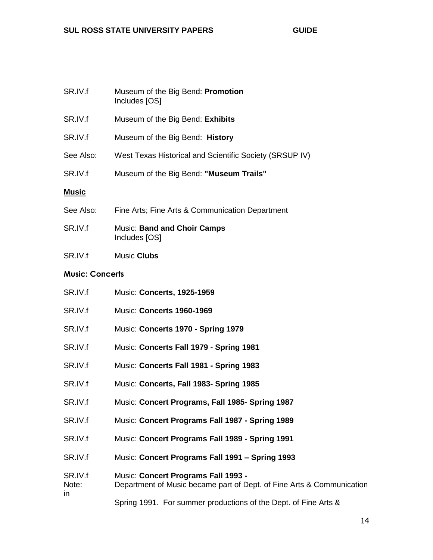| SR.IV.f      | Museum of the Big Bend: Promotion<br>Includes [OS]      |
|--------------|---------------------------------------------------------|
| SR.IV.f      | Museum of the Big Bend: Exhibits                        |
| SR.IV.f      | Museum of the Big Bend: History                         |
| See Also:    | West Texas Historical and Scientific Society (SRSUP IV) |
| SR.IV.f      | Museum of the Big Bend: "Museum Trails"                 |
| <u>Music</u> |                                                         |
| See Also:    | Fine Arts; Fine Arts & Communication Department         |
| SR.IV.f      | <b>Music: Band and Choir Camps</b><br>Includes [OS]     |
| SR.IV.f      | Music Clubs                                             |

# **Music: Concerts**

| SR.IV.f                 | Music: Concerts, 1925-1959                                                                                   |
|-------------------------|--------------------------------------------------------------------------------------------------------------|
| SR.IV.f                 | <b>Music: Concerts 1960-1969</b>                                                                             |
| SR.IV.f                 | Music: Concerts 1970 - Spring 1979                                                                           |
| SR.IV.f                 | Music: Concerts Fall 1979 - Spring 1981                                                                      |
| SR.IV.f                 | Music: Concerts Fall 1981 - Spring 1983                                                                      |
| SR.IV.f                 | Music: Concerts, Fall 1983- Spring 1985                                                                      |
| SR.IV.f                 | Music: Concert Programs, Fall 1985- Spring 1987                                                              |
| SR.IV.f                 | Music: Concert Programs Fall 1987 - Spring 1989                                                              |
| SR.IV.f                 | Music: Concert Programs Fall 1989 - Spring 1991                                                              |
| SR.IV.f                 | Music: Concert Programs Fall 1991 - Spring 1993                                                              |
| SR.IV.f<br>Note:<br>in. | Music: Concert Programs Fall 1993 -<br>Department of Music became part of Dept. of Fine Arts & Communication |
|                         | Spring 1991. For summer productions of the Dept. of Fine Arts &                                              |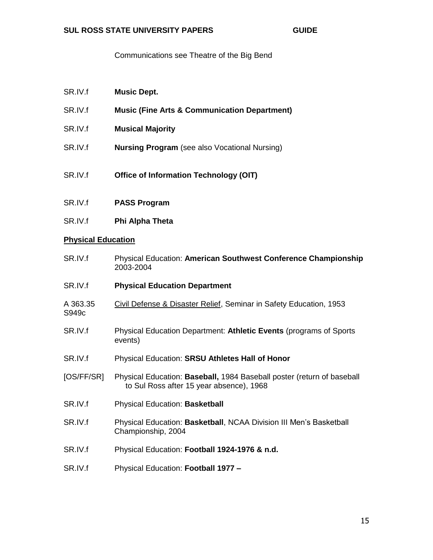Communications see Theatre of the Big Bend

| SR.IV.f | <b>Music Dept.</b> |
|---------|--------------------|
|         |                    |

- SR.IV.f **Music (Fine Arts & Communication Department)**
- SR.IV.f **Musical Majority**
- SR.IV.f **Nursing Program** (see also Vocational Nursing)
- SR.IV.f **Office of Information Technology (OIT)**
- SR.IV.f **PASS Program**
- SR.IV.f **Phi Alpha Theta**

#### **Physical Education**

- SR.IV.f Physical Education: **American Southwest Conference Championship** 2003-2004
- SR.IV.f **Physical Education Department**
- A 363.35 Civil Defense & Disaster Relief, Seminar in Safety Education, 1953 S949c
- SR.IV.f Physical Education Department: **Athletic Events** (programs of Sports events)
- SR.IV.f Physical Education: **SRSU Athletes Hall of Honor**
- [OS/FF/SR] Physical Education: **Baseball,** 1984 Baseball poster (return of baseball to Sul Ross after 15 year absence), 1968
- SR.IV.f Physical Education: **Basketball**
- SR.IV.f Physical Education: **Basketball**, NCAA Division III Men's Basketball Championship, 2004
- SR.IV.f Physical Education: **Football 1924-1976 & n.d.**
- SR.IV.f Physical Education: **Football 1977 –**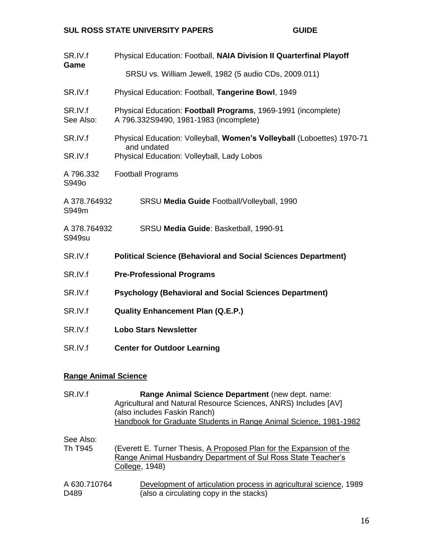| Physical Education: Football, NAIA Division II Quarterfinal Playoff<br>SRSU vs. William Jewell, 1982 (5 audio CDs, 2009.011)        |
|-------------------------------------------------------------------------------------------------------------------------------------|
| Physical Education: Football, Tangerine Bowl, 1949                                                                                  |
| Physical Education: Football Programs, 1969-1991 (incomplete)<br>A 796.332S9490, 1981-1983 (incomplete)                             |
| Physical Education: Volleyball, Women's Volleyball (Loboettes) 1970-71<br>and undated<br>Physical Education: Volleyball, Lady Lobos |
| <b>Football Programs</b>                                                                                                            |
| A 378.764932<br>SRSU Media Guide Football/Volleyball, 1990                                                                          |
| A 378.764932<br>SRSU Media Guide: Basketball, 1990-91                                                                               |
| <b>Political Science (Behavioral and Social Sciences Department)</b>                                                                |
| <b>Pre-Professional Programs</b>                                                                                                    |
| <b>Psychology (Behavioral and Social Sciences Department)</b>                                                                       |
| <b>Quality Enhancement Plan (Q.E.P.)</b>                                                                                            |
| <b>Lobo Stars Newsletter</b>                                                                                                        |
| <b>Center for Outdoor Learning</b>                                                                                                  |
|                                                                                                                                     |

# **Range Animal Science**

| SR.IV.f              | Range Animal Science Department (new dept. name:<br>Agricultural and Natural Resource Sciences, ANRS) Includes [AV]<br>(also includes Faskin Ranch)<br>Handbook for Graduate Students in Range Animal Science, 1981-1982 |
|----------------------|--------------------------------------------------------------------------------------------------------------------------------------------------------------------------------------------------------------------------|
| See Also:<br>Th T945 | (Everett E. Turner Thesis, A Proposed Plan for the Expansion of the<br>Range Animal Husbandry Department of Sul Ross State Teacher's<br>College, 1948)                                                                   |
| A 630.710764<br>D489 | Development of articulation process in agricultural science, 1989<br>(also a circulating copy in the stacks)                                                                                                             |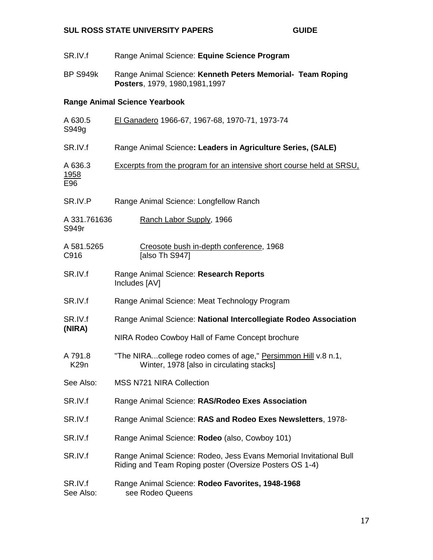| SR.IV.f                       | Range Animal Science: Equine Science Program                                                                                  |
|-------------------------------|-------------------------------------------------------------------------------------------------------------------------------|
| <b>BP S949k</b>               | Range Animal Science: Kenneth Peters Memorial- Team Roping<br>Posters, 1979, 1980, 1981, 1997                                 |
|                               | <b>Range Animal Science Yearbook</b>                                                                                          |
| A 630.5<br>S949g              | El Ganadero 1966-67, 1967-68, 1970-71, 1973-74                                                                                |
| SR.IV.f                       | Range Animal Science: Leaders in Agriculture Series, (SALE)                                                                   |
| A 636.3<br><u>1958</u><br>E96 | <b>Excerpts from the program for an intensive short course held at SRSU,</b>                                                  |
| SR.IV.P                       | Range Animal Science: Longfellow Ranch                                                                                        |
| A 331.761636<br>S949r         | Ranch Labor Supply, 1966                                                                                                      |
| A 581.5265<br>C916            | Creosote bush in-depth conference, 1968<br>[also Th S947]                                                                     |
| SR.IV.f                       | Range Animal Science: Research Reports<br>Includes [AV]                                                                       |
| SR.IV.f                       | Range Animal Science: Meat Technology Program                                                                                 |
| SR.IV.f<br>(NIRA)             | Range Animal Science: National Intercollegiate Rodeo Association                                                              |
|                               | NIRA Rodeo Cowboy Hall of Fame Concept brochure                                                                               |
| A 791.8<br>K <sub>29</sub> n  | "The NIRAcollege rodeo comes of age," Persimmon Hill v.8 n.1,<br>Winter, 1978 [also in circulating stacks]                    |
| See Also:                     | <b>MSS N721 NIRA Collection</b>                                                                                               |
| SR.IV.f                       | Range Animal Science: RAS/Rodeo Exes Association                                                                              |
| SR.IV.f                       | Range Animal Science: RAS and Rodeo Exes Newsletters, 1978-                                                                   |
| SR.IV.f                       | Range Animal Science: Rodeo (also, Cowboy 101)                                                                                |
| SR.IV.f                       | Range Animal Science: Rodeo, Jess Evans Memorial Invitational Bull<br>Riding and Team Roping poster (Oversize Posters OS 1-4) |
| SR.IV.f<br>See Also:          | Range Animal Science: Rodeo Favorites, 1948-1968<br>see Rodeo Queens                                                          |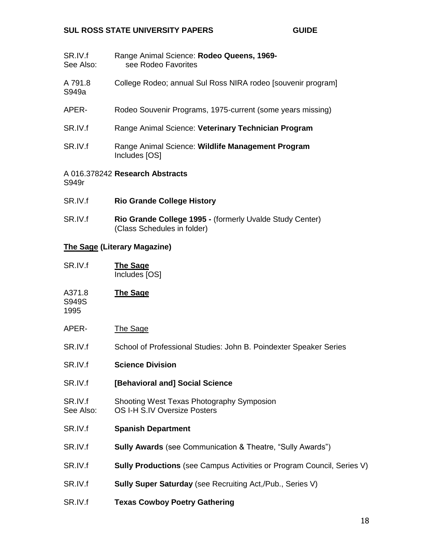- SR.IV.f Range Animal Science: **Rodeo Queens, 1969-** See Also: see Rodeo Favorites
- A 791.8 College Rodeo; annual Sul Ross NIRA rodeo [souvenir program] S949a
- APER- Rodeo Souvenir Programs, 1975-current (some years missing)
- SR.IV.f Range Animal Science: Veterinary Technician Program
- SR.IV.f Range Animal Science: Wildlife Management Program Includes [OS]

#### A 016.378242 **Research Abstracts** S949r

- SR.IV.f **Rio Grande College History**
- SR.IV.f **Rio Grande College 1995 -** (formerly Uvalde Study Center) (Class Schedules in folder)

#### **The Sage (Literary Magazine)**

SR.IV.f **The Sage** Includes [OS]

A371.8 **The Sage**

S949S 1995

- APER- The Sage
- SR.IV.f School of Professional Studies: John B. Poindexter Speaker Series
- SR.IV.f **Science Division**
- SR.IV.f **[Behavioral and] Social Science**
- SR.IV.f Shooting West Texas Photography Symposion See Also: OS I-H S.IV Oversize Posters
- SR.IV.f **Spanish Department**
- SR.IV.f **Sully Awards** (see Communication & Theatre, "Sully Awards")
- SR.IV.f **Sully Productions** (see Campus Activities or Program Council, Series V)
- SR.IV.f **Sully Super Saturday** (see Recruiting Act,/Pub., Series V)
- SR.IV.f **Texas Cowboy Poetry Gathering**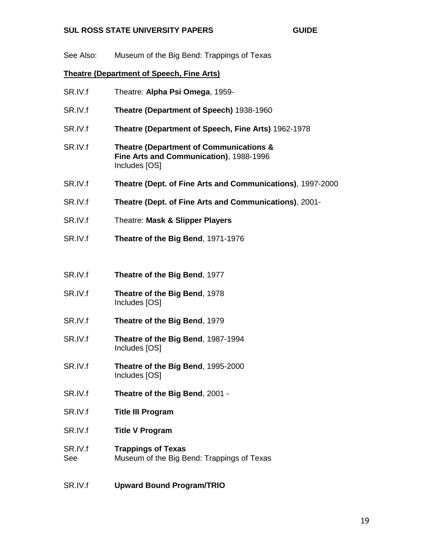See Also: Museum of the Big Bend: Trappings of Texas

### **Theatre (Department of Speech, Fine Arts)**

SR.IV.f Theatre: **Alpha Psi Omega**, 1959- SR.IV.f **Theatre (Department of Speech)** 1938-1960 SR.IV.f **Theatre (Department of Speech, Fine Arts)** 1962-1978 SR.IV.f **Theatre (Department of Communications & Fine Arts and Communication)**, 1988-1996 Includes [OS] SR.IV.f **Theatre (Dept. of Fine Arts and Communications)**, 1997-2000 SR.IV.f **Theatre (Dept. of Fine Arts and Communications)**, 2001- SR.IV.f Theatre: **Mask & Slipper Players** SR.IV.f **Theatre of the Big Bend**, 1971-1976 SR.IV.f **Theatre of the Big Bend**, 1977 SR.IV.f **Theatre of the Big Bend**, 1978 Includes [OS] SR.IV.f **Theatre of the Big Bend**, 1979 SR.IV.f **Theatre of the Big Bend**, 1987-1994 Includes [OS] SR.IV.f **Theatre of the Big Bend**, 1995-2000 Includes [OS] SR.IV.f **Theatre of the Big Bend**, 2001 - SR.IV.f **Title III Program** SR.IV.f **Title V Program** SR.IV.f **Trappings of Texas** See Museum of the Big Bend: Trappings of Texas SR.IV.f **Upward Bound Program/TRIO**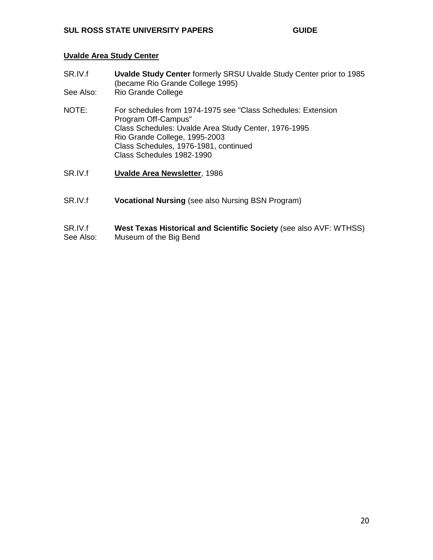### **Uvalde Area Study Center**

- SR.IV.f **Uvalde Study Center** formerly SRSU Uvalde Study Center prior to 1985 (became Rio Grande College 1995) See Also: Rio Grande College NOTE: For schedules from 1974-1975 see "Class Schedules: Extension Program Off-Campus" Class Schedules: Uvalde Area Study Center, 1976-1995 Rio Grande College, 1995-2003 Class Schedules, 1976-1981, continued Class Schedules 1982-1990 SR.IV.f **Uvalde Area Newsletter**, 1986
- SR.IV.f **Vocational Nursing** (see also Nursing BSN Program)

#### SR.IV.f **West Texas Historical and Scientific Society** (see also AVF: WTHSS) See Also: Museum of the Big Bend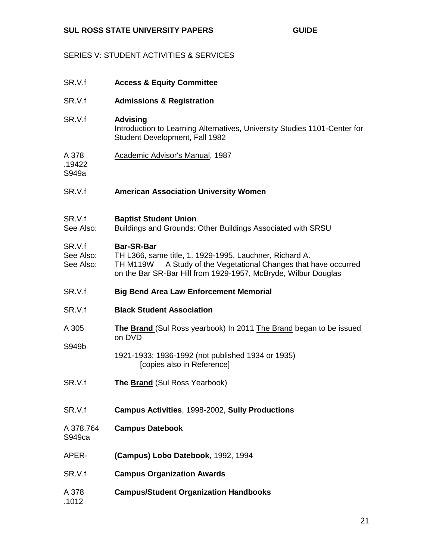## SERIES V: STUDENT ACTIVITIES & SERVICES

| SR.V.f                           | <b>Access &amp; Equity Committee</b>                                                                                                                                                                                        |
|----------------------------------|-----------------------------------------------------------------------------------------------------------------------------------------------------------------------------------------------------------------------------|
| SR.V.f                           | <b>Admissions &amp; Registration</b>                                                                                                                                                                                        |
| SR.V.f                           | <b>Advising</b><br>Introduction to Learning Alternatives, University Studies 1101-Center for<br>Student Development, Fall 1982                                                                                              |
| A 378<br>.19422<br>S949a         | Academic Advisor's Manual, 1987                                                                                                                                                                                             |
| SR.V.f                           | <b>American Association University Women</b>                                                                                                                                                                                |
| SR.V.f<br>See Also:              | <b>Baptist Student Union</b><br>Buildings and Grounds: Other Buildings Associated with SRSU                                                                                                                                 |
| SR.V.f<br>See Also:<br>See Also: | <b>Bar-SR-Bar</b><br>TH L366, same title, 1. 1929-1995, Lauchner, Richard A.<br>A Study of the Vegetational Changes that have occurred<br><b>TH M119W</b><br>on the Bar SR-Bar Hill from 1929-1957, McBryde, Wilbur Douglas |
| SR.V.f                           | <b>Big Bend Area Law Enforcement Memorial</b>                                                                                                                                                                               |
| SR.V.f                           | <b>Black Student Association</b>                                                                                                                                                                                            |
| A 305                            | <b>The Brand (Sul Ross yearbook) In 2011 The Brand began to be issued</b><br>on DVD                                                                                                                                         |
| S949b                            | 1921-1933; 1936-1992 (not published 1934 or 1935)<br>[copies also in Reference]                                                                                                                                             |
| SR.V.f                           | <b>The Brand</b> (Sul Ross Yearbook)                                                                                                                                                                                        |
| SR.V.f                           | Campus Activities, 1998-2002, Sully Productions                                                                                                                                                                             |
| A 378.764<br>S949 <sub>ca</sub>  | <b>Campus Datebook</b>                                                                                                                                                                                                      |
| APER-                            | (Campus) Lobo Datebook, 1992, 1994                                                                                                                                                                                          |
| SR.V.f                           | <b>Campus Organization Awards</b>                                                                                                                                                                                           |
| A 378<br>.1012                   | <b>Campus/Student Organization Handbooks</b>                                                                                                                                                                                |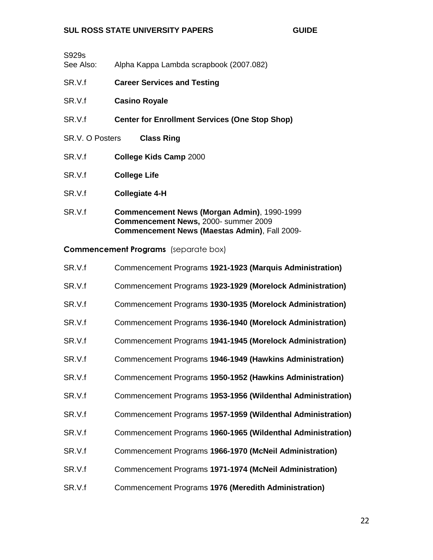| S929s<br>See Also:     | Alpha Kappa Lambda scrapbook (2007.082)                                                                                                            |
|------------------------|----------------------------------------------------------------------------------------------------------------------------------------------------|
| SR.V.f                 | <b>Career Services and Testing</b>                                                                                                                 |
| SR.V.f                 | <b>Casino Royale</b>                                                                                                                               |
| SR.V.f                 | <b>Center for Enrollment Services (One Stop Shop)</b>                                                                                              |
| <b>SR.V. O Posters</b> | <b>Class Ring</b>                                                                                                                                  |
| SR.V.f                 | College Kids Camp 2000                                                                                                                             |
| SR.V.f                 | <b>College Life</b>                                                                                                                                |
| SR.V.f                 | <b>Collegiate 4-H</b>                                                                                                                              |
| SR.V.f                 | <b>Commencement News (Morgan Admin), 1990-1999</b><br>Commencement News, 2000- summer 2009<br><b>Commencement News (Maestas Admin), Fall 2009-</b> |

**Commencement Programs** (separate box)

| SR.V.f | Commencement Programs 1921-1923 (Marquis Administration)    |
|--------|-------------------------------------------------------------|
| SR.V.f | Commencement Programs 1923-1929 (Morelock Administration)   |
| SR.V.f | Commencement Programs 1930-1935 (Morelock Administration)   |
| SR.V.f | Commencement Programs 1936-1940 (Morelock Administration)   |
| SR.V.f | Commencement Programs 1941-1945 (Morelock Administration)   |
| SR.V.f | Commencement Programs 1946-1949 (Hawkins Administration)    |
| SR.V.f | Commencement Programs 1950-1952 (Hawkins Administration)    |
| SR.V.f | Commencement Programs 1953-1956 (Wildenthal Administration) |
| SR.V.f | Commencement Programs 1957-1959 (Wildenthal Administration) |
| SR.V.f | Commencement Programs 1960-1965 (Wildenthal Administration) |
| SR.V.f | Commencement Programs 1966-1970 (McNeil Administration)     |
| SR.V.f | Commencement Programs 1971-1974 (McNeil Administration)     |
| SR.V.f | Commencement Programs 1976 (Meredith Administration)        |

22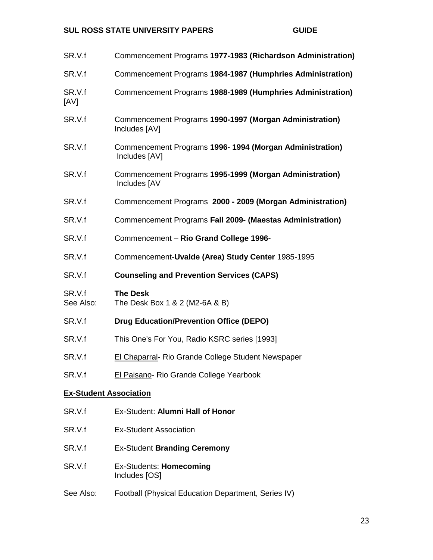| SR.V.f                        | Commencement Programs 1977-1983 (Richardson Administration)              |
|-------------------------------|--------------------------------------------------------------------------|
| SR.V.f                        | Commencement Programs 1984-1987 (Humphries Administration)               |
| SR.V.f<br>[AV]                | Commencement Programs 1988-1989 (Humphries Administration)               |
| SR.V.f                        | Commencement Programs 1990-1997 (Morgan Administration)<br>Includes [AV] |
| SR.V.f                        | Commencement Programs 1996-1994 (Morgan Administration)<br>Includes [AV] |
| SR.V.f                        | Commencement Programs 1995-1999 (Morgan Administration)<br>Includes [AV  |
| SR.V.f                        | Commencement Programs 2000 - 2009 (Morgan Administration)                |
| SR.V.f                        | Commencement Programs Fall 2009- (Maestas Administration)                |
| SR.V.f                        | Commencement - Rio Grand College 1996-                                   |
| SR.V.f                        | Commencement-Uvalde (Area) Study Center 1985-1995                        |
| SR.V.f                        | <b>Counseling and Prevention Services (CAPS)</b>                         |
| SR.V.f                        |                                                                          |
| See Also:                     | <b>The Desk</b><br>The Desk Box 1 & 2 (M2-6A & B)                        |
| SR.V.f                        | <b>Drug Education/Prevention Office (DEPO)</b>                           |
| SR.V.f                        | This One's For You, Radio KSRC series [1993]                             |
| SR.V.f                        | El Chaparral- Rio Grande College Student Newspaper                       |
| SR.V.f                        | El Paisano- Rio Grande College Yearbook                                  |
| <b>Ex-Student Association</b> |                                                                          |
| SR.V.f                        | Ex-Student: Alumni Hall of Honor                                         |
| SR.V.f                        | <b>Ex-Student Association</b>                                            |
| SR.V.f                        | <b>Ex-Student Branding Ceremony</b>                                      |

See Also: Football (Physical Education Department, Series IV)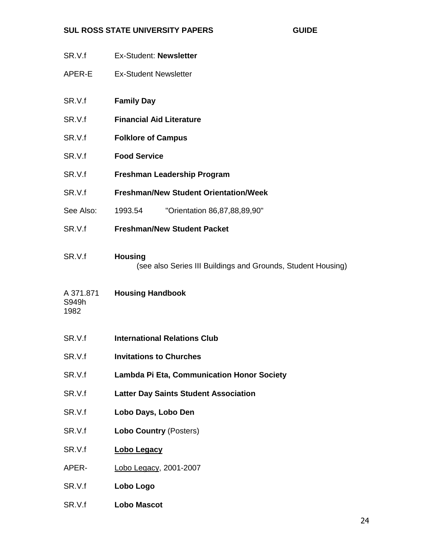- SR.V.f Ex-Student: **Newsletter**
- APER-E Ex-Student Newsletter
- SR.V.f **Family Day**
- SR.V.f **Financial Aid Literature**
- SR.V.f **Folklore of Campus**
- SR.V.f **Food Service**
- SR.V.f **Freshman Leadership Program**
- SR.V.f **Freshman/New Student Orientation/Week**
- See Also: 1993.54 "Orientation 86,87,88,89,90"
- SR.V.f **Freshman/New Student Packet**
- SR.V.f **Housing** (see also Series III Buildings and Grounds, Student Housing)
- A 371.871 **Housing Handbook** S949h
- 1982
- SR.V.f **International Relations Club**
- SR.V.f **Invitations to Churches**
- SR.V.f **Lambda Pi Eta, Communication Honor Society**
- SR.V.f **Latter Day Saints Student Association**
- SR.V.f **Lobo Days, Lobo Den**
- SR.V.f **Lobo Country** (Posters)
- SR.V.f **Lobo Legacy**
- APER- Lobo Legacy, 2001-2007
- SR.V.f **Lobo Logo**
- SR.V.f **Lobo Mascot**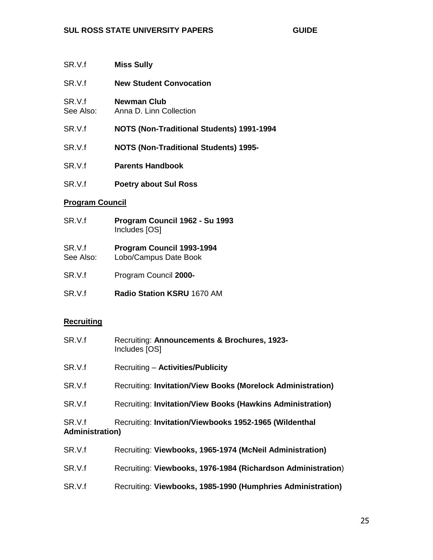- SR.V.f **Miss Sully**
- SR.V.f **New Student Convocation**
- SR.V.f **Newman Club** See Also: Anna D. Linn Collection
- SR.V.f **NOTS (Non-Traditional Students) 1991-1994**
- SR.V.f **NOTS (Non-Traditional Students) 1995-**
- SR.V.f **Parents Handbook**
- SR.V.f **Poetry about Sul Ross**

#### **Program Council**

- SR.V.f **Program Council 1962 - Su 1993** Includes [OS]
- SR.V.f **Program Council 1993-1994** See Also: Lobo/Campus Date Book
- 
- SR.V.f Program Council **2000-**
- SR.V.f **Radio Station KSRU** 1670 AM

### **Recruiting**

| SR.V.f                            | Recruiting: Announcements & Brochures, 1923-<br>Includes [OS] |
|-----------------------------------|---------------------------------------------------------------|
| SR.V.f                            | <b>Recruiting - Activities/Publicity</b>                      |
| SR.V.f                            | Recruiting: Invitation/View Books (Morelock Administration)   |
| SR.V.f                            | Recruiting: Invitation/View Books (Hawkins Administration)    |
| SR.V.f<br><b>Administration</b> ) | Recruiting: Invitation/Viewbooks 1952-1965 (Wildenthal        |
| SR.V.f                            | Recruiting: Viewbooks, 1965-1974 (McNeil Administration)      |
| SR.V.f                            | Recruiting: Viewbooks, 1976-1984 (Richardson Administration)  |
| SR.V.f                            | Recruiting: Viewbooks, 1985-1990 (Humphries Administration)   |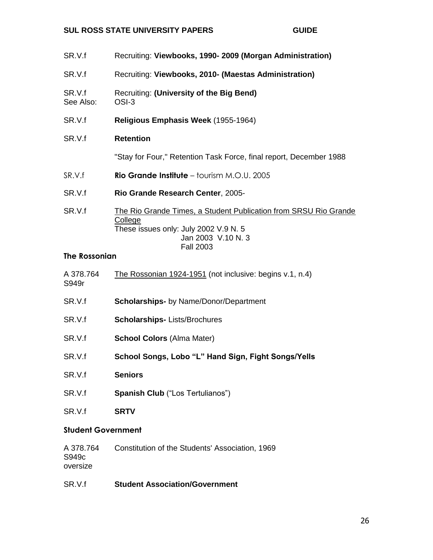- SR.V.f Recruiting: **Viewbooks, 1990- 2009 (Morgan Administration)**
- SR.V.f Recruiting: **Viewbooks, 2010- (Maestas Administration)**
- SR.V.f Recruiting: **(University of the Big Bend)** See Also: OSI-3
- SR.V.f **Religious Emphasis Week** (1955-1964)

## SR.V.f **Retention**

"Stay for Four," Retention Task Force, final report, December 1988

- SR.V.f **Rio Grande Institute** tourism M.O.U. 2005
- SR.V.f **Rio Grande Research Center**, 2005-
- SR.V.f The Rio Grande Times, a Student Publication from SRSU Rio Grande **College** These issues only: July 2002 V.9 N. 5 Jan 2003 V.10 N. 3 Fall 2003

## **The Rossonian**

| A 378.764<br>S949r        | The Rossonian 1924-1951 (not inclusive: begins v.1, n.4) |
|---------------------------|----------------------------------------------------------|
| SR.V.f                    | <b>Scholarships-</b> by Name/Donor/Department            |
| SR.V.f                    | <b>Scholarships-Lists/Brochures</b>                      |
| SR.V.f                    | <b>School Colors (Alma Mater)</b>                        |
| SR.V.f                    | School Songs, Lobo "L" Hand Sign, Fight Songs/Yells      |
| SR.V.f                    | <b>Seniors</b>                                           |
| SR.V.f                    | <b>Spanish Club</b> ("Los Tertulianos")                  |
| SR.V.f                    | <b>SRTV</b>                                              |
| <b>Student Government</b> |                                                          |

| A 378.764 | Constitution of the Students' Association, 1969 |  |
|-----------|-------------------------------------------------|--|
| S949c     |                                                 |  |
| oversize  |                                                 |  |

### SR.V.f **Student Association/Government**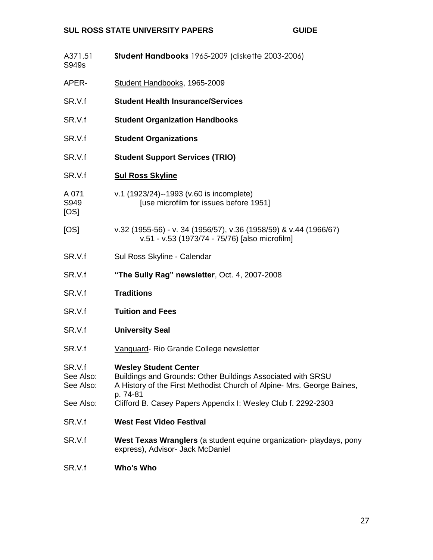| A371.51<br>S949s                 | Student Handbooks 1965-2009 (diskette 2003-2006)                                                                                                                                  |
|----------------------------------|-----------------------------------------------------------------------------------------------------------------------------------------------------------------------------------|
| APER-                            | Student Handbooks, 1965-2009                                                                                                                                                      |
| SR.V.f                           | <b>Student Health Insurance/Services</b>                                                                                                                                          |
| SR.V.f                           | <b>Student Organization Handbooks</b>                                                                                                                                             |
| SR.V.f                           | <b>Student Organizations</b>                                                                                                                                                      |
| SR.V.f                           | <b>Student Support Services (TRIO)</b>                                                                                                                                            |
| SR.V.f                           | <b>Sul Ross Skyline</b>                                                                                                                                                           |
| A 071<br>S949<br>[OS]            | v.1 (1923/24)--1993 (v.60 is incomplete)<br>[use microfilm for issues before 1951]                                                                                                |
| [OS]                             | v.32 (1955-56) - v. 34 (1956/57), v.36 (1958/59) & v.44 (1966/67)<br>v.51 - v.53 (1973/74 - 75/76) [also microfilm]                                                               |
| SR.V.f                           | Sul Ross Skyline - Calendar                                                                                                                                                       |
| SR.V.f                           | "The Sully Rag" newsletter, Oct. 4, 2007-2008                                                                                                                                     |
| SR.V.f                           | <b>Traditions</b>                                                                                                                                                                 |
| SR.V.f                           | <b>Tuition and Fees</b>                                                                                                                                                           |
| SR.V.f                           | <b>University Seal</b>                                                                                                                                                            |
| SR.V.f                           | Vanguard-Rio Grande College newsletter                                                                                                                                            |
| SR.V.f<br>See Also:<br>See Also: | <b>Wesley Student Center</b><br>Buildings and Grounds: Other Buildings Associated with SRSU<br>A History of the First Methodist Church of Alpine- Mrs. George Baines,<br>p. 74-81 |
| See Also:                        | Clifford B. Casey Papers Appendix I: Wesley Club f. 2292-2303                                                                                                                     |
| SR.V.f                           | <b>West Fest Video Festival</b>                                                                                                                                                   |
| SR.V.f                           | West Texas Wranglers (a student equine organization- playdays, pony<br>express), Advisor- Jack McDaniel                                                                           |
| SR.V.f                           | Who's Who                                                                                                                                                                         |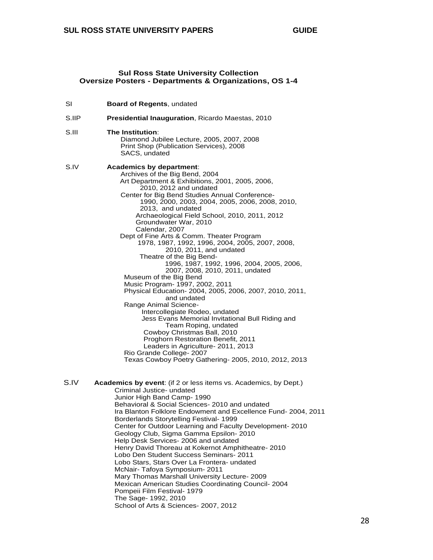#### **Sul Ross State University Collection Oversize Posters - Departments & Organizations, OS 1-4**

| SI    | Board of Regents, undated                                                                                                                                                                                                                                                                                                                                                                                                                                                                                                                                                                                                                                                                                                                                                                                                                                                                                                                                                                                                                                                          |
|-------|------------------------------------------------------------------------------------------------------------------------------------------------------------------------------------------------------------------------------------------------------------------------------------------------------------------------------------------------------------------------------------------------------------------------------------------------------------------------------------------------------------------------------------------------------------------------------------------------------------------------------------------------------------------------------------------------------------------------------------------------------------------------------------------------------------------------------------------------------------------------------------------------------------------------------------------------------------------------------------------------------------------------------------------------------------------------------------|
| S.IIP | Presidential Inauguration, Ricardo Maestas, 2010                                                                                                                                                                                                                                                                                                                                                                                                                                                                                                                                                                                                                                                                                                                                                                                                                                                                                                                                                                                                                                   |
| S.III | The Institution:<br>Diamond Jubilee Lecture, 2005, 2007, 2008<br>Print Shop (Publication Services), 2008<br>SACS, undated                                                                                                                                                                                                                                                                                                                                                                                                                                                                                                                                                                                                                                                                                                                                                                                                                                                                                                                                                          |
| S.IV  | Academics by department:<br>Archives of the Big Bend, 2004<br>Art Department & Exhibitions, 2001, 2005, 2006,<br>2010, 2012 and undated<br>Center for Big Bend Studies Annual Conference-<br>1990, 2000, 2003, 2004, 2005, 2006, 2008, 2010,<br>2013, and undated<br>Archaeological Field School, 2010, 2011, 2012<br>Groundwater War, 2010<br>Calendar, 2007<br>Dept of Fine Arts & Comm. Theater Program<br>1978, 1987, 1992, 1996, 2004, 2005, 2007, 2008,<br>2010, 2011, and undated<br>Theatre of the Big Bend-<br>1996, 1987, 1992, 1996, 2004, 2005, 2006,<br>2007, 2008, 2010, 2011, undated<br>Museum of the Big Bend<br>Music Program- 1997, 2002, 2011<br>Physical Education- 2004, 2005, 2006, 2007, 2010, 2011,<br>and undated<br>Range Animal Science-<br>Intercollegiate Rodeo, undated<br>Jess Evans Memorial Invitational Bull Riding and<br>Team Roping, undated<br>Cowboy Christmas Ball, 2010<br>Proghorn Restoration Benefit, 2011<br>Leaders in Agriculture- 2011, 2013<br>Rio Grande College- 2007<br>Texas Cowboy Poetry Gathering- 2005, 2010, 2012, 2013 |
| S.IV  | Academics by event: (if 2 or less items vs. Academics, by Dept.)<br>Criminal Justice- undated<br>Junior High Band Camp- 1990<br>Behavioral & Social Sciences- 2010 and undated<br>Ira Blanton Folklore Endowment and Excellence Fund- 2004, 2011<br>Borderlands Storytelling Festival- 1999<br>Center for Outdoor Learning and Faculty Development- 2010<br>Geology Club, Sigma Gamma Epsilon-2010<br>Help Desk Services- 2006 and undated<br>Henry David Thoreau at Kokernot Amphitheatre- 2010                                                                                                                                                                                                                                                                                                                                                                                                                                                                                                                                                                                   |

Lobo Den Student Success Seminars- 2011 Lobo Stars, Stars Over La Frontera- undated

Mary Thomas Marshall University Lecture- 2009 Mexican American Studies Coordinating Council- 2004

McNair- Tafoya Symposium- 2011

School of Arts & Sciences- 2007, 2012

Pompeii Film Festival- 1979 The Sage- 1992, 2010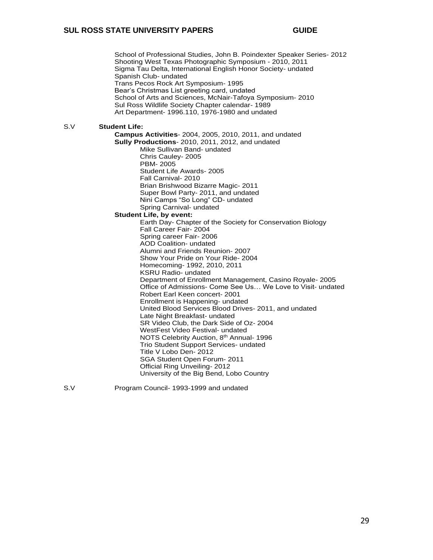School of Professional Studies, John B. Poindexter Speaker Series- 2012 Shooting West Texas Photographic Symposium - 2010, 2011 Sigma Tau Delta, International English Honor Society- undated Spanish Club- undated Trans Pecos Rock Art Symposium- 1995 Bear's Christmas List greeting card, undated School of Arts and Sciences, McNair-Tafoya Symposium- 2010 Sul Ross Wildlife Society Chapter calendar- 1989 Art Department- 1996.110, 1976-1980 and undated S.V **Student Life: Campus Activities**- 2004, 2005, 2010, 2011, and undated **Sully Productions**- 2010, 2011, 2012, and undated Mike Sullivan Band- undated Chris Cauley- 2005 PBM- 2005 Student Life Awards- 2005 Fall Carnival- 2010 Brian Brishwood Bizarre Magic- 2011 Super Bowl Party- 2011, and undated Nini Camps "So Long" CD- undated Spring Carnival- undated **Student Life, by event:** Earth Day- Chapter of the Society for Conservation Biology Fall Career Fair- 2004 Spring career Fair- 2006 AOD Coalition- undated Alumni and Friends Reunion- 2007 Show Your Pride on Your Ride- 2004 Homecoming- 1992, 2010, 2011 KSRU Radio- undated Department of Enrollment Management, Casino Royale- 2005 Office of Admissions- Come See Us… We Love to Visit- undated Robert Earl Keen concert- 2001 Enrollment is Happening- undated United Blood Services Blood Drives- 2011, and undated Late Night Breakfast- undated SR Video Club, the Dark Side of Oz- 2004 WestFest Video Festival- undated NOTS Celebrity Auction, 8th Annual- 1996 Trio Student Support Services- undated Title V Lobo Den- 2012 SGA Student Open Forum- 2011 Official Ring Unveiling- 2012 University of the Big Bend, Lobo Country

S.V Program Council- 1993-1999 and undated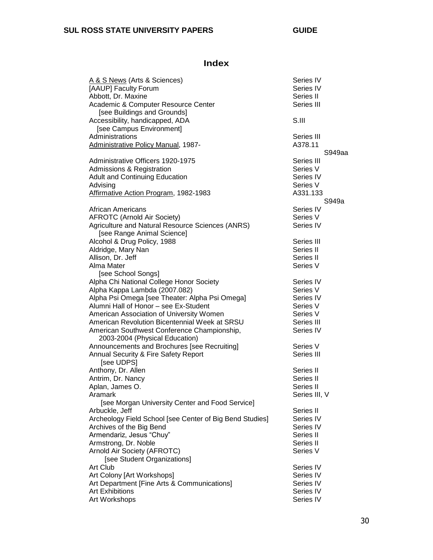# **Index**

| A & S News (Arts & Sciences)                             | Series IV     |        |
|----------------------------------------------------------|---------------|--------|
| [AAUP] Faculty Forum                                     | Series IV     |        |
| Abbott, Dr. Maxine                                       | Series II     |        |
| Academic & Computer Resource Center                      | Series III    |        |
| [see Buildings and Grounds]                              |               |        |
| Accessibility, handicapped, ADA                          | S.III         |        |
| [see Campus Environment]                                 |               |        |
| Administrations                                          | Series III    |        |
| Administrative Policy Manual, 1987-                      | A378.11       |        |
|                                                          |               | S949aa |
| Administrative Officers 1920-1975                        | Series III    |        |
| <b>Admissions &amp; Registration</b>                     | Series V      |        |
| <b>Adult and Continuing Education</b>                    | Series IV     |        |
| Advising                                                 | Series V      |        |
| Affirmative Action Program, 1982-1983                    | A331.133      |        |
|                                                          |               | S949a  |
| <b>African Americans</b>                                 | Series IV     |        |
| <b>AFROTC (Arnold Air Society)</b>                       | Series V      |        |
| Agriculture and Natural Resource Sciences (ANRS)         | Series IV     |        |
| [see Range Animal Science]                               |               |        |
|                                                          | Series III    |        |
| Alcohol & Drug Policy, 1988                              | Series II     |        |
| Aldridge, Mary Nan                                       |               |        |
| Allison, Dr. Jeff                                        | Series II     |        |
| Alma Mater                                               | Series V      |        |
| [see School Songs]                                       |               |        |
| Alpha Chi National College Honor Society                 | Series IV     |        |
| Alpha Kappa Lambda (2007.082)                            | Series V      |        |
| Alpha Psi Omega [see Theater: Alpha Psi Omega]           | Series IV     |        |
| Alumni Hall of Honor - see Ex-Student                    | Series V      |        |
| American Association of University Women                 | Series V      |        |
| American Revolution Bicentennial Week at SRSU            | Series III    |        |
| American Southwest Conference Championship,              | Series IV     |        |
| 2003-2004 (Physical Education)                           |               |        |
| Announcements and Brochures [see Recruiting]             | Series V      |        |
| Annual Security & Fire Safety Report                     | Series III    |        |
| [see UDPS]                                               |               |        |
| Anthony, Dr. Allen                                       | Series II     |        |
| Antrim, Dr. Nancy                                        | Series II     |        |
| Aplan, James O.                                          | Series II     |        |
| Aramark                                                  | Series III, V |        |
| [see Morgan University Center and Food Service]          |               |        |
| Arbuckle, Jeff                                           | Series II     |        |
| Archeology Field School [see Center of Big Bend Studies] | Series IV     |        |
| Archives of the Big Bend                                 | Series IV     |        |
| Armendariz, Jesus "Chuy"                                 | Series II     |        |
| Armstrong, Dr. Noble                                     | Series II     |        |
| Arnold Air Society (AFROTC)                              | Series V      |        |
| [see Student Organizations]                              |               |        |
| Art Club                                                 | Series IV     |        |
| Art Colony [Art Workshops]                               | Series IV     |        |
| Art Department [Fine Arts & Communications]              | Series IV     |        |
| <b>Art Exhibitions</b>                                   | Series IV     |        |
| Art Workshops                                            | Series IV     |        |
|                                                          |               |        |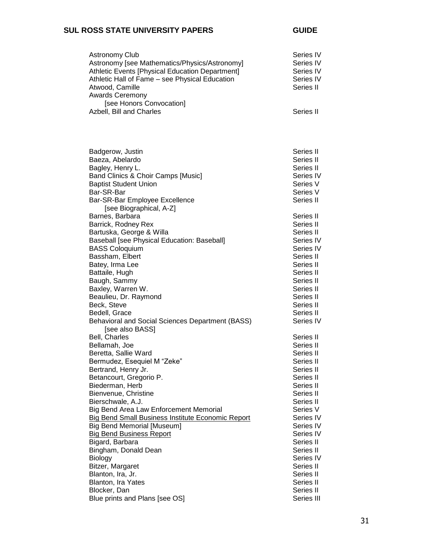| <b>Astronomy Club</b><br>Astronomy [see Mathematics/Physics/Astronomy]<br>Athletic Events [Physical Education Department]<br>Athletic Hall of Fame - see Physical Education<br>Atwood, Camille<br><b>Awards Ceremony</b>                                                                                                                                                                                                                                                                                                                                     | Series IV<br>Series IV<br>Series IV<br>Series IV<br>Series II                                                                                                                                                                                                                 |
|--------------------------------------------------------------------------------------------------------------------------------------------------------------------------------------------------------------------------------------------------------------------------------------------------------------------------------------------------------------------------------------------------------------------------------------------------------------------------------------------------------------------------------------------------------------|-------------------------------------------------------------------------------------------------------------------------------------------------------------------------------------------------------------------------------------------------------------------------------|
| [see Honors Convocation]<br>Azbell, Bill and Charles                                                                                                                                                                                                                                                                                                                                                                                                                                                                                                         | Series II                                                                                                                                                                                                                                                                     |
| Badgerow, Justin<br>Baeza, Abelardo<br>Bagley, Henry L.<br>Band Clinics & Choir Camps [Music]<br><b>Baptist Student Union</b><br>Bar-SR-Bar<br>Bar-SR-Bar Employee Excellence<br>[see Biographical, A-Z]                                                                                                                                                                                                                                                                                                                                                     | Series II<br>Series II<br>Series II<br>Series IV<br>Series V<br>Series V<br>Series II                                                                                                                                                                                         |
| Barnes, Barbara<br>Barrick, Rodney Rex<br>Bartuska, George & Willa<br>Baseball [see Physical Education: Baseball]<br><b>BASS Coloquium</b><br>Bassham, Elbert<br>Batey, Irma Lee<br>Battaile, Hugh<br>Baugh, Sammy<br>Baxley, Warren W.<br>Beaulieu, Dr. Raymond<br>Beck, Steve<br>Bedell, Grace<br>Behavioral and Social Sciences Department (BASS)<br>[see also BASS]                                                                                                                                                                                      | Series II<br>Series II<br>Series II<br>Series IV<br>Series IV<br>Series II<br>Series II<br>Series II<br>Series II<br>Series II<br>Series II<br>Series II<br>Series II<br>Series IV                                                                                            |
| Bell, Charles<br>Bellamah, Joe<br>Beretta, Sallie Ward<br>Bermudez, Esequiel M "Zeke"<br>Bertrand, Henry Jr.<br>Betancourt, Gregorio P.<br>Biederman, Herb<br>Bienvenue, Christine<br>Bierschwale, A.J.<br>Big Bend Area Law Enforcement Memorial<br>Big Bend Small Business Institute Economic Report<br><b>Big Bend Memorial [Museum]</b><br><b>Big Bend Business Report</b><br>Bigard, Barbara<br>Bingham, Donald Dean<br><b>Biology</b><br>Bitzer, Margaret<br>Blanton, Ira, Jr.<br>Blanton, Ira Yates<br>Blocker, Dan<br>Blue prints and Plans [see OS] | Series II<br>Series II<br>Series II<br>Series II<br>Series II<br>Series II<br>Series II<br>Series II<br>Series II<br>Series V<br>Series IV<br>Series IV<br>Series IV<br>Series II<br>Series II<br>Series IV<br>Series II<br>Series II<br>Series II<br>Series II<br>Series III |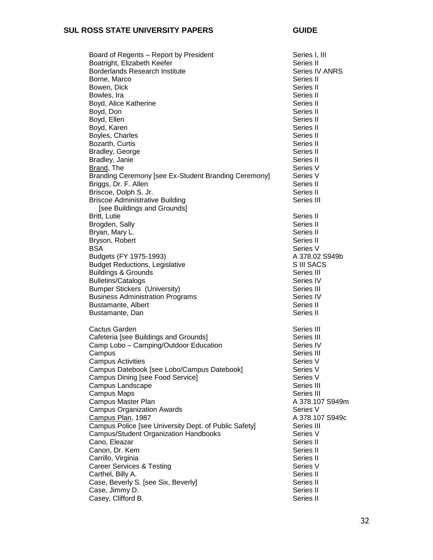#### SUL ROSS STATE UNIVERSITY PAPERS **SUL ROSS** GUIDE

| Board of Regents - Report by President                                  | Series I, III          |
|-------------------------------------------------------------------------|------------------------|
| Boatright, Elizabeth Keefer                                             | Series II              |
| <b>Borderlands Research Institute</b>                                   | Series IV ANRS         |
| Borne, Marco                                                            | Series II              |
| Bowen, Dick                                                             | Series II              |
| Bowles, Ira                                                             | Series II              |
| Boyd, Alice Katherine                                                   | Series II              |
| Boyd, Don                                                               | Series II              |
| Boyd, Ellen                                                             | Series II              |
| Boyd, Karen                                                             | Series II              |
| Boyles, Charles                                                         | Series II              |
| Bozarth, Curtis                                                         | Series II              |
| Bradley, George                                                         | Series II              |
| Bradley, Janie                                                          | Series II              |
| Brand, The                                                              | Series V               |
| Branding Ceremony [see Ex-Student Branding Ceremony]                    | Series V               |
| Briggs, Dr. F. Allen                                                    | Series II              |
| Briscoe, Dolph S. Jr.                                                   | Series II              |
| <b>Briscoe Administrative Building</b>                                  | Series III             |
| [see Buildings and Grounds]                                             |                        |
| Britt, Lutie                                                            | Series II              |
| Brogden, Sally                                                          | Series II              |
| Bryan, Mary L.                                                          | Series II              |
| Bryson, Robert                                                          | Series II              |
| BSA                                                                     | Series V               |
| Budgets (FY 1975-1993)                                                  | A 378.02 S949b         |
|                                                                         | S III SACS             |
| <b>Budget Reductions, Legislative</b><br><b>Buildings &amp; Grounds</b> | Series III             |
| <b>Bulletins/Catalogs</b>                                               | Series IV              |
| <b>Bumper Stickers (University)</b>                                     | Series III             |
|                                                                         |                        |
| <b>Business Administration Programs</b><br>Bustamante, Albert           | Series IV<br>Series II |
|                                                                         |                        |
| Bustamante, Dan                                                         | Series II              |
| Cactus Garden                                                           | Series III             |
| Cafeteria [see Buildings and Grounds]                                   | Series III             |
| Camp Lobo - Camping/Outdoor Education                                   | Series IV              |
| Campus                                                                  | Series III             |
| <b>Campus Activities</b>                                                | Series V               |
| Campus Datebook [see Lobo/Campus Datebook]                              | Series V               |
| Campus Dining [see Food Service]                                        | Series V               |
| Campus Landscape                                                        | Series III             |
| Campus Maps                                                             | Series III             |
| Campus Master Plan                                                      | A 378.107 S949m        |
| <b>Campus Organization Awards</b>                                       | Series V               |
| Campus Plan, 1987                                                       | A 378.107 S949c        |
| Campus Police [see University Dept. of Public Safety]                   | Series III             |
| Campus/Student Organization Handbooks                                   | Series V               |
| Cano, Eleazar                                                           | Series II              |
| Canon, Dr. Kem                                                          | Series II              |
| Carrillo, Virginia                                                      | Series II              |
| <b>Career Services &amp; Testing</b>                                    | Series V               |
| Carthel, Billy A.                                                       | Series II              |
| Case, Beverly S. [see Six, Beverly]                                     | Series II              |
| Case, Jimmy D.                                                          | Series II              |
| Casey, Clifford B.                                                      | Series II              |
|                                                                         |                        |

32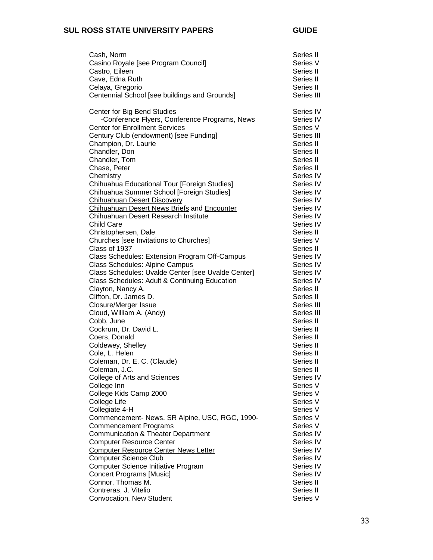| Cash, Norm<br>Casino Royale [see Program Council]<br>Castro, Eileen<br>Cave, Edna Ruth<br>Celaya, Gregorio<br>Centennial School [see buildings and Grounds] | Series II<br>Series V<br>Series II<br>Series II<br>Series II<br>Series III |
|-------------------------------------------------------------------------------------------------------------------------------------------------------------|----------------------------------------------------------------------------|
| Center for Big Bend Studies                                                                                                                                 | Series IV                                                                  |
| -Conference Flyers, Conference Programs, News                                                                                                               | Series IV                                                                  |
| <b>Center for Enrollment Services</b>                                                                                                                       | Series V                                                                   |
| Century Club (endowment) [see Funding]                                                                                                                      | Series III                                                                 |
| Champion, Dr. Laurie                                                                                                                                        | Series II                                                                  |
| Chandler, Don                                                                                                                                               | Series II                                                                  |
| Chandler, Tom                                                                                                                                               | Series II                                                                  |
| Chase, Peter                                                                                                                                                | Series II                                                                  |
| Chemistry                                                                                                                                                   | Series IV                                                                  |
| Chihuahua Educational Tour [Foreign Studies]                                                                                                                | Series IV                                                                  |
| Chihuahua Summer School [Foreign Studies]                                                                                                                   | Series IV                                                                  |
| <b>Chihuahuan Desert Discovery</b><br>Chihuahuan Desert News Briefs and Encounter                                                                           | Series IV<br>Series IV                                                     |
| Chihuahuan Desert Research Institute                                                                                                                        | Series IV                                                                  |
| <b>Child Care</b>                                                                                                                                           | Series IV                                                                  |
| Christophersen, Dale                                                                                                                                        | Series II                                                                  |
| Churches [see Invitations to Churches]                                                                                                                      | Series V                                                                   |
| Class of 1937                                                                                                                                               | Series II                                                                  |
| Class Schedules: Extension Program Off-Campus                                                                                                               | Series IV                                                                  |
| Class Schedules: Alpine Campus                                                                                                                              | Series IV                                                                  |
| Class Schedules: Uvalde Center [see Uvalde Center]                                                                                                          | Series IV                                                                  |
| Class Schedules: Adult & Continuing Education                                                                                                               | Series IV                                                                  |
| Clayton, Nancy A.                                                                                                                                           | Series II                                                                  |
| Clifton, Dr. James D.                                                                                                                                       | Series II                                                                  |
| <b>Closure/Merger Issue</b>                                                                                                                                 | Series III                                                                 |
| Cloud, William A. (Andy)                                                                                                                                    | Series III                                                                 |
| Cobb, June<br>Cockrum, Dr. David L.                                                                                                                         | Series II<br>Series II                                                     |
| Coers, Donald                                                                                                                                               | Series II                                                                  |
| Coldewey, Shelley                                                                                                                                           | Series II                                                                  |
| Cole, L. Helen                                                                                                                                              | Series II                                                                  |
| Coleman, Dr. E. C. (Claude)                                                                                                                                 | Series II                                                                  |
| Coleman, J.C.                                                                                                                                               | Series II                                                                  |
| College of Arts and Sciences                                                                                                                                | Series IV                                                                  |
| College Inn                                                                                                                                                 | Series V                                                                   |
| College Kids Camp 2000                                                                                                                                      | Series V                                                                   |
| College Life                                                                                                                                                | Series V                                                                   |
| Collegiate 4-H                                                                                                                                              | Series V                                                                   |
| Commencement- News, SR Alpine, USC, RGC, 1990-                                                                                                              | Series V                                                                   |
| <b>Commencement Programs</b><br><b>Communication &amp; Theater Department</b>                                                                               | Series V<br>Series IV                                                      |
| <b>Computer Resource Center</b>                                                                                                                             | Series IV                                                                  |
| <b>Computer Resource Center News Letter</b>                                                                                                                 | Series IV                                                                  |
| <b>Computer Science Club</b>                                                                                                                                | Series IV                                                                  |
| Computer Science Initiative Program                                                                                                                         | Series IV                                                                  |
| <b>Concert Programs [Music]</b>                                                                                                                             | Series IV                                                                  |
| Connor, Thomas M.                                                                                                                                           | Series II                                                                  |
| Contreras, J. Vitelio                                                                                                                                       | Series II                                                                  |
| Convocation, New Student                                                                                                                                    | Series V                                                                   |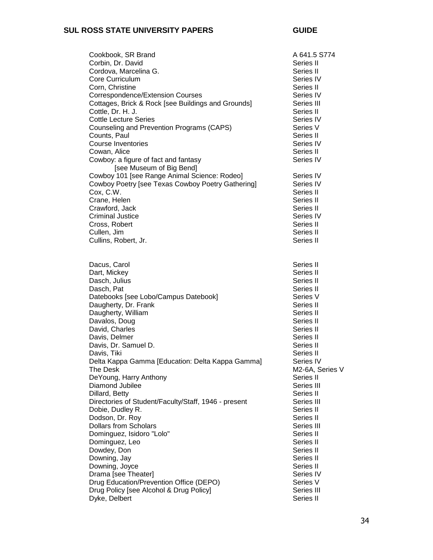| Cookbook, SR Brand<br>Corbin, Dr. David<br>Cordova, Marcelina G.<br>Core Curriculum<br>Corn, Christine<br>Correspondence/Extension Courses | A 641.5 S774<br>Series II<br>Series II<br>Series IV<br>Series II<br>Series IV |
|--------------------------------------------------------------------------------------------------------------------------------------------|-------------------------------------------------------------------------------|
| Cottages, Brick & Rock [see Buildings and Grounds]<br>Cottle, Dr. H. J.                                                                    | Series III<br>Series II                                                       |
| <b>Cottle Lecture Series</b><br>Counseling and Prevention Programs (CAPS)                                                                  | Series IV<br>Series V                                                         |
| Counts, Paul<br><b>Course Inventories</b>                                                                                                  | Series II<br>Series IV                                                        |
| Cowan, Alice                                                                                                                               | Series II                                                                     |
| Cowboy: a figure of fact and fantasy<br>[see Museum of Big Bend]                                                                           | Series IV                                                                     |
| Cowboy 101 [see Range Animal Science: Rodeo]                                                                                               | Series IV                                                                     |
| Cowboy Poetry [see Texas Cowboy Poetry Gathering]<br>Cox, C.W.                                                                             | Series IV<br>Series II                                                        |
| Crane, Helen                                                                                                                               | Series II                                                                     |
| Crawford, Jack                                                                                                                             | Series II                                                                     |
| <b>Criminal Justice</b>                                                                                                                    | Series IV                                                                     |
| Cross, Robert                                                                                                                              | Series II                                                                     |
| Cullen, Jim                                                                                                                                | Series II                                                                     |
| Cullins, Robert, Jr.                                                                                                                       | Series II                                                                     |
| Dacus, Carol                                                                                                                               | Series II                                                                     |
| Dart, Mickey                                                                                                                               | Series II                                                                     |
| Dasch, Julius                                                                                                                              | Series II                                                                     |
| Dasch, Pat                                                                                                                                 | Series II                                                                     |
| Datebooks [see Lobo/Campus Datebook]                                                                                                       | Series V                                                                      |
| Daugherty, Dr. Frank<br>Daugherty, William                                                                                                 | Series II<br>Series II                                                        |
| Davalos, Doug                                                                                                                              | Series II                                                                     |
| David, Charles                                                                                                                             | Series II                                                                     |
| Davis, Delmer                                                                                                                              | Series II                                                                     |
| Davis, Dr. Samuel D.                                                                                                                       | Series II                                                                     |
| Davis, Tiki                                                                                                                                | Series II                                                                     |
| Delta Kappa Gamma [Education: Delta Kappa Gamma]<br>The Desk                                                                               | Series IV<br>M2-6A, Series V                                                  |
| DeYoung, Harry Anthony                                                                                                                     | Series II                                                                     |
| Diamond Jubilee                                                                                                                            | Series III                                                                    |
| Dillard, Betty                                                                                                                             | Series II                                                                     |
| Directories of Student/Faculty/Staff, 1946 - present                                                                                       | Series III                                                                    |
| Dobie, Dudley R.                                                                                                                           | Series II                                                                     |
| Dodson, Dr. Roy                                                                                                                            | Series II                                                                     |
| <b>Dollars from Scholars</b>                                                                                                               | Series III                                                                    |
| Dominguez, Isidoro "Lolo"                                                                                                                  | Series II                                                                     |
| Dominguez, Leo<br>Dowdey, Don                                                                                                              | Series II<br>Series II                                                        |
| Downing, Jay                                                                                                                               | Series II                                                                     |
| Downing, Joyce                                                                                                                             | Series II                                                                     |
| Drama [see Theater]                                                                                                                        | Series IV                                                                     |
| Drug Education/Prevention Office (DEPO)                                                                                                    | Series V                                                                      |
| Drug Policy [see Alcohol & Drug Policy]                                                                                                    | Series III                                                                    |
| Dyke, Delbert                                                                                                                              | Series II                                                                     |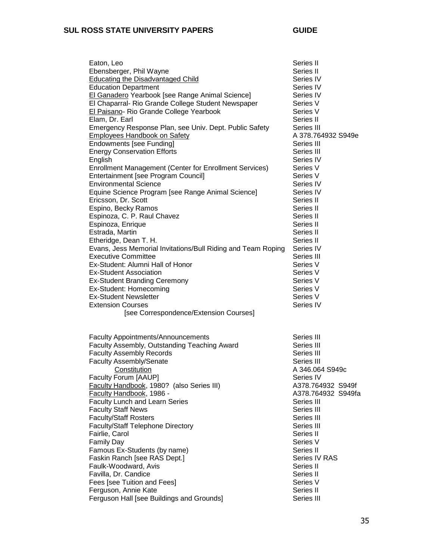| Ebensberger, Phil Wayne<br><b>Educating the Disadvantaged Child</b><br><b>Education Department</b>                                                                     | Series II<br>Series IV<br>Series IV                                |  |
|------------------------------------------------------------------------------------------------------------------------------------------------------------------------|--------------------------------------------------------------------|--|
| El Ganadero Yearbook [see Range Animal Science]<br>El Chaparral- Rio Grande College Student Newspaper<br>El Paisano- Rio Grande College Yearbook<br>Elam, Dr. Earl     | Series IV<br>Series V<br>Series V<br>Series II                     |  |
| Emergency Response Plan, see Univ. Dept. Public Safety<br><b>Employees Handbook on Safety</b><br><b>Endowments [see Funding]</b><br><b>Energy Conservation Efforts</b> | Series III<br>A 378.764932 S949e<br>Series III<br>Series III       |  |
| English<br>Enrollment Management (Center for Enrollment Services)<br>Entertainment [see Program Council]<br><b>Environmental Science</b>                               | Series IV<br>Series V<br>Series V<br>Series IV                     |  |
| Equine Science Program [see Range Animal Science]<br>Ericsson, Dr. Scott<br>Espino, Becky Ramos<br>Espinoza, C. P. Raul Chavez                                         | Series IV<br>Series II<br>Series II<br>Series II                   |  |
| Espinoza, Enrique<br>Estrada, Martin<br>Etheridge, Dean T. H.<br>Evans, Jess Memorial Invitations/Bull Riding and Team Roping                                          | Series II<br>Series II<br>Series II<br>Series IV                   |  |
| <b>Executive Committee</b><br>Ex-Student: Alumni Hall of Honor<br><b>Ex-Student Association</b><br><b>Ex-Student Branding Ceremony</b>                                 | Series III<br>Series V<br>Series V<br>Series V                     |  |
| Ex-Student: Homecoming<br><b>Ex-Student Newsletter</b><br><b>Extension Courses</b><br>[see Correspondence/Extension Courses]                                           | Series V<br>Series V<br>Series IV                                  |  |
| <b>Faculty Appointments/Announcements</b>                                                                                                                              | Series III                                                         |  |
| Faculty Assembly, Outstanding Teaching Award<br><b>Faculty Assembly Records</b><br><b>Faculty Assembly/Senate</b><br>Constitution                                      | Series III<br>Series III<br>Series III<br>A 346.064 S949c          |  |
| Faculty Forum [AAUP]<br><b>Faculty Handbook, 1980?</b> (also Series III)<br>Faculty Handbook, 1986 -<br><b>Faculty Lunch and Learn Series</b>                          | Series IV<br>A378.764932 S949f<br>A378.764932 S949fa<br>Series III |  |
| <b>Faculty Staff News</b><br><b>Faculty/Staff Rosters</b><br><b>Faculty/Staff Telephone Directory</b><br>Fairlie, Carol                                                | Series III<br>Series III<br>Series III<br>Series II                |  |
| <b>Family Day</b><br>Famous Ex-Students (by name)<br>Faskin Ranch [see RAS Dept.]<br>Faulk-Woodward, Avis                                                              | Series V<br>Series II<br>Series IV RAS<br>Series II                |  |
| Favilla, Dr. Candice<br>Fees [see Tuition and Fees]<br>Ferguson, Annie Kate<br>Ferguson Hall [see Buildings and Grounds]                                               | Series II<br>Series V<br>Series II<br>Series III                   |  |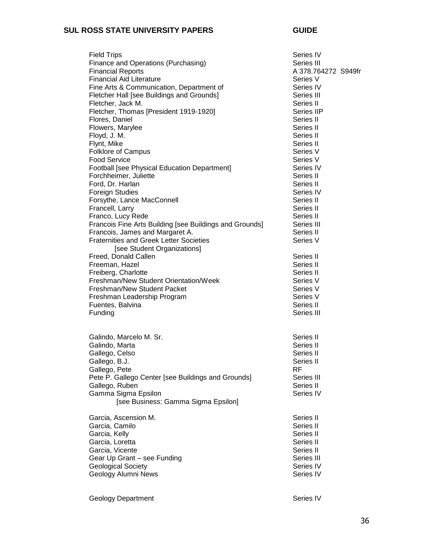| <b>Field Trips</b><br>Finance and Operations (Purchasing)<br><b>Financial Reports</b><br><b>Financial Aid Literature</b><br>Fine Arts & Communication, Department of<br>Fletcher Hall [see Buildings and Grounds]<br>Fletcher, Jack M.<br>Fletcher, Thomas [President 1919-1920]<br>Flores, Daniel<br>Flowers, Marylee<br>Floyd, J. M.<br>Flynt, Mike<br><b>Folklore of Campus</b><br><b>Food Service</b><br><b>Football [see Physical Education Department]</b><br>Forchheimer, Juliette<br>Ford, Dr. Harlan<br><b>Foreign Studies</b><br>Forsythe, Lance MacConnell<br>Francell, Larry<br>Franco, Lucy Rede<br>Francois Fine Arts Building [see Buildings and Grounds]<br>Francois, James and Margaret A.<br><b>Fraternities and Greek Letter Societies</b><br>[see Student Organizations]<br>Freed, Donald Callen<br>Freeman, Hazel<br>Freiberg, Charlotte<br>Freshman/New Student Orientation/Week<br>Freshman/New Student Packet<br>Freshman Leadership Program<br>Fuentes, Balvina<br>Funding<br>Galindo, Marcelo M. Sr.<br>Galindo, Marta<br>Gallego, Celso<br>Gallego, B.J.<br>Gallego, Pete<br>Pete P. Gallego Center [see Buildings and Grounds]<br>Gallego, Ruben<br>Gamma Sigma Epsilon<br>[see Business: Gamma Sigma Epsilon] | Series IV<br>Series III<br>A 378.764272 S949fr<br>Series V<br>Series IV<br>Series III<br>Series II<br>Series IIP<br>Series II<br>Series II<br>Series II<br>Series II<br>Series V<br>Series V<br>Series IV<br>Series II<br>Series II<br>Series IV<br>Series II<br>Series II<br>Series II<br>Series III<br>Series II<br>Series V<br>Series II<br>Series II<br>Series II<br>Series V<br>Series V<br>Series V<br>Series II<br>Series III<br>Series II<br>Series II<br>Series II<br>Series II<br>RF<br>Series III<br>Series II<br>Series IV |
|--------------------------------------------------------------------------------------------------------------------------------------------------------------------------------------------------------------------------------------------------------------------------------------------------------------------------------------------------------------------------------------------------------------------------------------------------------------------------------------------------------------------------------------------------------------------------------------------------------------------------------------------------------------------------------------------------------------------------------------------------------------------------------------------------------------------------------------------------------------------------------------------------------------------------------------------------------------------------------------------------------------------------------------------------------------------------------------------------------------------------------------------------------------------------------------------------------------------------------------------|----------------------------------------------------------------------------------------------------------------------------------------------------------------------------------------------------------------------------------------------------------------------------------------------------------------------------------------------------------------------------------------------------------------------------------------------------------------------------------------------------------------------------------------|
| Garcia, Ascension M.                                                                                                                                                                                                                                                                                                                                                                                                                                                                                                                                                                                                                                                                                                                                                                                                                                                                                                                                                                                                                                                                                                                                                                                                                       | Series II                                                                                                                                                                                                                                                                                                                                                                                                                                                                                                                              |
| Garcia, Camilo                                                                                                                                                                                                                                                                                                                                                                                                                                                                                                                                                                                                                                                                                                                                                                                                                                                                                                                                                                                                                                                                                                                                                                                                                             | Series II                                                                                                                                                                                                                                                                                                                                                                                                                                                                                                                              |
| Garcia, Kelly                                                                                                                                                                                                                                                                                                                                                                                                                                                                                                                                                                                                                                                                                                                                                                                                                                                                                                                                                                                                                                                                                                                                                                                                                              | Series II                                                                                                                                                                                                                                                                                                                                                                                                                                                                                                                              |
| Garcia, Loretta                                                                                                                                                                                                                                                                                                                                                                                                                                                                                                                                                                                                                                                                                                                                                                                                                                                                                                                                                                                                                                                                                                                                                                                                                            | Series II                                                                                                                                                                                                                                                                                                                                                                                                                                                                                                                              |
| Garcia, Vicente                                                                                                                                                                                                                                                                                                                                                                                                                                                                                                                                                                                                                                                                                                                                                                                                                                                                                                                                                                                                                                                                                                                                                                                                                            | Series II                                                                                                                                                                                                                                                                                                                                                                                                                                                                                                                              |
| Gear Up Grant - see Funding                                                                                                                                                                                                                                                                                                                                                                                                                                                                                                                                                                                                                                                                                                                                                                                                                                                                                                                                                                                                                                                                                                                                                                                                                | Series III                                                                                                                                                                                                                                                                                                                                                                                                                                                                                                                             |
| <b>Geological Society</b>                                                                                                                                                                                                                                                                                                                                                                                                                                                                                                                                                                                                                                                                                                                                                                                                                                                                                                                                                                                                                                                                                                                                                                                                                  | Series IV                                                                                                                                                                                                                                                                                                                                                                                                                                                                                                                              |
| Geology Alumni News                                                                                                                                                                                                                                                                                                                                                                                                                                                                                                                                                                                                                                                                                                                                                                                                                                                                                                                                                                                                                                                                                                                                                                                                                        | Series IV                                                                                                                                                                                                                                                                                                                                                                                                                                                                                                                              |

Geology Department **Series IV** Series IV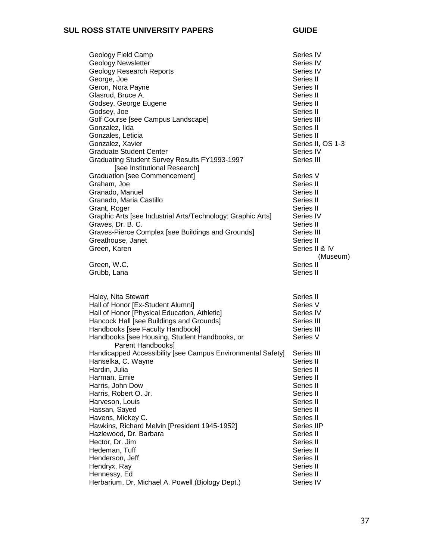| Geology Field Camp                                                 | Series IV         |
|--------------------------------------------------------------------|-------------------|
| <b>Geology Newsletter</b>                                          | Series IV         |
| <b>Geology Research Reports</b>                                    | Series IV         |
| George, Joe                                                        | Series II         |
| Geron, Nora Payne                                                  | Series II         |
| Glasrud, Bruce A.                                                  | Series II         |
| Godsey, George Eugene                                              | Series II         |
| Godsey, Joe                                                        | Series II         |
| Golf Course [see Campus Landscape]                                 | Series III        |
| Gonzalez, Ilda                                                     | Series II         |
| Gonzales, Leticia                                                  | Series II         |
| Gonzalez, Xavier                                                   | Series II, OS 1-3 |
| <b>Graduate Student Center</b>                                     | Series IV         |
| Graduating Student Survey Results FY1993-1997                      | Series III        |
| [see Institutional Research]                                       |                   |
| <b>Graduation [see Commencement]</b>                               | Series V          |
| Graham, Joe                                                        | Series II         |
| Granado, Manuel                                                    | Series II         |
| Granado, Maria Castillo                                            | Series II         |
| Grant, Roger                                                       | Series II         |
| Graphic Arts [see Industrial Arts/Technology: Graphic Arts]        | Series IV         |
| Graves, Dr. B. C.                                                  | Series II         |
| Graves-Pierce Complex [see Buildings and Grounds]                  | Series III        |
| Greathouse, Janet                                                  | Series II         |
| Green, Karen                                                       | Series II & IV    |
|                                                                    | (Museum)          |
| Green, W.C.                                                        | Series II         |
| Grubb, Lana                                                        | Series II         |
|                                                                    |                   |
|                                                                    |                   |
| Haley, Nita Stewart                                                | Series II         |
| Hall of Honor [Ex-Student Alumni]                                  | Series V          |
| Hall of Honor [Physical Education, Athletic]                       | Series IV         |
| Hancock Hall [see Buildings and Grounds]                           | Series III        |
| Handbooks [see Faculty Handbook]                                   | Series III        |
| Handbooks [see Housing, Student Handbooks, or<br>Parent Handbooks] | Series V          |
| Handicapped Accessibility [see Campus Environmental Safety]        | Series III        |
| Hanselka, C. Wayne                                                 | Series II         |
| Hardin, Julia                                                      | Series II         |
| Harman, Ernie                                                      | Series II         |
| Harris, John Dow                                                   | Series II         |
| Harris, Robert O. Jr.                                              | Series II         |
| Harveson, Louis                                                    | Series II         |
| Hassan, Sayed                                                      | Series II         |
| Havens, Mickey C.                                                  | Series II         |
| Hawkins, Richard Melvin [President 1945-1952]                      | Series IIP        |
| Hazlewood, Dr. Barbara                                             | Series II         |
| Hector, Dr. Jim                                                    | Series II         |
| Hedeman, Tuff                                                      | Series II         |
| Henderson, Jeff                                                    | Series II         |
| Hendryx, Ray                                                       | Series II         |
|                                                                    | Series II         |
| Herbarium, Dr. Michael A. Powell (Biology Dept.)                   | Series IV         |
| Hennessy, Ed                                                       |                   |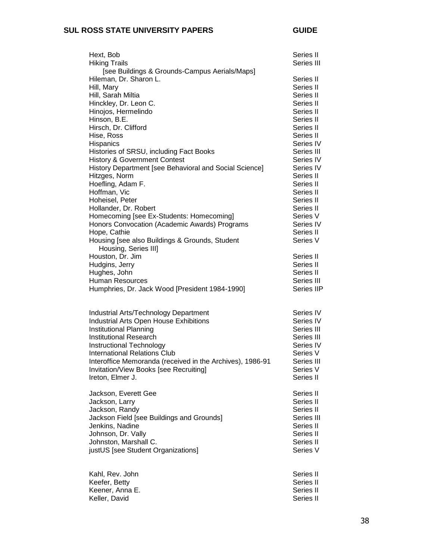| Hext, Bob<br><b>Hiking Trails</b><br>[see Buildings & Grounds-Campus Aerials/Maps]                                                                                                                                                                                                                                                                                                                                                                                                                                                                                                                                     | Series II<br>Series III                                                                                                                                                                                                                                                      |
|------------------------------------------------------------------------------------------------------------------------------------------------------------------------------------------------------------------------------------------------------------------------------------------------------------------------------------------------------------------------------------------------------------------------------------------------------------------------------------------------------------------------------------------------------------------------------------------------------------------------|------------------------------------------------------------------------------------------------------------------------------------------------------------------------------------------------------------------------------------------------------------------------------|
| Hileman, Dr. Sharon L.<br>Hill, Mary<br>Hill, Sarah Miltia<br>Hinckley, Dr. Leon C.<br>Hinojos, Hermelindo<br>Hinson, B.E.<br>Hirsch, Dr. Clifford<br>Hise, Ross<br>Hispanics<br>Histories of SRSU, including Fact Books<br><b>History &amp; Government Contest</b><br>History Department [see Behavioral and Social Science]<br>Hitzges, Norm<br>Hoefling, Adam F.<br>Hoffman, Vic<br>Hoheisel, Peter<br>Hollander, Dr. Robert<br>Homecoming [see Ex-Students: Homecoming]<br>Honors Convocation (Academic Awards) Programs<br>Hope, Cathie<br>Housing [see also Buildings & Grounds, Student<br>Housing, Series III] | Series II<br>Series II<br>Series II<br>Series II<br>Series II<br>Series II<br>Series II<br>Series II<br>Series IV<br>Series III<br>Series IV<br>Series IV<br>Series II<br>Series II<br>Series II<br>Series II<br>Series II<br>Series V<br>Series IV<br>Series II<br>Series V |
| Houston, Dr. Jim                                                                                                                                                                                                                                                                                                                                                                                                                                                                                                                                                                                                       | Series II                                                                                                                                                                                                                                                                    |
| Hudgins, Jerry                                                                                                                                                                                                                                                                                                                                                                                                                                                                                                                                                                                                         | Series II                                                                                                                                                                                                                                                                    |
| Hughes, John                                                                                                                                                                                                                                                                                                                                                                                                                                                                                                                                                                                                           | Series II                                                                                                                                                                                                                                                                    |
| <b>Human Resources</b>                                                                                                                                                                                                                                                                                                                                                                                                                                                                                                                                                                                                 | Series III                                                                                                                                                                                                                                                                   |
| Humphries, Dr. Jack Wood [President 1984-1990]                                                                                                                                                                                                                                                                                                                                                                                                                                                                                                                                                                         | Series IIP                                                                                                                                                                                                                                                                   |
| Industrial Arts/Technology Department                                                                                                                                                                                                                                                                                                                                                                                                                                                                                                                                                                                  | Series IV                                                                                                                                                                                                                                                                    |
| <b>Industrial Arts Open House Exhibitions</b>                                                                                                                                                                                                                                                                                                                                                                                                                                                                                                                                                                          | Series IV                                                                                                                                                                                                                                                                    |
| Institutional Planning                                                                                                                                                                                                                                                                                                                                                                                                                                                                                                                                                                                                 | Series III                                                                                                                                                                                                                                                                   |
| <b>Institutional Research</b>                                                                                                                                                                                                                                                                                                                                                                                                                                                                                                                                                                                          | Series III                                                                                                                                                                                                                                                                   |
| <b>Instructional Technology</b>                                                                                                                                                                                                                                                                                                                                                                                                                                                                                                                                                                                        | Series IV                                                                                                                                                                                                                                                                    |
| <b>International Relations Club</b>                                                                                                                                                                                                                                                                                                                                                                                                                                                                                                                                                                                    | Series V                                                                                                                                                                                                                                                                     |
| Interoffice Memoranda (received in the Archives), 1986-91                                                                                                                                                                                                                                                                                                                                                                                                                                                                                                                                                              | Series III                                                                                                                                                                                                                                                                   |
| Invitation/View Books [see Recruiting]                                                                                                                                                                                                                                                                                                                                                                                                                                                                                                                                                                                 | Series V                                                                                                                                                                                                                                                                     |
| Ireton, Elmer J.                                                                                                                                                                                                                                                                                                                                                                                                                                                                                                                                                                                                       | Series II                                                                                                                                                                                                                                                                    |
| Jackson, Everett Gee                                                                                                                                                                                                                                                                                                                                                                                                                                                                                                                                                                                                   | Series II                                                                                                                                                                                                                                                                    |
| Jackson, Larry                                                                                                                                                                                                                                                                                                                                                                                                                                                                                                                                                                                                         | Series II                                                                                                                                                                                                                                                                    |
| Jackson, Randy                                                                                                                                                                                                                                                                                                                                                                                                                                                                                                                                                                                                         | Series II                                                                                                                                                                                                                                                                    |
| Jackson Field [see Buildings and Grounds]                                                                                                                                                                                                                                                                                                                                                                                                                                                                                                                                                                              | Series III                                                                                                                                                                                                                                                                   |
| Jenkins, Nadine                                                                                                                                                                                                                                                                                                                                                                                                                                                                                                                                                                                                        | Series II                                                                                                                                                                                                                                                                    |
| Johnson, Dr. Vally                                                                                                                                                                                                                                                                                                                                                                                                                                                                                                                                                                                                     | Series II                                                                                                                                                                                                                                                                    |
| Johnston, Marshall C.                                                                                                                                                                                                                                                                                                                                                                                                                                                                                                                                                                                                  | Series II                                                                                                                                                                                                                                                                    |
| justUS [see Student Organizations]                                                                                                                                                                                                                                                                                                                                                                                                                                                                                                                                                                                     | Series V                                                                                                                                                                                                                                                                     |

| Kahl, Rev. John | Series II |
|-----------------|-----------|
| Keefer, Betty   | Series II |
| Keener, Anna E. | Series II |
| Keller, David   | Series II |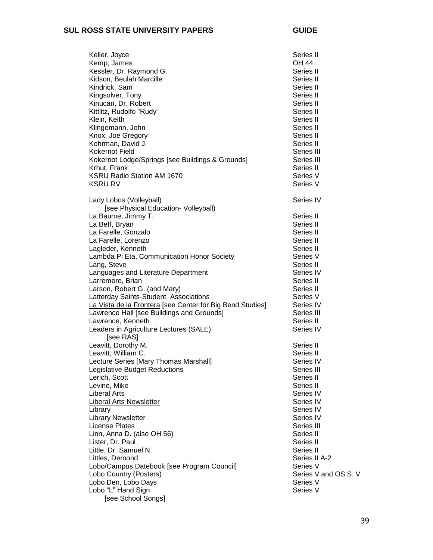| Keller, Joyce                                             | Series II            |
|-----------------------------------------------------------|----------------------|
| Kemp, James                                               | OH 44                |
| Kessler, Dr. Raymond G.                                   | Series II            |
| Kidson, Beulah Marcille                                   | Series II            |
| Kindrick, Sam                                             | Series II            |
| Kingsolver, Tony                                          | Series II            |
| Kinucan, Dr. Robert                                       | Series II            |
| Kittlitz, Rudolfo "Rudy"                                  | Series II            |
| Klein, Keith                                              | Series II            |
| Klingemann, John                                          | Series II            |
| Knox, Joe Gregory                                         | Series II            |
| Kohrman, David J.                                         | Series II            |
| Kokernot Field                                            | Series III           |
| Kokernot Lodge/Springs [see Buildings & Grounds]          | Series III           |
| Krhut, Frank                                              | Series II            |
| KSRU Radio Station AM 1670                                | Series V             |
| <b>KSRU RV</b>                                            | Series V             |
|                                                           |                      |
| Lady Lobos (Volleyball)                                   | Series IV            |
| [see Physical Education- Volleyball)                      |                      |
| La Baume, Jimmy T.                                        | Series II            |
| La Beff, Bryan                                            | Series II            |
| La Farelle, Gonzalo                                       | Series II            |
| La Farelle, Lorenzo                                       | Series II            |
| Lagleder, Kenneth                                         | Series II            |
| Lambda Pi Eta, Communication Honor Society                | Series V             |
| Lang, Steve                                               | Series II            |
| Languages and Literature Department                       | Series IV            |
| Larremore, Brian                                          | Series II            |
| Larson, Robert G. (and Mary)                              | Series II            |
| Latterday Saints-Student Associations                     | Series V             |
| La Vista de la Frontera [see Center for Big Bend Studies] | Series IV            |
| Lawrence Hall [see Buildings and Grounds]                 | Series III           |
| Lawrence, Kenneth                                         | Series II            |
| Leaders in Agriculture Lectures (SALE)                    | Series IV            |
| [see RAS]                                                 |                      |
| Leavitt, Dorothy M.                                       | Series II            |
| Leavitt, William C.                                       | Series II            |
| Lecture Series [Mary Thomas Marshall]                     | Series IV            |
| Legislative Budget Reductions                             | Series III           |
| Lerich, Scott                                             | Series II            |
| Levine, Mike                                              | Series II            |
| <b>Liberal Arts</b>                                       | Series IV            |
| <b>Liberal Arts Newsletter</b>                            | Series IV            |
| Library                                                   | Series IV            |
| <b>Library Newsletter</b>                                 | Series IV            |
| <b>License Plates</b>                                     | Series III           |
| Linn, Anna D. (also OH 56)                                | Series II            |
| Lister, Dr. Paul                                          | Series II            |
| Little, Dr. Samuel N.                                     | Series II            |
| Littles, Demond                                           | Series II A-2        |
| Lobo/Campus Datebook [see Program Council]                | Series V             |
| Lobo Country (Posters)                                    | Series V and OS S. V |
| Lobo Den, Lobo Days                                       | Series V             |
| Lobo "L" Hand Sign                                        | Series V             |
| [see School Songs]                                        |                      |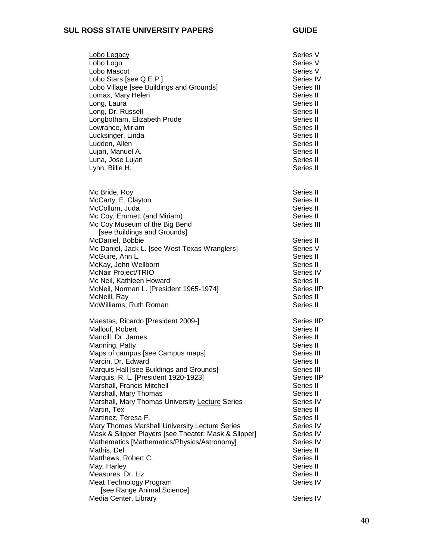| Lobo Legacy<br>Lobo Logo<br>Lobo Mascot<br>Lobo Stars [see Q.E.P.]<br>Lobo Village [see Buildings and Grounds]<br>Lomax, Mary Helen<br>Long, Laura<br>Long, Dr. Russell<br>Longbotham, Elizabeth Prude<br>Lowrance, Miriam<br>Lucksinger, Linda<br>Ludden, Allen<br>Lujan, Manuel A.<br>Luna, Jose Lujan<br>Lynn, Billie H.                                                                                                                                                                                                                                                                                                                                                             | Series V<br>Series V<br>Series V<br>Series IV<br>Series III<br>Series II<br>Series II<br>Series II<br>Series II<br>Series II<br>Series II<br>Series II<br>Series II<br>Series II<br>Series II                                                                                     |
|-----------------------------------------------------------------------------------------------------------------------------------------------------------------------------------------------------------------------------------------------------------------------------------------------------------------------------------------------------------------------------------------------------------------------------------------------------------------------------------------------------------------------------------------------------------------------------------------------------------------------------------------------------------------------------------------|-----------------------------------------------------------------------------------------------------------------------------------------------------------------------------------------------------------------------------------------------------------------------------------|
| Mc Bride, Roy<br>McCarty, E. Clayton<br>McCollum, Juda<br>Mc Coy, Emmett (and Miriam)<br>Mc Coy Museum of the Big Bend<br>[see Buildings and Grounds]<br>McDaniel, Bobbie<br>Mc Daniel, Jack L. [see West Texas Wranglers]<br>McGuire, Ann L.<br>McKay, John Wellborn<br>McNair Project/TRIO<br>Mc Neil, Kathleen Howard<br>McNeil, Norman L. [President 1965-1974]<br>McNeill, Ray<br>McWilliams, Ruth Roman                                                                                                                                                                                                                                                                           | Series II<br>Series II<br>Series II<br>Series II<br>Series III<br>Series II<br>Series V<br>Series II<br>Series II<br>Series IV<br>Series II<br>Series IIP<br>Series II<br>Series II                                                                                               |
| Maestas, Ricardo [President 2009-]<br>Mallouf, Robert<br>Mancill, Dr. James<br>Manning, Patty<br>Maps of campus [see Campus maps]<br>Marcin, Dr. Edward<br>Marquis Hall [see Buildings and Grounds]<br>Marquis, R. L. [President 1920-1923]<br>Marshall, Francis Mitchell<br>Marshall, Mary Thomas<br>Marshall, Mary Thomas University Lecture Series<br>Martin, Tex<br>Martinez, Teresa F.<br>Mary Thomas Marshall University Lecture Series<br>Mask & Slipper Players [see Theater: Mask & Slipper]<br>Mathematics [Mathematics/Physics/Astronomy]<br>Mathis, Del<br>Matthews, Robert C.<br>May, Harley<br>Measures, Dr. Liz<br>Meat Technology Program<br>[see Range Animal Science] | Series IIP<br>Series II<br>Series II<br>Series II<br>Series III<br>Series II<br>Series III<br>Series IIP<br>Series II<br>Series II<br>Series IV<br>Series II<br>Series II<br>Series IV<br>Series IV<br>Series IV<br>Series II<br>Series II<br>Series II<br>Series II<br>Series IV |
| Media Center, Library                                                                                                                                                                                                                                                                                                                                                                                                                                                                                                                                                                                                                                                                   | Series IV                                                                                                                                                                                                                                                                         |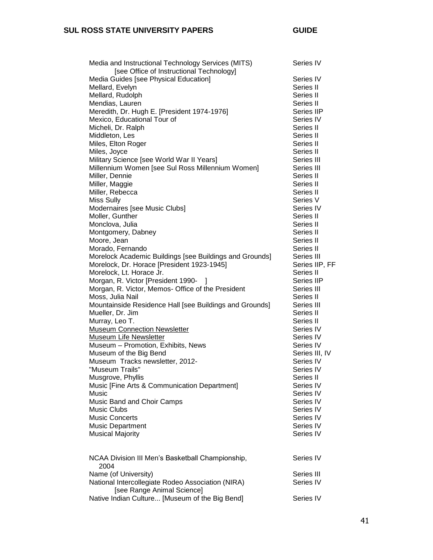| Media and Instructional Technology Services (MITS)<br>[see Office of Instructional Technology] | Series IV      |
|------------------------------------------------------------------------------------------------|----------------|
| Media Guides [see Physical Education]                                                          | Series IV      |
| Mellard, Evelyn                                                                                | Series II      |
| Mellard, Rudolph                                                                               | Series II      |
| Mendias, Lauren                                                                                | Series II      |
| Meredith, Dr. Hugh E. [President 1974-1976]                                                    | Series IIP     |
| Mexico, Educational Tour of                                                                    | Series IV      |
| Micheli, Dr. Ralph                                                                             | Series II      |
| Middleton, Les                                                                                 | Series II      |
| Miles, Elton Roger                                                                             | Series II      |
| Miles, Joyce                                                                                   | Series II      |
| Military Science [see World War II Years]                                                      | Series III     |
| Millennium Women [see Sul Ross Millennium Women]                                               | Series III     |
| Miller, Dennie                                                                                 | Series II      |
| Miller, Maggie                                                                                 | Series II      |
| Miller, Rebecca                                                                                | Series II      |
| <b>Miss Sully</b>                                                                              | Series V       |
| Modernaires [see Music Clubs]                                                                  | Series IV      |
| Moller, Gunther                                                                                | Series II      |
| Monclova, Julia                                                                                | Series II      |
| Montgomery, Dabney                                                                             | Series II      |
| Moore, Jean                                                                                    | Series II      |
| Morado, Fernando                                                                               | Series II      |
| Morelock Academic Buildings [see Buildings and Grounds]                                        | Series III     |
| Morelock, Dr. Horace [President 1923-1945]                                                     | Series IIP, FF |
|                                                                                                | Series II      |
| Morelock, Lt. Horace Jr.                                                                       | Series IIP     |
| Morgan, R. Victor [President 1990-                                                             | Series III     |
| Morgan, R. Victor, Memos- Office of the President                                              |                |
| Moss, Julia Nail                                                                               | Series II      |
| Mountainside Residence Hall [see Buildings and Grounds]                                        | Series III     |
| Mueller, Dr. Jim                                                                               | Series II      |
| Murray, Leo T.                                                                                 | Series II      |
| <b>Museum Connection Newsletter</b>                                                            | Series IV      |
| Museum Life Newsletter                                                                         | Series IV      |
| Museum - Promotion, Exhibits, News                                                             | Series IV      |
| Museum of the Big Bend                                                                         | Series III, IV |
| Museum Tracks newsletter, 2012-                                                                | Series IV      |
| "Museum Trails"                                                                                | Series IV      |
| Musgrove, Phyllis                                                                              | Series II      |
| Music [Fine Arts & Communication Department]                                                   | Series IV      |
| Music                                                                                          | Series IV      |
| Music Band and Choir Camps                                                                     | Series IV      |
| <b>Music Clubs</b>                                                                             | Series IV      |
| <b>Music Concerts</b>                                                                          | Series IV      |
| <b>Music Department</b>                                                                        | Series IV      |
| <b>Musical Majority</b>                                                                        | Series IV      |
| NCAA Division III Men's Basketball Championship,<br>2004                                       | Series IV      |
| Name (of University)                                                                           | Series III     |
| National Intercollegiate Rodeo Association (NIRA)<br>[see Range Animal Science]                | Series IV      |
| Native Indian Culture [Museum of the Big Bend]                                                 | Series IV      |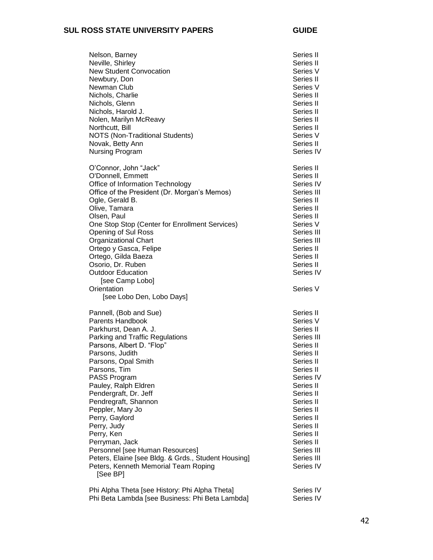| Nelson, Barney<br>Neville, Shirley<br><b>New Student Convocation</b><br>Newbury, Don<br>Newman Club<br>Nichols, Charlie<br>Nichols, Glenn<br>Nichols, Harold J.<br>Nolen, Marilyn McReavy<br>Northcutt, Bill<br><b>NOTS (Non-Traditional Students)</b><br>Novak, Betty Ann<br>Nursing Program                                                                                                                                                                                                                             | Series II<br>Series II<br>Series V<br>Series II<br>Series V<br>Series II<br>Series II<br>Series II<br>Series II<br>Series II<br>Series V<br>Series II<br>Series IV                                                                                                 |
|---------------------------------------------------------------------------------------------------------------------------------------------------------------------------------------------------------------------------------------------------------------------------------------------------------------------------------------------------------------------------------------------------------------------------------------------------------------------------------------------------------------------------|--------------------------------------------------------------------------------------------------------------------------------------------------------------------------------------------------------------------------------------------------------------------|
| O'Connor, John "Jack"<br>O'Donnell, Emmett<br>Office of Information Technology<br>Office of the President (Dr. Morgan's Memos)<br>Ogle, Gerald B.<br>Olive, Tamara<br>Olsen, Paul<br>One Stop Stop (Center for Enrollment Services)<br>Opening of Sul Ross<br><b>Organizational Chart</b><br>Ortego y Gasca, Felipe<br>Ortego, Gilda Baeza<br>Osorio, Dr. Ruben<br><b>Outdoor Education</b><br>[see Camp Lobo]<br>Orientation<br>[see Lobo Den, Lobo Days]                                                                | Series II<br>Series II<br>Series IV<br>Series III<br>Series II<br>Series II<br>Series II<br>Series V<br>Series III<br>Series III<br>Series II<br>Series II<br>Series II<br>Series IV<br>Series V                                                                   |
| Pannell, (Bob and Sue)<br>Parents Handbook<br>Parkhurst, Dean A. J.<br>Parking and Traffic Regulations<br>Parsons, Albert D. "Flop"<br>Parsons, Judith<br>Parsons, Opal Smith<br>Parsons, Tim<br>PASS Program<br>Pauley, Ralph Eldren<br>Pendergraft, Dr. Jeff<br>Pendregraft, Shannon<br>Peppler, Mary Jo<br>Perry, Gaylord<br>Perry, Judy<br>Perry, Ken<br>Perryman, Jack<br>Personnel [see Human Resources]<br>Peters, Elaine [see Bldg. & Grds., Student Housing]<br>Peters, Kenneth Memorial Team Roping<br>[See BP] | Series II<br>Series V<br>Series II<br>Series III<br>Series II<br>Series II<br>Series II<br>Series II<br>Series IV<br>Series II<br>Series II<br>Series II<br>Series II<br>Series II<br>Series II<br>Series II<br>Series II<br>Series III<br>Series III<br>Series IV |
| Phi Alpha Theta [see History: Phi Alpha Theta]<br>Phi Beta Lambda [see Business: Phi Beta Lambda]                                                                                                                                                                                                                                                                                                                                                                                                                         | Series IV<br>Series IV                                                                                                                                                                                                                                             |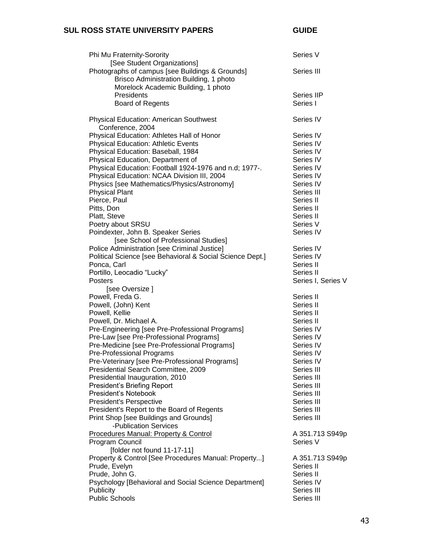| Phi Mu Fraternity-Sorority                                                     | Series V           |
|--------------------------------------------------------------------------------|--------------------|
| [See Student Organizations]<br>Photographs of campus [see Buildings & Grounds] | Series III         |
| Brisco Administration Building, 1 photo<br>Morelock Academic Building, 1 photo |                    |
| Presidents                                                                     | Series IIP         |
| <b>Board of Regents</b>                                                        | Series I           |
| <b>Physical Education: American Southwest</b><br>Conference, 2004              | Series IV          |
| Physical Education: Athletes Hall of Honor                                     | Series IV          |
| <b>Physical Education: Athletic Events</b>                                     | Series IV          |
| Physical Education: Baseball, 1984                                             | Series IV          |
| Physical Education, Department of                                              | Series IV          |
| Physical Education: Football 1924-1976 and n.d; 1977-.                         | Series IV          |
| Physical Education: NCAA Division III, 2004                                    | Series IV          |
| Physics [see Mathematics/Physics/Astronomy]                                    | Series IV          |
| <b>Physical Plant</b>                                                          | Series III         |
| Pierce, Paul                                                                   | Series II          |
| Pitts, Don                                                                     | Series II          |
| Platt, Steve                                                                   | Series II          |
| Poetry about SRSU                                                              | Series V           |
| Poindexter, John B. Speaker Series<br>[see School of Professional Studies]     | Series IV          |
| Police Administration [see Criminal Justice]                                   | Series IV          |
| Political Science [see Behavioral & Social Science Dept.]                      | Series IV          |
| Ponca, Carl                                                                    | Series II          |
| Portillo, Leocadio "Lucky"                                                     | Series II          |
| <b>Posters</b>                                                                 | Series I, Series V |
| [see Oversize]                                                                 |                    |
| Powell, Freda G.                                                               | Series II          |
| Powell, (John) Kent                                                            | Series II          |
| Powell, Kellie                                                                 | Series II          |
| Powell, Dr. Michael A.                                                         | Series II          |
| Pre-Engineering [see Pre-Professional Programs]                                | Series IV          |
| Pre-Law [see Pre-Professional Programs]                                        | Series IV          |
| Pre-Medicine [see Pre-Professional Programs]                                   | Series IV          |
| Pre-Professional Programs                                                      | Series IV          |
| Pre-Veterinary [see Pre-Professional Programs]                                 | Series IV          |
| Presidential Search Committee, 2009                                            | Series III         |
| Presidential Inauguration, 2010                                                | Series III         |
| President's Briefing Report                                                    | Series III         |
| President's Notebook                                                           | Series III         |
| President's Perspective                                                        | Series III         |
| President's Report to the Board of Regents                                     | Series III         |
| Print Shop [see Buildings and Grounds]                                         | Series III         |
| -Publication Services                                                          |                    |
| Procedures Manual: Property & Control                                          | A 351.713 S949p    |
| Program Council                                                                | Series V           |
| [folder not found 11-17-11]                                                    |                    |
| Property & Control [See Procedures Manual: Property]                           | A 351.713 S949p    |
| Prude, Evelyn                                                                  | Series II          |
| Prude, John G.                                                                 | Series II          |
| Psychology [Behavioral and Social Science Department]                          | Series IV          |
| Publicity                                                                      | Series III         |
| <b>Public Schools</b>                                                          | Series III         |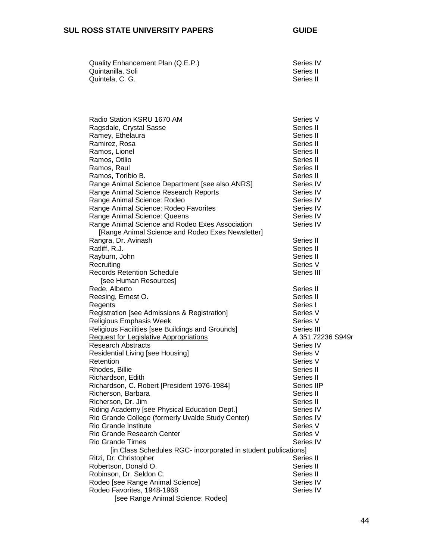| Quality Enhancement Plan (Q.E.P.) | Series IV |
|-----------------------------------|-----------|
| Quintanilla. Soli                 | Series II |
| Quintela. C. G.                   | Series II |

| Radio Station KSRU 1670 AM                       | Series V                                                                                                                                                                                                                                                                                                                                                                                                                                      |
|--------------------------------------------------|-----------------------------------------------------------------------------------------------------------------------------------------------------------------------------------------------------------------------------------------------------------------------------------------------------------------------------------------------------------------------------------------------------------------------------------------------|
| Ragsdale, Crystal Sasse                          | Series II                                                                                                                                                                                                                                                                                                                                                                                                                                     |
| Ramey, Ethelaura                                 | Series II                                                                                                                                                                                                                                                                                                                                                                                                                                     |
| Ramirez, Rosa                                    | Series II                                                                                                                                                                                                                                                                                                                                                                                                                                     |
| Ramos, Lionel                                    | Series II                                                                                                                                                                                                                                                                                                                                                                                                                                     |
| Ramos, Otilio                                    | Series II                                                                                                                                                                                                                                                                                                                                                                                                                                     |
| Ramos, Raul                                      | Series II                                                                                                                                                                                                                                                                                                                                                                                                                                     |
| Ramos, Toribio B.                                | Series II                                                                                                                                                                                                                                                                                                                                                                                                                                     |
| Range Animal Science Department [see also ANRS]  | Series IV                                                                                                                                                                                                                                                                                                                                                                                                                                     |
| Range Animal Science Research Reports            | Series IV                                                                                                                                                                                                                                                                                                                                                                                                                                     |
|                                                  | Series IV                                                                                                                                                                                                                                                                                                                                                                                                                                     |
| Range Animal Science: Rodeo Favorites            | Series IV                                                                                                                                                                                                                                                                                                                                                                                                                                     |
| Range Animal Science: Queens                     | Series IV                                                                                                                                                                                                                                                                                                                                                                                                                                     |
| Range Animal Science and Rodeo Exes Association  | Series IV                                                                                                                                                                                                                                                                                                                                                                                                                                     |
|                                                  |                                                                                                                                                                                                                                                                                                                                                                                                                                               |
| Rangra, Dr. Avinash                              | Series II                                                                                                                                                                                                                                                                                                                                                                                                                                     |
| Ratliff, R.J.                                    | Series II                                                                                                                                                                                                                                                                                                                                                                                                                                     |
|                                                  | Series II                                                                                                                                                                                                                                                                                                                                                                                                                                     |
| Recruiting                                       | Series V                                                                                                                                                                                                                                                                                                                                                                                                                                      |
| <b>Records Retention Schedule</b>                | Series III                                                                                                                                                                                                                                                                                                                                                                                                                                    |
| [see Human Resources]                            |                                                                                                                                                                                                                                                                                                                                                                                                                                               |
| Rede, Alberto                                    | Series II                                                                                                                                                                                                                                                                                                                                                                                                                                     |
| Reesing, Ernest O.                               | Series II                                                                                                                                                                                                                                                                                                                                                                                                                                     |
| Regents                                          | Series I                                                                                                                                                                                                                                                                                                                                                                                                                                      |
| Registration [see Admissions & Registration]     | Series V                                                                                                                                                                                                                                                                                                                                                                                                                                      |
| Religious Emphasis Week                          | Series V                                                                                                                                                                                                                                                                                                                                                                                                                                      |
| Religious Facilities [see Buildings and Grounds] | Series III                                                                                                                                                                                                                                                                                                                                                                                                                                    |
| <b>Request for Legislative Appropriations</b>    | A 351.72236 S949r                                                                                                                                                                                                                                                                                                                                                                                                                             |
| <b>Research Abstracts</b>                        | Series IV                                                                                                                                                                                                                                                                                                                                                                                                                                     |
| Residential Living [see Housing]                 | Series V                                                                                                                                                                                                                                                                                                                                                                                                                                      |
| Retention                                        | Series V                                                                                                                                                                                                                                                                                                                                                                                                                                      |
|                                                  | Series II                                                                                                                                                                                                                                                                                                                                                                                                                                     |
| Richardson, Edith                                | Series II                                                                                                                                                                                                                                                                                                                                                                                                                                     |
|                                                  | Series IIP                                                                                                                                                                                                                                                                                                                                                                                                                                    |
|                                                  | Series II                                                                                                                                                                                                                                                                                                                                                                                                                                     |
|                                                  | Series II                                                                                                                                                                                                                                                                                                                                                                                                                                     |
|                                                  | Series IV                                                                                                                                                                                                                                                                                                                                                                                                                                     |
|                                                  | Series IV                                                                                                                                                                                                                                                                                                                                                                                                                                     |
| Rio Grande Institute                             | Series V                                                                                                                                                                                                                                                                                                                                                                                                                                      |
|                                                  | Series V                                                                                                                                                                                                                                                                                                                                                                                                                                      |
| <b>Rio Grande Times</b>                          | Series IV                                                                                                                                                                                                                                                                                                                                                                                                                                     |
|                                                  |                                                                                                                                                                                                                                                                                                                                                                                                                                               |
|                                                  | Series II                                                                                                                                                                                                                                                                                                                                                                                                                                     |
| Robertson, Donald O.                             | Series II                                                                                                                                                                                                                                                                                                                                                                                                                                     |
| Robinson, Dr. Seldon C.                          | Series II                                                                                                                                                                                                                                                                                                                                                                                                                                     |
| Rodeo [see Range Animal Science]                 | Series IV                                                                                                                                                                                                                                                                                                                                                                                                                                     |
| Rodeo Favorites, 1948-1968                       | Series IV                                                                                                                                                                                                                                                                                                                                                                                                                                     |
| [see Range Animal Science: Rodeo]                |                                                                                                                                                                                                                                                                                                                                                                                                                                               |
|                                                  | Range Animal Science: Rodeo<br>[Range Animal Science and Rodeo Exes Newsletter]<br>Rayburn, John<br>Rhodes, Billie<br>Richardson, C. Robert [President 1976-1984]<br>Richerson, Barbara<br>Richerson, Dr. Jim<br>Riding Academy [see Physical Education Dept.]<br>Rio Grande College (formerly Uvalde Study Center)<br>Rio Grande Research Center<br>[in Class Schedules RGC- incorporated in student publications]<br>Ritzi, Dr. Christopher |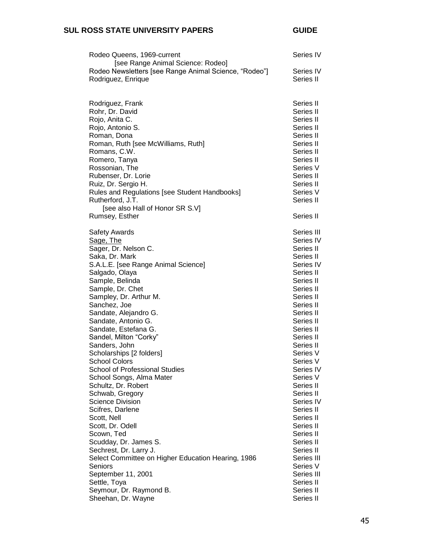| Rodeo Queens, 1969-current<br>[see Range Animal Science: Rodeo]             | Series IV              |
|-----------------------------------------------------------------------------|------------------------|
| Rodeo Newsletters [see Range Animal Science, "Rodeo"]<br>Rodriguez, Enrique | Series IV<br>Series II |
| Rodriguez, Frank<br>Rohr, Dr. David                                         | Series II<br>Series II |
| Rojo, Anita C.<br>Rojo, Antonio S.                                          | Series II<br>Series II |
| Roman, Dona                                                                 | Series II              |
| Roman, Ruth [see McWilliams, Ruth]                                          | Series II              |
| Romans, C.W.                                                                | Series II              |
| Romero, Tanya                                                               | Series II              |
| Rossonian, The                                                              | Series V               |
| Rubenser, Dr. Lorie<br>Ruiz, Dr. Sergio H.                                  | Series II<br>Series II |
| Rules and Regulations [see Student Handbooks]                               | Series V               |
| Rutherford, J.T.                                                            | Series II              |
| [see also Hall of Honor SR S.V]                                             |                        |
| Rumsey, Esther                                                              | Series II              |
| <b>Safety Awards</b>                                                        | Series III             |
| Sage, The                                                                   | Series IV              |
| Sager, Dr. Nelson C.                                                        | Series II              |
| Saka, Dr. Mark                                                              | Series II              |
| S.A.L.E. [see Range Animal Science]                                         | Series IV<br>Series II |
| Salgado, Olaya<br>Sample, Belinda                                           | Series II              |
| Sample, Dr. Chet                                                            | Series II              |
| Sampley, Dr. Arthur M.                                                      | Series II              |
| Sanchez, Joe                                                                | Series II              |
| Sandate, Alejandro G.                                                       | Series II              |
| Sandate, Antonio G.                                                         | Series II              |
| Sandate, Estefana G.                                                        | Series II              |
| Sandel, Milton "Corky"<br>Sanders, John                                     | Series II<br>Series II |
| Scholarships [2 folders]                                                    | Series V               |
| <b>School Colors</b>                                                        | Series V               |
| <b>School of Professional Studies</b>                                       | Series IV              |
| School Songs, Alma Mater                                                    | Series V               |
| Schultz, Dr. Robert                                                         | Series II              |
| Schwab, Gregory                                                             | Series II              |
| <b>Science Division</b><br>Scifres, Darlene                                 | Series IV<br>Series II |
| Scott, Nell                                                                 | Series II              |
| Scott, Dr. Odell                                                            | Series II              |
| Scown, Ted                                                                  | Series II              |
| Scudday, Dr. James S.                                                       | Series II              |
| Sechrest, Dr. Larry J.                                                      | Series II              |
| Select Committee on Higher Education Hearing, 1986                          | Series III             |
| Seniors                                                                     | Series V               |
| September 11, 2001                                                          | Series III             |
| Settle, Toya<br>Seymour, Dr. Raymond B.                                     | Series II<br>Series II |
| Sheehan, Dr. Wayne                                                          | Series II              |
|                                                                             |                        |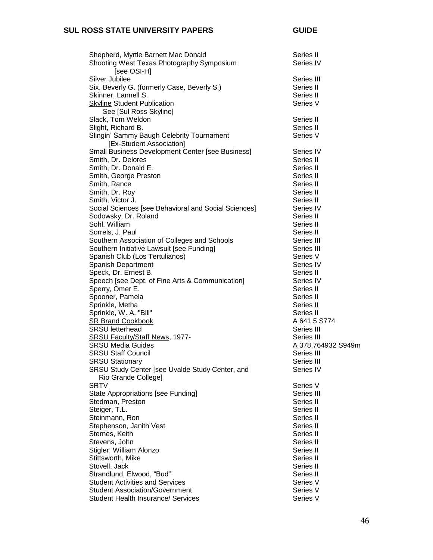| Shepherd, Myrtle Barnett Mac Donald<br>Shooting West Texas Photography Symposium<br>[see OSI-H] | Series II<br>Series IV |
|-------------------------------------------------------------------------------------------------|------------------------|
| Silver Jubilee                                                                                  | Series III             |
| Six, Beverly G. (formerly Case, Beverly S.)                                                     | Series II              |
| Skinner, Lannell S.                                                                             | Series II              |
| <b>Skyline Student Publication</b>                                                              | Series V               |
|                                                                                                 |                        |
| See [Sul Ross Skyline]                                                                          |                        |
| Slack, Tom Weldon                                                                               | Series II<br>Series II |
| Slight, Richard B.                                                                              | Series V               |
| Slingin' Sammy Baugh Celebrity Tournament                                                       |                        |
| [Ex-Student Association]<br>Small Business Development Center [see Business]                    |                        |
|                                                                                                 | Series IV              |
| Smith, Dr. Delores                                                                              | Series II              |
| Smith, Dr. Donald E.                                                                            | Series II              |
| Smith, George Preston                                                                           | Series II              |
| Smith, Rance                                                                                    | Series II              |
| Smith, Dr. Roy                                                                                  | Series II              |
| Smith, Victor J.                                                                                | Series II              |
| Social Sciences [see Behavioral and Social Sciences]                                            | Series IV              |
| Sodowsky, Dr. Roland                                                                            | Series II              |
| Sohl, William                                                                                   | Series II              |
| Sorrels, J. Paul                                                                                | Series II              |
| Southern Association of Colleges and Schools                                                    | Series III             |
| Southern Initiative Lawsuit [see Funding]                                                       | Series III             |
| Spanish Club (Los Tertulianos)                                                                  | Series V               |
| Spanish Department                                                                              | Series IV              |
| Speck, Dr. Ernest B.                                                                            | Series II              |
| Speech [see Dept. of Fine Arts & Communication]                                                 | Series IV              |
| Sperry, Omer E.                                                                                 | Series II              |
| Spooner, Pamela                                                                                 | Series II              |
| Sprinkle, Metha                                                                                 | Series II              |
| Sprinkle, W. A. "Bill"                                                                          | Series II              |
| <b>SR Brand Cookbook</b>                                                                        | A 641.5 S774           |
| <b>SRSU</b> letterhead                                                                          | Series III             |
| SRSU Faculty/Staff News, 1977-                                                                  | Series III             |
| <b>SRSU Media Guides</b>                                                                        | A 378.764932 S949m     |
| <b>SRSU Staff Council</b>                                                                       | Series III             |
| <b>SRSU Stationary</b>                                                                          | Series III             |
| SRSU Study Center [see Uvalde Study Center, and                                                 | Series IV              |
| Rio Grande College]                                                                             |                        |
| <b>SRTV</b>                                                                                     | Series V               |
| State Appropriations [see Funding]                                                              | Series III             |
| Stedman, Preston                                                                                | Series II              |
| Steiger, T.L.                                                                                   | Series II              |
| Steinmann, Ron                                                                                  | Series II              |
| Stephenson, Janith Vest                                                                         | Series II              |
| Sternes, Keith                                                                                  | Series II              |
| Stevens, John                                                                                   | Series II              |
| Stigler, William Alonzo                                                                         | Series II              |
| Stittsworth, Mike                                                                               | Series II              |
| Stovell, Jack                                                                                   | Series II              |
| Strandlund, Elwood, "Bud"                                                                       | Series II              |
| <b>Student Activities and Services</b>                                                          | Series V               |
| <b>Student Association/Government</b>                                                           | Series V               |
| <b>Student Health Insurance/ Services</b>                                                       | Series V               |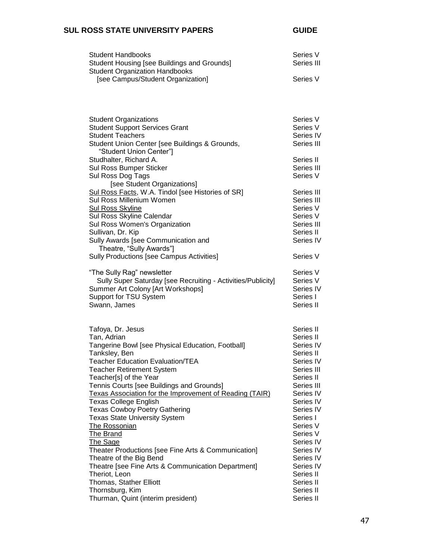| <b>Student Handbooks</b>                                     | Series V   |
|--------------------------------------------------------------|------------|
| Student Housing [see Buildings and Grounds]                  | Series III |
| <b>Student Organization Handbooks</b>                        |            |
| [see Campus/Student Organization]                            | Series V   |
|                                                              |            |
|                                                              |            |
|                                                              |            |
|                                                              |            |
| <b>Student Organizations</b>                                 | Series V   |
| <b>Student Support Services Grant</b>                        | Series V   |
| <b>Student Teachers</b>                                      | Series IV  |
| Student Union Center [see Buildings & Grounds,               | Series III |
| "Student Union Center"]                                      |            |
| Studhalter, Richard A.                                       | Series II  |
| Sul Ross Bumper Sticker                                      | Series III |
| Sul Ross Dog Tags                                            | Series V   |
| [see Student Organizations]                                  |            |
| Sul Ross Facts, W.A. Tindol [see Histories of SR]            | Series III |
| Sul Ross Millenium Women                                     | Series III |
| <b>Sul Ross Skyline</b>                                      | Series V   |
| Sul Ross Skyline Calendar                                    | Series V   |
| Sul Ross Women's Organization                                | Series III |
| Sullivan, Dr. Kip                                            | Series II  |
| Sully Awards [see Communication and                          | Series IV  |
|                                                              |            |
| Theatre, "Sully Awards"]                                     |            |
| Sully Productions [see Campus Activities]                    | Series V   |
|                                                              |            |
| "The Sully Rag" newsletter                                   | Series V   |
| Sully Super Saturday [see Recruiting - Activities/Publicity] | Series V   |
| Summer Art Colony [Art Workshops]                            | Series IV  |
| Support for TSU System                                       | Series I   |
| Swann, James                                                 | Series II  |
|                                                              |            |
|                                                              |            |
| Tafoya, Dr. Jesus                                            | Series II  |
| Tan, Adrian                                                  | Series II  |
| Tangerine Bowl [see Physical Education, Football]            | Series IV  |
| Tanksley, Ben                                                | Series II  |
| <b>Teacher Education Evaluation/TEA</b>                      | Series IV  |
| <b>Teacher Retirement System</b>                             | Series III |
| Teacher[s] of the Year                                       | Series II  |
| Tennis Courts [see Buildings and Grounds]                    | Series III |
| Texas Association for the Improvement of Reading (TAIR)      | Series IV  |
| <b>Texas College English</b>                                 | Series IV  |
| <b>Texas Cowboy Poetry Gathering</b>                         | Series IV  |
| <b>Texas State University System</b>                         | Series I   |
| <b>The Rossonian</b>                                         | Series V   |
| <b>The Brand</b>                                             | Series V   |
| <b>The Sage</b>                                              | Series IV  |
| Theater Productions [see Fine Arts & Communication]          | Series IV  |
| Theatre of the Big Bend                                      | Series IV  |
| Theatre [see Fine Arts & Communication Department]           | Series IV  |
| Theriot, Leon                                                | Series II  |
| Thomas, Stather Elliott                                      | Series II  |
| Thornsburg, Kim                                              | Series II  |
| Thurman, Quint (interim president)                           | Series II  |
|                                                              |            |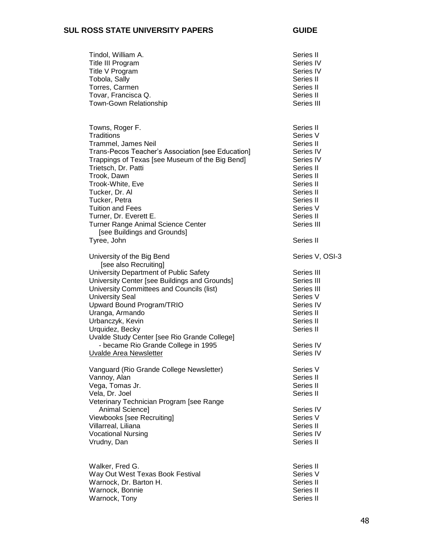| Tindol, William A.<br>Title III Program<br>Title V Program<br>Tobola, Sally<br>Torres, Carmen<br>Tovar, Francisca Q.<br><b>Town-Gown Relationship</b>                                                                                                                                                                                                                                                                                | Series II<br>Series IV<br>Series IV<br>Series II<br>Series II<br>Series II<br>Series III                                                                                          |
|--------------------------------------------------------------------------------------------------------------------------------------------------------------------------------------------------------------------------------------------------------------------------------------------------------------------------------------------------------------------------------------------------------------------------------------|-----------------------------------------------------------------------------------------------------------------------------------------------------------------------------------|
| Towns, Roger F.<br>Traditions<br>Trammel, James Neil<br>Trans-Pecos Teacher's Association [see Education]<br>Trappings of Texas [see Museum of the Big Bend]<br>Trietsch, Dr. Patti<br>Trook, Dawn<br>Trook-White, Eve<br>Tucker, Dr. Al<br>Tucker, Petra<br><b>Tuition and Fees</b><br>Turner, Dr. Everett E.<br>Turner Range Animal Science Center<br>[see Buildings and Grounds]<br>Tyree, John                                   | Series II<br>Series V<br>Series II<br>Series IV<br>Series IV<br>Series II<br>Series II<br>Series II<br>Series II<br>Series II<br>Series V<br>Series II<br>Series III<br>Series II |
| University of the Big Bend<br>[see also Recruiting]<br>University Department of Public Safety<br>University Center [see Buildings and Grounds]<br>University Committees and Councils (list)<br><b>University Seal</b><br>Upward Bound Program/TRIO<br>Uranga, Armando<br>Urbanczyk, Kevin<br>Urquidez, Becky<br>Uvalde Study Center [see Rio Grande College]<br>- became Rio Grande College in 1995<br><b>Uvalde Area Newsletter</b> | Series V, OSI-3<br>Series III<br>Series III<br>Series III<br>Series V<br>Series IV<br>Series II<br>Series II<br>Series II<br>Series IV<br>Series IV                               |
| Vanguard (Rio Grande College Newsletter)<br>Vannoy, Alan<br>Vega, Tomas Jr.<br>Vela, Dr. Joel<br>Veterinary Technician Program [see Range<br>Animal Science]<br>Viewbooks [see Recruiting]<br>Villarreal, Liliana<br><b>Vocational Nursing</b><br>Vrudny, Dan                                                                                                                                                                        | Series V<br>Series II<br>Series II<br>Series II<br>Series IV<br>Series V<br>Series II<br>Series IV<br>Series II                                                                   |
| Walker, Fred G.<br>Way Out West Texas Book Festival<br>Warnock, Dr. Barton H.<br>Warnock, Bonnie<br>Warnock, Tony                                                                                                                                                                                                                                                                                                                    | Series II<br>Series V<br>Series II<br>Series II<br>Series II                                                                                                                      |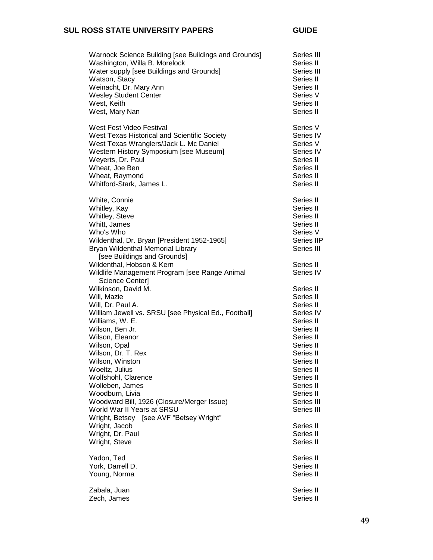| Warnock Science Building [see Buildings and Grounds]                                                                                                                                                                                                                                                                                | Series III                                                                                                                                                                         |
|-------------------------------------------------------------------------------------------------------------------------------------------------------------------------------------------------------------------------------------------------------------------------------------------------------------------------------------|------------------------------------------------------------------------------------------------------------------------------------------------------------------------------------|
| Washington, Willa B. Morelock                                                                                                                                                                                                                                                                                                       | Series II                                                                                                                                                                          |
| Water supply [see Buildings and Grounds]                                                                                                                                                                                                                                                                                            | Series III                                                                                                                                                                         |
| Watson, Stacy                                                                                                                                                                                                                                                                                                                       | Series II                                                                                                                                                                          |
| Weinacht, Dr. Mary Ann                                                                                                                                                                                                                                                                                                              | Series II                                                                                                                                                                          |
| <b>Wesley Student Center</b>                                                                                                                                                                                                                                                                                                        | Series V                                                                                                                                                                           |
| West, Keith                                                                                                                                                                                                                                                                                                                         | Series II                                                                                                                                                                          |
| West, Mary Nan                                                                                                                                                                                                                                                                                                                      | Series II                                                                                                                                                                          |
| West Fest Video Festival                                                                                                                                                                                                                                                                                                            | Series V                                                                                                                                                                           |
| West Texas Historical and Scientific Society                                                                                                                                                                                                                                                                                        | Series IV                                                                                                                                                                          |
| West Texas Wranglers/Jack L. Mc Daniel                                                                                                                                                                                                                                                                                              | Series V                                                                                                                                                                           |
| Western History Symposium [see Museum]                                                                                                                                                                                                                                                                                              | Series IV                                                                                                                                                                          |
| Weyerts, Dr. Paul                                                                                                                                                                                                                                                                                                                   | Series II                                                                                                                                                                          |
| Wheat, Joe Ben                                                                                                                                                                                                                                                                                                                      | Series II                                                                                                                                                                          |
| Wheat, Raymond                                                                                                                                                                                                                                                                                                                      | Series II                                                                                                                                                                          |
| Whitford-Stark, James L.                                                                                                                                                                                                                                                                                                            | Series II                                                                                                                                                                          |
| White, Connie<br>Whitley, Kay<br>Whitley, Steve<br>Whitt, James<br>Who's Who<br>Wildenthal, Dr. Bryan [President 1952-1965]<br>Bryan Wildenthal Memorial Library<br>[see Buildings and Grounds]<br>Wildenthal, Hobson & Kern<br>Wildlife Management Program [see Range Animal                                                       | Series II<br>Series II<br>Series II<br>Series II<br>Series V<br>Series IIP<br>Series III<br>Series II<br>Series IV                                                                 |
| Science Center]<br>Wilkinson, David M.<br>Will, Mazie<br>Will, Dr. Paul A.<br>William Jewell vs. SRSU [see Physical Ed., Football]<br>Williams, W. E.<br>Wilson, Ben Jr.<br>Wilson, Eleanor<br>Wilson, Opal<br>Wilson, Dr. T. Rex<br>Wilson, Winston<br>Woeltz, Julius<br>Wolfshohl, Clarence<br>Wolleben, James<br>Woodburn, Livia | Series II<br>Series II<br>Series II<br>Series IV<br>Series II<br>Series II<br>Series II<br>Series II<br>Series II<br>Series II<br>Series II<br>Series II<br>Series II<br>Series II |
| Woodward Bill, 1926 (Closure/Merger Issue)<br>World War II Years at SRSU<br>Wright, Betsey [see AVF "Betsey Wright"<br>Wright, Jacob<br>Wright, Dr. Paul<br>Wright, Steve                                                                                                                                                           | Series III<br>Series III<br>Series II<br>Series II<br>Series II                                                                                                                    |
| Yadon, Ted                                                                                                                                                                                                                                                                                                                          | Series II                                                                                                                                                                          |
| York, Darrell D.                                                                                                                                                                                                                                                                                                                    | Series II                                                                                                                                                                          |
| Young, Norma                                                                                                                                                                                                                                                                                                                        | Series II                                                                                                                                                                          |
| Zabala, Juan                                                                                                                                                                                                                                                                                                                        | Series II                                                                                                                                                                          |
| Zech, James                                                                                                                                                                                                                                                                                                                         | Series II                                                                                                                                                                          |